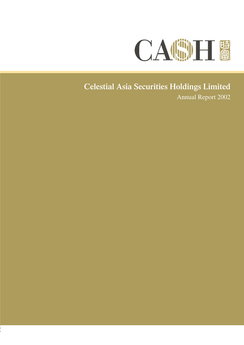

**Celestial Asia Securities Holdings Limited** Annual Report 2002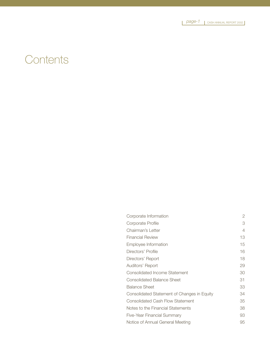## **Contents**

| Corporate Information                       | $\overline{c}$ |
|---------------------------------------------|----------------|
| Corporate Profile                           | 3              |
| Chairman's Letter                           | 4              |
| <b>Financial Review</b>                     | 13             |
| Employee Information                        | 15             |
| Directors' Profile                          | 16             |
| Directors' Report                           | 18             |
| Auditors' Report                            | 29             |
| Consolidated Income Statement               | 30             |
| <b>Consolidated Balance Sheet</b>           | 31             |
| <b>Balance Sheet</b>                        | 33             |
| Consolidated Statement of Changes in Equity | 34             |
| Consolidated Cash Flow Statement            | 35             |
| Notes to the Financial Statements           | 38             |
| Five-Year Financial Summary                 | 93             |
| Notice of Annual General Meeting            | 95             |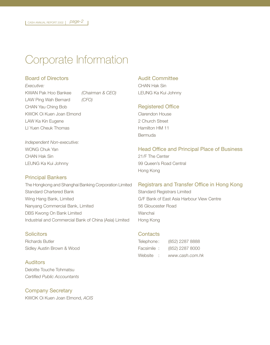## Corporate Information

## Board of Directors

*Executive:* KWAN Pak Hoo Bankee *(Chairman & CEO)* LAW Ping Wah Bernard *(CFO)* CHAN Yau Ching Bob KWOK Oi Kuen Joan Elmond LAW Ka Kin Eugene LI Yuen Cheuk Thomas

*Independent Non-executive:* WONG Chuk Yan CHAN Hak Sin LEUNG Ka Kui Johnny

#### Principal Bankers

The Hongkong and Shanghai Banking Corporation Limited Standard Chartered Bank Wing Hang Bank, Limited Nanyang Commercial Bank, Limited DBS Kwong On Bank Limited Industrial and Commercial Bank of China (Asia) Limited

#### **Solicitors**

Richards Butler Sidley Austin Brown & Wood

## Auditors

Deloitte Touche Tohmatsu *Certified Public Accountants*

## Company Secretary KWOK Oi Kuen Joan Elmond, *ACIS*

Audit Committee CHAN Hak Sin LEUNG Ka Kui Johnny

#### Registered Office

Clarendon House 2 Church Street Hamilton HM 11 Bermuda

#### Head Office and Principal Place of Business

21/F The Center 99 Queen's Road Central Hong Kong

#### Registrars and Transfer Office in Hong Kong

Standard Registrars Limited G/F Bank of East Asia Harbour View Centre 56 Gloucester Road **Wanchai** Hong Kong

#### **Contacts**

Telephone: (852) 2287 8888 Facsimile : (852) 2287 8000 Website : *www.cash.com.hk*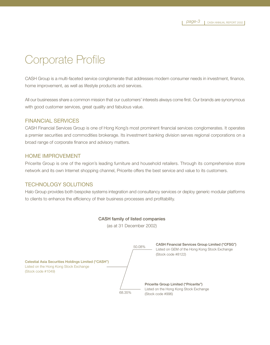## Corporate Profile

CASH Group is a multi-faceted service conglomerate that addresses modern consumer needs in investment, finance, home improvement, as well as lifestyle products and services.

All our businesses share a common mission that our customers' interests always come first. Our brands are synonymous with good customer services, great quality and fabulous value.

### FINANCIAL SERVICES

CASH Financial Services Group is one of Hong Kong's most prominent financial services conglomerates. It operates a premier securities and commodities brokerage. Its investment banking division serves regional corporations on a broad range of corporate finance and advisory matters.

#### HOME IMPROVEMENT

Pricerite Group is one of the region's leading furniture and household retailers. Through its comprehensive store network and its own Internet shopping channel, Pricerite offers the best service and value to its customers.

### TECHNOLOGY SOLUTIONS

Halo Group provides both bespoke systems integration and consultancy services or deploy generic modular platforms to clients to enhance the efficiency of their business processes and profitability.

#### **CASH family of listed companies**

(as at 31 December 2002)

|                                                                                                                            | 50.08% | <b>CASH Financial Services Group Limited ("CFSG")</b><br>Listed on GEM of the Hong Kong Stock Exchange<br>(Stock code #8122) |
|----------------------------------------------------------------------------------------------------------------------------|--------|------------------------------------------------------------------------------------------------------------------------------|
| <b>Celestial Asia Securities Holdings Limited ("CASH")</b><br>Listed on the Hong Kong Stock Exchange<br>(Stock code #1049) |        |                                                                                                                              |
|                                                                                                                            | 68.35% | Pricerite Group Limited ("Pricerite")<br>Listed on the Hong Kong Stock Exchange<br>(Stock code #996)                         |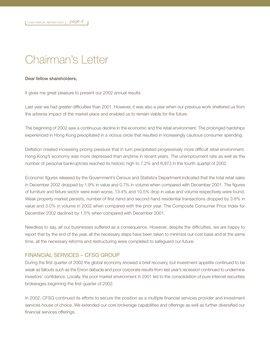#### **Dear fellow shareholders,**

It gives me great pleasure to present our 2002 annual results.

Last year we had greater difficulties than 2001. However, it was also a year when our previous work sheltered us from the adverse impact of the market place and enabled us to remain viable for the future.

The beginning of 2002 saw a continuous decline in the economic and the retail environment. The prolonged hardships experienced in Hong Kong precipitated in a vicious circle that resulted in increasingly cautious consumer spending.

Deflation created increasing pricing pressure that in turn precipitated progressively more difficult retail environment. Hong Kong's economy was more depressed than anytime in recent years. The unemployment rate as well as the number of personal bankruptcies reached its historic high to 7.2% and 6,973 in the fourth quarter of 2002.

Economic figures released by the Government's Census and Statistics Department indicated that the total retail sales in December 2002 dropped by 1.9% in value and 0.7% in volume when compared with December 2001. The figures of furniture and fixture sector were even worse, 13.4% and 10.5% drop in value and volume respectively were found. Weak property market persists, number of first hand and second hand residential transactions dropped by 3.8% in value and 3.0% in volume in 2002 when compared with the prior year. The Composite Consumer Price Index for December 2002 declined by 1.5% when compared with December 2001.

Needless to say, all our businesses suffered as a consequence. However, despite the difficulties, we are happy to report that by the end of the year, all the necessary steps have been taken to minimize our cost base and at the same time, all the necessary reforms and restructuring were completed to safeguard our future.

#### FINANCIAL SERVICES – CFSG GROUP

During the first quarter of 2002 the global economy showed a brief recovery, but investment appetite continued to be weak as fallouts such as the Enron debacle and poor corporate results from last year's recession continued to undermine investors' confidence. Locally, the poor market environment in 2001 led to the consolidation of pure Internet securities brokerages beginning the first quarter of 2002.

In 2002, CFSG continued its efforts to secure the position as a multiple financial services provider and investment services house of choice. We extended our core brokerage capabilities and offerings as well as further diversified our financial services offerings.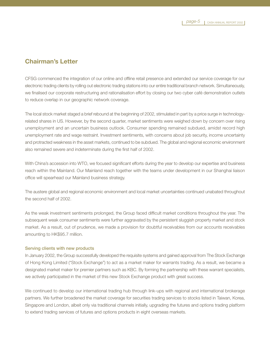CFSG commenced the integration of our online and offline retail presence and extended our service coverage for our electronic trading clients by rolling out electronic trading stations into our entire traditional branch network. Simultaneously, we finalised our corporate restructuring and rationalisation effort by closing our two cyber café demonstration outlets to reduce overlap in our geographic network coverage.

The local stock market staged a brief rebound at the beginning of 2002, stimulated in part by a price surge in technologyrelated shares in US. However, by the second quarter, market sentiments were weighed down by concern over rising unemployment and an uncertain business outlook. Consumer spending remained subdued, amidst record high unemployment rate and wage restraint. Investment sentiments, with concerns about job security, income uncertainty and protracted weakness in the asset markets, continued to be subdued. The global and regional economic environment also remained severe and indeterminate during the first half of 2002.

With China's accession into WTO, we focused significant efforts during the year to develop our expertise and business reach within the Mainland. Our Mainland reach together with the teams under development in our Shanghai liaison office will spearhead our Mainland business strategy.

The austere global and regional economic environment and local market uncertainties continued unabated throughout the second half of 2002.

As the weak investment sentiments prolonged, the Group faced difficult market conditions throughout the year. The subsequent weak consumer sentiments were further aggravated by the persistent sluggish property market and stock market. As a result, out of prudence, we made a provision for doubtful receivables from our accounts receivables amounting to HK\$95.7 million.

#### **Serving clients with new products**

In January 2002, the Group successfully developed the requisite systems and gained approval from The Stock Exchange of Hong Kong Limited ("Stock Exchange") to act as a market maker for warrants trading. As a result, we became a designated market maker for premier partners such as KBC. By forming the partnership with these warrant specialists, we actively participated in the market of this new Stock Exchange product with great success.

We continued to develop our international trading hub through link-ups with regional and international brokerage partners. We further broadened the market coverage for securities trading services to stocks listed in Taiwan, Korea, Singapore and London, albeit only via traditional channels initially, upgrading the futures and options trading platform to extend trading services of futures and options products in eight overseas markets.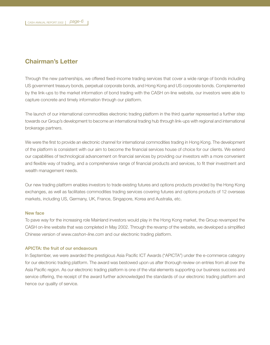Through the new partnerships, we offered fixed-income trading services that cover a wide range of bonds including US government treasury bonds, perpetual corporate bonds, and Hong Kong and US corporate bonds. Complemented by the link-ups to the market information of bond trading with the CASH on-line website, our investors were able to capture concrete and timely information through our platform.

The launch of our international commodities electronic trading platform in the third quarter represented a further step towards our Group's development to become an international trading hub through link-ups with regional and international brokerage partners.

We were the first to provide an electronic channel for international commodities trading in Hong Kong. The development of the platform is consistent with our aim to become the financial services house of choice for our clients. We extend our capabilities of technological advancement on financial services by providing our investors with a more convenient and flexible way of trading, and a comprehensive range of financial products and services, to fit their investment and wealth management needs.

Our new trading platform enables investors to trade existing futures and options products provided by the Hong Kong exchanges, as well as facilitates commodities trading services covering futures and options products of 12 overseas markets, including US, Germany, UK, France, Singapore, Korea and Australia, etc.

#### **New face**

To pave way for the increasing role Mainland investors would play in the Hong Kong market, the Group revamped the CASH on-line website that was completed in May 2002. Through the revamp of the website, we developed a simplified Chinese version of *www.cashon-line.com* and our electronic trading platform.

#### **APICTA: the fruit of our endeavours**

In September, we were awarded the prestigious Asia Pacific ICT Awards ("APICTA") under the e-commerce category for our electronic trading platform. The award was bestowed upon us after thorough review on entries from all over the Asia Pacific region. As our electronic trading platform is one of the vital elements supporting our business success and service offering, the receipt of the award further acknowledged the standards of our electronic trading platform and hence our quality of service.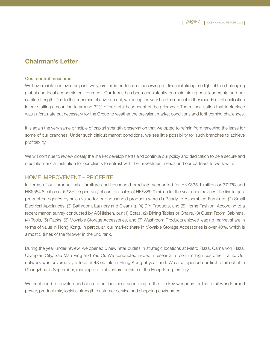#### **Cost control measures**

We have maintained over the past two years the importance of preserving our financial strength in light of the challenging global and local economic environment. Our focus has been consistently on maintaining cost leadership and our capital strength. Due to the poor market environment, we during the year had to conduct further rounds of rationalisation in our staffing amounting to around 32% of our total headcount of the prior year. The rationalisation that took place was unfortunate but necessary for the Group to weather the prevalent market conditions and forthcoming challenges.

It is again the very same principle of capital strength preservation that we opted to refrain from renewing the lease for some of our branches. Under such difficult market conditions, we see little possibility for such branches to achieve profitability.

We will continue to review closely the market developments and continue our policy and dedication to be a secure and credible financial institution for our clients to entrust with their investment needs and our partners to work with.

### HOME IMPROVEMENT – PRICERITE

In terms of our product mix, furniture and household products accounted for HK\$335.1 million or 37.7% and HK\$554.8 million or 62.3% respectively of our total sales of HK\$889.9 million for the year under review. The five largest product categories by sales value for our household products were (1) Ready to Assembled Furniture, (2) Small Electrical Appliances, (3) Bathroom, Laundry and Cleaning, (4) DIY Products, and (5) Home Fashion. According to a recent market survey conducted by ACNielsen, our (1) Sofas, (2) Dining Tables or Chairs, (3) Guest Room Cabinets, (4) Tools, (5) Racks, (6) Movable Storage Accessories, and (7) Washroom Products enjoyed leading market share in terms of value in Hong Kong. In particular, our market share in Movable Storage Accessories is over 40%, which is almost 3 times of the follower in the 2nd rank.

During the year under review, we opened 5 new retail outlets in strategic locations at Metro Plaza, Carnarvon Plaza, Olympian City, Sau Mau Ping and Yau Oi. We conducted in-depth research to confirm high customer traffic. Our network was covered by a total of 48 outlets in Hong Kong at year end. We also opened our first retail outlet in Guangzhou in September, marking our first venture outside of the Hong Kong territory.

We continued to develop and operate our business according to the five key weapons for the retail world: brand power, product mix, logistic strength, customer service and shopping environment.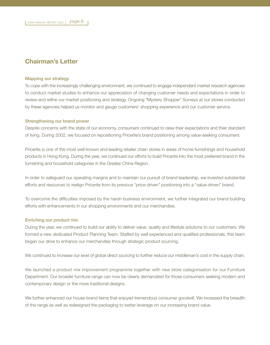#### **Mapping our strategy**

To cope with the increasingly challenging environment, we continued to engage independent market research agencies to conduct market studies to enhance our appreciation of changing customer needs and expectations in order to review and refine our market positioning and strategy. Ongoing "Mystery Shopper" Surveys at our stores conducted by these agencies helped us monitor and gauge customers' shopping experience and our customer service.

#### **Strengthening our brand power**

Despite concerns with the state of our economy, consumers continued to raise their expectations and their standard of living. During 2002, we focused on repositioning Pricerite's brand positioning among value-seeking consumers.

Pricerite is one of the most well-known and leading retailer chain stores in areas of home furnishings and household products in Hong Kong. During the year, we continued our efforts to build Pricerite into the most preferred brand in the furnishing and household categories in the Greater China Region.

In order to safeguard our operating margins and to maintain our pursuit of brand leadership, we invested substantial efforts and resources to realign Pricerite from its previous "price-driven" positioning into a "value-driven" brand.

To overcome the difficulties imposed by the harsh business environment, we further integrated our brand building efforts with enhancements in our shopping environments and our merchandise.

#### **Enriching our product mix**

During the year, we continued to build our ability to deliver value, quality and lifestyle solutions to our customers. We formed a new dedicated Product Planning Team. Staffed by well experienced and qualified professionals, this team began our drive to enhance our merchandise through strategic product sourcing.

We continued to increase our level of global direct sourcing to further reduce our middleman's cost in the supply chain.

We launched a product mix improvement programme together with new store categorisation for our Furniture Department. Our broader furniture range can now be clearly demarcated for those consumers seeking modern and contemporary design or the more traditional designs.

We further enhanced our house-brand items that enjoyed tremendous consumer goodwill. We increased the breadth of the range as well as redesigned the packaging to better leverage on our increasing brand value.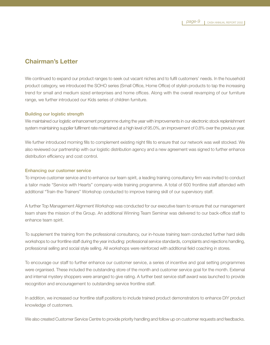We continued to expand our product ranges to seek out vacant niches and to fulfil customers' needs. In the household product category, we introduced the SOHO series (Small Office, Home Office) of stylish products to tap the increasing trend for small and medium sized enterprises and home offices. Along with the overall revamping of our furniture range, we further introduced our Kids series of children furniture.

#### **Building our logistic strength**

We maintained our logistic enhancement programme during the year with improvements in our electronic stock replenishment system maintaining supplier fulfilment rate maintained at a high level of 95.0%, an improvement of 0.8% over the previous year.

We further introduced morning fills to complement existing night fills to ensure that our network was well stocked. We also reviewed our partnership with our logistic distribution agency and a new agreement was signed to further enhance distribution efficiency and cost control.

#### **Enhancing our customer service**

To improve customer service and to enhance our team spirit, a leading training consultancy firm was invited to conduct a tailor made "Service with Hearts" company-wide training programme. A total of 600 frontline staff attended with additional "Train-the-Trainers" Workshop conducted to improve training skill of our supervisory staff.

A further Top Management Alignment Workshop was conducted for our executive team to ensure that our management team share the mission of the Group. An additional Winning Team Seminar was delivered to our back-office staff to enhance team spirit.

To supplement the training from the professional consultancy, our in-house training team conducted further hard skills workshops to our frontline staff during the year including: professional service standards, complaints and rejections handling, professional selling and social style selling. All workshops were reinforced with additional field coaching in stores.

To encourage our staff to further enhance our customer service, a series of incentive and goal setting programmes were organised. These included the outstanding store of the month and customer service goal for the month. External and internal mystery shoppers were arranged to give rating. A further best service staff award was launched to provide recognition and encouragement to outstanding service frontline staff.

In addition, we increased our frontline staff positions to include trained product demonstrators to enhance DIY product knowledge of customers.

We also created Customer Service Centre to provide priority handling and follow up on customer requests and feedbacks.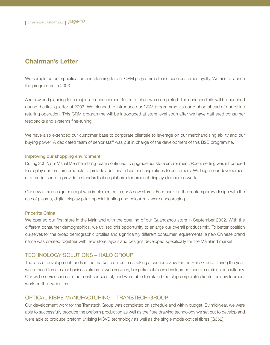We completed our specification and planning for our CRM programme to increase customer loyalty. We aim to launch the programme in 2003.

A review and planning for a major site enhancement for our e-shop was completed. The enhanced site will be launched during the first quarter of 2003. We planned to introduce our CRM programme via our e-shop ahead of our offline retailing operation. This CRM programme will be introduced at store level soon after we have gathered consumer feedbacks and systems fine-tuning.

We have also extended our customer base to corporate clientele to leverage on our merchandising ability and our buying power. A dedicated team of senior staff was put in charge of the development of this B2B programme.

#### **Improving our shopping environment**

During 2002, our Visual Merchandising Team continued to upgrade our store environment. Room setting was introduced to display our furniture products to provide additional ideas and inspirations to customers. We began our development of a model shop to provide a standardisation platform for product displays for our network.

Our new store design concept was implemented in our 5 new stores. Feedback on the contemporary design with the use of plasma, digital display pillar, special lighting and colour-mix were encouraging.

#### **Pricerite China**

We opened our first store in the Mainland with the opening of our Guangzhou store in September 2002. With the different consumer demographics, we utilised this opportunity to enlarge our overall product mix. To better position ourselves for the broad demographic profiles and significantly different consumer requirements, a new Chinese brand name was created together with new store layout and designs developed specifically for the Mainland market.

#### TECHNOLOGY SOLUTIONS – HALO GROUP

The lack of development funds in the market resulted in us taking a cautious view for the Halo Group. During the year, we pursued three major business streams: web services, bespoke solutions development and IT solutions consultancy. Our web services remain the most successful, and were able to retain blue chip corporate clients for development work on their websites.

### OPTICAL FIBRE MANUFACTURING – TRANSTECH GROUP

Our development work for the Transtech Group was completed on schedule and within budget. By mid-year, we were able to successfully produce the preform production as well as the fibre drawing technology we set out to develop and were able to produce preform utilising MCVD technology as well as the single mode optical fibres (G652).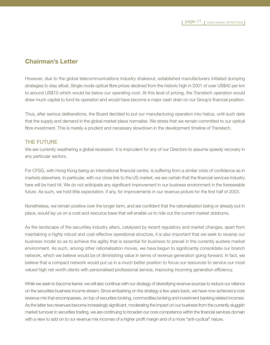However, due to the global telecommunications industry shakeout, established manufacturers initiated dumping strategies to stay afloat. Single mode optical fibre prices declined from the historic high in 2001 of over US\$40 per km to around US\$10 which would be below our operating cost. At this level of pricing, the Transtech operation would draw much capital to fund its operation and would have become a major cash drain on our Group's financial position.

Thus, after serious deliberations, the Board decided to put our manufacturing operation into hiatus, until such date that the supply and demand in the global market place normalise. We stress that we remain committed to our optical fibre investment. This is merely a prudent and necessary slowdown in the development timeline of Transtech.

#### THE FUTURE

We are currently weathering a global recession. It is imprudent for any of our Directors to assume speedy recovery in any particular sectors.

For CFSG, with Hong Kong being an international financial centre, is suffering from a similar crisis of confidence as in markets elsewhere. In particular, with our close link to the US market, we are certain that the financial services industry here will be hard hit. We do not anticipate any significant improvement in our business environment in the foreseeable future. As such, we hold little expectation, if any, for improvements in our revenue picture for the first half of 2003.

Nonetheless, we remain positive over the longer term, and are confident that the rationalisation being or already put in place, would lay us on a cost and resource base that will enable us to ride out the current market doldrums.

As the landscape of the securities industry alters, catalysed by recent regulatory and market changes, apart from maintaining a highly robust and cost-effective operational structure, it is also important that we seek to revamp our business model so as to achieve the agility that is essential for business to prevail in the currently austere market environment. As such, among other rationalisation moves, we have begun to significantly consolidate our branch network, which we believe would be of diminishing value in terms of revenue generation going forward. In fact, we believe that a compact network would put us in a much better position to focus our resources to service our most valued high net worth clients with personalised professional service, improving incoming generation efficiency.

While we seek to become leaner, we will also continue with our strategy of diversifying revenue sources to reduce our reliance on the securities business income stream. Since embarking on the strategy a few years back, we have now achieved a core revenue mix that encompasses, on top of securities broking, commodities broking and investment banking related incomes. As the latter two revenues become increasingly significant, moderating the impact on our business from the currently sluggish market turnover in securities trading, we are continuing to broaden our core competence within the financial services domain with a view to add on to our revenue mix incomes of a higher profit margin and of a more "anti-cyclical" nature.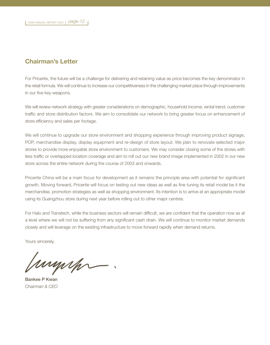For Pricerite, the future will be a challenge for delivering and retaining value as price becomes the key denominator in the retail formula. We will continue to increase our competitiveness in the challenging market place through improvements in our five key weapons.

We will review network strategy with greater considerations on demographic, household income, rental trend, customer traffic and store distribution factors. We aim to consolidate our network to bring greater focus on enhancement of store efficiency and sales per footage.

We will continue to upgrade our store environment and shopping experience through improving product signage, POP, merchandise display, display equipment and re-design of store layout. We plan to renovate selected major stores to provide more enjoyable store environment to customers. We may consider closing some of the stores with less traffic or overlapped location coverage and aim to roll out our new brand image implemented in 2002 in our new store across the entire network during the course of 2003 and onwards.

Pricerite China will be a main focus for development as it remains the principle area with potential for significant growth. Moving forward, Pricerite will focus on testing out new ideas as well as fine tuning its retail model be it the merchandise, promotion strategies as well as shopping environment. Its intention is to arrive at an appropriate model using its Guangzhou store during next year before rolling out to other major centres.

For Halo and Transtech, while the business sectors will remain difficult, we are confident that the operation now as at a level where we will not be suffering from any significant cash drain. We will continue to monitor market demands closely and will leverage on the existing infrastructure to move forward rapidly when demand returns.

Yours sincerely,

myntpr

**Bankee P Kwan** *Chairman & CEO*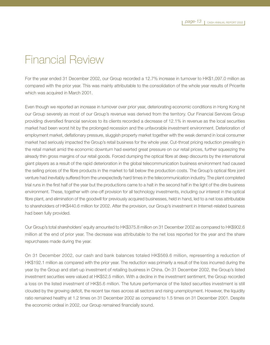## Financial Review

For the year ended 31 December 2002, our Group recorded a 12.7% increase in turnover to HK\$1,097.0 million as compared with the prior year. This was mainly attributable to the consolidation of the whole year results of Pricerite which was acquired in March 2001.

Even though we reported an increase in turnover over prior year, deteriorating economic conditions in Hong Kong hit our Group severely as most of our Group's revenue was derived from the territory. Our Financial Services Group providing diversified financial services to its clients recorded a decrease of 12.1% in revenue as the local securities market had been worst hit by the prolonged recession and the unfavorable investment environment. Deterioration of employment market, deflationary pressure, sluggish property market together with the weak demand in local consumer market had seriously impacted the Group's retail business for the whole year. Cut-throat pricing reduction prevailing in the retail market amid the economic downturn had exerted great pressure on our retail prices, further squeezing the already thin gross margins of our retail goods. Forced dumping the optical fibre at deep discounts by the international giant players as a result of the rapid deterioration in the global telecommunication business environment had caused the selling prices of the fibre products in the market to fall below the production costs. The Group's optical fibre joint venture had inevitably suffered from the unexpectedly hard times in the telecommunication industry. The plant completed trial runs in the first half of the year but the productions came to a halt in the second half in the light of the dire business environment. These, together with one-off provision for all technology investments, including our interest in the optical fibre plant, and elimination of the goodwill for previously acquired businesses, held in hand, led to a net loss attributable to shareholders of HK\$440.6 million for 2002. After the provision, our Group's investment in Internet-related business had been fully provided.

Our Group's total shareholders' equity amounted to HK\$375.8 million on 31 December 2002 as compared to HK\$902.6 million at the end of prior year. The decrease was attributable to the net loss reported for the year and the share repurchases made during the year.

On 31 December 2002, our cash and bank balances totaled HK\$569.6 million, representing a reduction of HK\$192.1 million as compared with the prior year. The reduction was primarily a result of the loss incurred during the year by the Group and start-up investment of retailing business in China. On 31 December 2002, the Group's listed investment securities were valued at HK\$52.5 million. With a decline in the investment sentiment, the Group recorded a loss on the listed investment of HK\$5.6 million. The future performance of the listed securities investment is still clouded by the growing deficit, the recent tax rises across all sectors and rising unemployment. However, the liquidity ratio remained healthy at 1.2 times on 31 December 2002 as compared to 1.5 times on 31 December 2001. Despite the economic ordeal in 2002, our Group remained financially sound.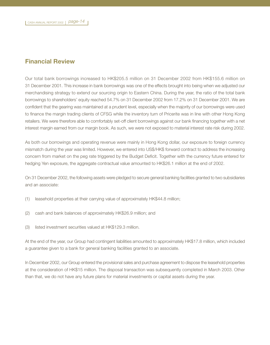## **Financial Review**

Our total bank borrowings increased to HK\$205.5 million on 31 December 2002 from HK\$155.6 million on 31 December 2001. This increase in bank borrowings was one of the effects brought into being when we adjusted our merchandising strategy to extend our sourcing origin to Eastern China. During the year, the ratio of the total bank borrowings to shareholders' equity reached 54.7% on 31 December 2002 from 17.2% on 31 December 2001. We are confident that the gearing was maintained at a prudent level, especially when the majority of our borrowings were used to finance the margin trading clients of CFSG while the inventory turn of Pricerite was in line with other Hong Kong retailers. We were therefore able to comfortably set-off client borrowings against our bank financing together with a net interest margin earned from our margin book. As such, we were not exposed to material interest rate risk during 2002.

As both our borrowings and operating revenue were mainly in Hong Kong dollar, our exposure to foreign currency mismatch during the year was limited. However, we entered into US\$/HK\$ forward contract to address the increasing concern from market on the peg rate triggered by the Budget Deficit. Together with the currency future entered for hedging Yen exposure, the aggregate contractual value amounted to HK\$26.1 million at the end of 2002.

On 31 December 2002, the following assets were pledged to secure general banking facilities granted to two subsidiaries and an associate:

- (1) leasehold properties at their carrying value of approximately HK\$44.8 million;
- (2) cash and bank balances of approximately HK\$26.9 million; and
- (3) listed investment securities valued at HK\$129.3 million.

At the end of the year, our Group had contingent liabilities amounted to approximately HK\$17.8 million, which included a guarantee given to a bank for general banking facilities granted to an associate.

In December 2002, our Group entered the provisional sales and purchase agreement to dispose the leasehold properties at the consideration of HK\$15 million. The disposal transaction was subsequently completed in March 2003. Other than that, we do not have any future plans for material investments or capital assets during the year.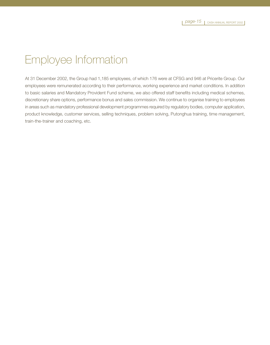## Employee Information

At 31 December 2002, the Group had 1,185 employees, of which 176 were at CFSG and 946 at Pricerite Group. Our employees were remunerated according to their performance, working experience and market conditions. In addition to basic salaries and Mandatory Provident Fund scheme, we also offered staff benefits including medical schemes, discretionary share options, performance bonus and sales commission. We continue to organise training to employees in areas such as mandatory professional development programmes required by regulatory bodies, computer application, product knowledge, customer services, selling techniques, problem solving, Putonghua training, time management, train-the-trainer and coaching, etc.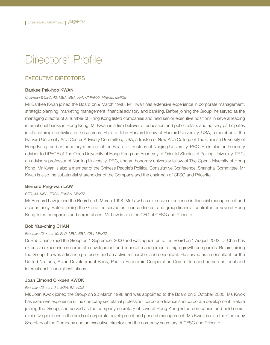## Directors' Profile

## EXECUTIVE DIRECTORS

#### **Bankee Pak-hoo KWAN**

#### *Chairman & CEO, 43, MBA, BBA, FFA, CMP(HK), MHKIM, MHKSI*

Mr Bankee Kwan joined the Board on 9 March 1998. Mr Kwan has extensive experience in corporate management, strategic planning, marketing management, financial advisory and banking. Before joining the Group, he served as the managing director of a number of Hong Kong listed companies and held senior executive positions in several leading international banks in Hong Kong. Mr Kwan is a firm believer of education and public affairs and actively participates in philanthropic activities in these areas. He is a John Harvard fellow of Harvard University, USA, a member of the Harvard University Asia Center Advisory Committee, USA, a trustee of New Asia College of The Chinese University of Hong Kong, and an honorary member of the Board of Trustees of Nanjing University, PRC. He is also an honorary advisor to LiPACE of The Open University of Hong Kong and Academy of Oriental Studies of Peking University, PRC, an advisory professor of Nanjing University, PRC, and an honorary university fellow of The Open University of Hong Kong. Mr Kwan is also a member of the Chinese People's Political Consultative Conference, Shanghai Committee. Mr Kwan is also the substantial shareholder of the Company and the chairman of CFSG and Pricerite.

#### **Bernard Ping-wah LAW**

#### *CFO, 44, MBA, FCCA, FHKSA, MHKSI*

Mr Bernard Law joined the Board on 9 March 1998. Mr Law has extensive experience in financial management and accountancy. Before joining the Group, he served as finance director and group financial controller for several Hong Kong listed companies and corporations. Mr Law is also the CFO of CFSG and Pricerite.

#### **Bob Yau-ching CHAN**

#### *Executive Director, 40, PhD, MBA, BBA, CFA, MHKSI*

Dr Bob Chan joined the Group on 1 September 2000 and was appointed to the Board on 1 August 2002. Dr Chan has extensive experience in corporate development and financial management of high-growth companies. Before joining the Group, he was a finance professor and an active researcher and consultant. He served as a consultant for the United Nations, Asian Development Bank, Pacific Economic Cooperation Committee and numerous local and international financial institutions.

#### **Joan Elmond Oi-kuen KWOK**

#### *Executive Director, 34, MBA, BA, ACIS*

Ms Joan Kwok joined the Group on 20 March 1998 and was appointed to the Board on 3 October 2000. Ms Kwok has extensive experience in the company secretarial profession, corporate finance and corporate development. Before joining the Group, she served as the company secretary of several Hong Kong listed companies and held senior executive positions in the fields of corporate development and general management. Ms Kwok is also the Company Secretary of the Company and an executive director and the company secretary of CFSG and Pricerite.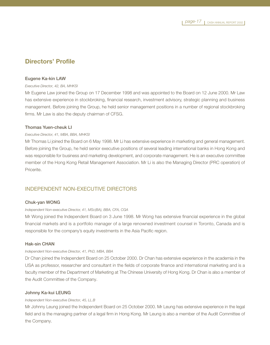## **Directors' Profile**

#### **Eugene Ka-kin LAW**

#### *Executive Director, 42, BA, MHKSI*

Mr Eugene Law joined the Group on 17 December 1998 and was appointed to the Board on 12 June 2000. Mr Law has extensive experience in stockbroking, financial research, investment advisory, strategic planning and business management. Before joining the Group, he held senior management positions in a number of regional stockbroking firms. Mr Law is also the deputy chairman of CFSG.

#### **Thomas Yuen-cheuk LI**

#### *Executive Director, 41, MBA, BBA, MHKSI*

Mr Thomas Li joined the Board on 6 May 1998. Mr Li has extensive experience in marketing and general management. Before joining the Group, he held senior executive positions of several leading international banks in Hong Kong and was responsible for business and marketing development, and corporate management. He is an executive committee member of the Hong Kong Retail Management Association. Mr Li is also the Managing Director (PRC operation) of Pricerite.

## INDEPENDENT NON-EXECUTIVE DIRECTORS

#### **Chuk-yan WONG**

#### *Independent Non-executive Director, 41, MSc(BA), BBA, CFA, CGA*

Mr Wong joined the Independent Board on 3 June 1998. Mr Wong has extensive financial experience in the global financial markets and is a portfolio manager of a large renowned investment counsel in Toronto, Canada and is responsible for the company's equity investments in the Asia Pacific region.

#### **Hak-sin CHAN**

#### *Independent Non-executive Director, 41, PhD, MBA, BBA*

Dr Chan joined the Independent Board on 25 October 2000. Dr Chan has extensive experience in the academia in the USA as professor, researcher and consultant in the fields of corporate finance and international marketing and is a faculty member of the Department of Marketing at The Chinese University of Hong Kong. Dr Chan is also a member of the Audit Committee of the Company.

#### **Johnny Ka-kui LEUNG**

#### *Independent Non-executive Director, 45, LL.B*

Mr Johnny Leung joined the Independent Board on 25 October 2000. Mr Leung has extensive experience in the legal field and is the managing partner of a legal firm in Hong Kong. Mr Leung is also a member of the Audit Committee of the Company.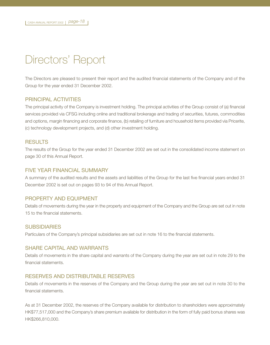The Directors are pleased to present their report and the audited financial statements of the Company and of the Group for the year ended 31 December 2002.

### PRINCIPAL ACTIVITIES

The principal activity of the Company is investment holding. The principal activities of the Group consist of (a) financial services provided via CFSG including online and traditional brokerage and trading of securities, futures, commodities and options, margin financing and corporate finance, (b) retailing of furniture and household items provided via Pricerite, (c) technology development projects, and (d) other investment holding.

#### RESULTS

The results of the Group for the year ended 31 December 2002 are set out in the consolidated income statement on page 30 of this Annual Report.

### FIVE YEAR FINANCIAL SUMMARY

A summary of the audited results and the assets and liabilities of the Group for the last five financial years ended 31 December 2002 is set out on pages 93 to 94 of this Annual Report.

## PROPERTY AND EQUIPMENT

Details of movements during the year in the property and equipment of the Company and the Group are set out in note 15 to the financial statements.

## **SUBSIDIARIES**

Particulars of the Company's principal subsidiaries are set out in note 16 to the financial statements.

### SHARE CAPITAL AND WARRANTS

Details of movements in the share capital and warrants of the Company during the year are set out in note 29 to the financial statements.

### RESERVES AND DISTRIBUTABLE RESERVES

Details of movements in the reserves of the Company and the Group during the year are set out in note 30 to the financial statements.

As at 31 December 2002, the reserves of the Company available for distribution to shareholders were approximately HK\$77,517,000 and the Company's share premium available for distribution in the form of fully paid bonus shares was HK\$266,810,000.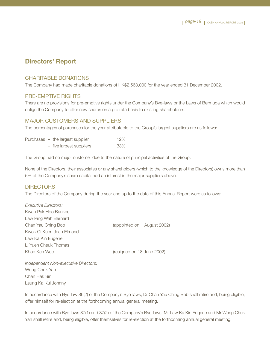### CHARITABLE DONATIONS

The Company had made charitable donations of HK\$2,563,000 for the year ended 31 December 2002.

## PRE-EMPTIVE RIGHTS

There are no provisions for pre-emptive rights under the Company's Bye-laws or the Laws of Bermuda which would oblige the Company to offer new shares on a pro rata basis to existing shareholders.

### MAJOR CUSTOMERS AND SUPPLIERS

The percentages of purchases for the year attributable to the Group's largest suppliers are as follows:

|  | Purchases - the largest supplier | 12%  |
|--|----------------------------------|------|
|  | - five largest suppliers         | -33% |

The Group had no major customer due to the nature of principal activities of the Group.

None of the Directors, their associates or any shareholders (which to the knowledge of the Directors) owns more than 5% of the Company's share capital had an interest in the major suppliers above.

#### **DIRECTORS**

The Directors of the Company during the year and up to the date of this Annual Report were as follows:

| Executive Directors:     |                              |
|--------------------------|------------------------------|
| Kwan Pak Hoo Bankee      |                              |
| Law Ping Wah Bernard     |                              |
| Chan Yau Ching Bob       | (appointed on 1 August 2002) |
| Kwok Oi Kuen Joan Flmond |                              |
| Law Ka Kin Eugene        |                              |
| Li Yuen Cheuk Thomas     |                              |
| Khoo Ken Wee             | (resigned on 18 June 2002)   |
|                          |                              |

*Independent Non-executive Directors:* Wong Chuk Yan Chan Hak Sin Leung Ka Kui Johnny

In accordance with Bye-law 86(2) of the Company's Bye-laws, Dr Chan Yau Ching Bob shall retire and, being eligible, offer himself for re-election at the forthcoming annual general meeting.

In accordance with Bye-laws 87(1) and 87(2) of the Company's Bye-laws, Mr Law Ka Kin Eugene and Mr Wong Chuk Yan shall retire and, being eligible, offer themselves for re-election at the forthcoming annual general meeting.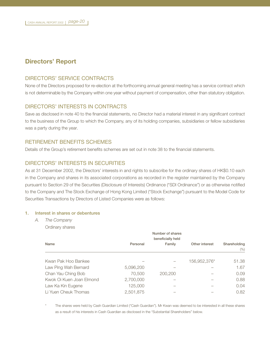## DIRECTORS' SERVICE CONTRACTS

None of the Directors proposed for re-election at the forthcoming annual general meeting has a service contract which is not determinable by the Company within one year without payment of compensation, other than statutory obligation.

### DIRECTORS' INTERESTS IN CONTRACTS

Save as disclosed in note 40 to the financial statements, no Director had a material interest in any significant contract to the business of the Group to which the Company, any of its holding companies, subsidiaries or fellow subsidiaries was a party during the year.

## RETIREMENT BENEFITS SCHEMES

Details of the Group's retirement benefits schemes are set out in note 38 to the financial statements.

## DIRECTORS' INTERESTS IN SECURITIES

As at 31 December 2002, the Directors' interests in and rights to subscribe for the ordinary shares of HK\$0.10 each in the Company and shares in its associated corporations as recorded in the register maintained by the Company pursuant to Section 29 of the Securities (Disclosure of Interests) Ordinance ("SDI Ordinance") or as otherwise notified to the Company and The Stock Exchange of Hong Kong Limited ("Stock Exchange") pursuant to the Model Code for Securities Transactions by Directors of Listed Companies were as follows:

#### **1. Interest in shares or debentures**

*A. The Company*

Ordinary shares

|                                       | Number of shares<br>beneficially held |                |                         |  |  |  |
|---------------------------------------|---------------------------------------|----------------|-------------------------|--|--|--|
| Name<br>Personal                      | Family                                | Other interest | Shareholding<br>$(\% )$ |  |  |  |
| Kwan Pak Hoo Bankee                   |                                       | 156,952,376*   | 51.38                   |  |  |  |
| Law Ping Wah Bernard<br>5,096,200     |                                       |                | 1.67                    |  |  |  |
| Chan Yau Ching Bob<br>70,500          | 200,200                               |                | 0.09                    |  |  |  |
| Kwok Oi Kuen Joan Elmond<br>2,700,000 |                                       |                | 0.88                    |  |  |  |
| 125,000<br>Law Ka Kin Eugene          |                                       |                | 0.04                    |  |  |  |
| Li Yuen Cheuk Thomas<br>2,501,875     |                                       |                | 0.82                    |  |  |  |

The shares were held by Cash Guardian Limited ("Cash Guardian"). Mr Kwan was deemed to be interested in all these shares as a result of his interests in Cash Guardian as disclosed in the "Substantial Shareholders" below.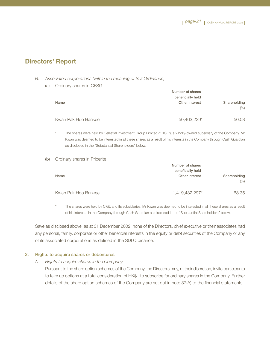#### *B. Associated corporations (within the meaning of SDI Ordinance)*

(a) Ordinary shares in CFSG

|                     | Number of shares  |              |  |
|---------------------|-------------------|--------------|--|
|                     | beneficially held |              |  |
| Name                | Other interest    | Shareholding |  |
|                     |                   | (% )         |  |
| Kwan Pak Hoo Bankee | 50,463,239*       | 50.08        |  |

The shares were held by Celestial Investment Group Limited ("CIGL"), a wholly-owned subsidiary of the Company. Mr Kwan was deemed to be interested in all these shares as a result of his interests in the Company through Cash Guardian as disclosed in the "Substantial Shareholders" below.

#### (b) Ordinary shares in Pricerite

|                     | Number of shares<br>beneficially held |              |
|---------------------|---------------------------------------|--------------|
| Name                | Other interest                        | Shareholding |
|                     |                                       | (% )         |
| Kwan Pak Hoo Bankee | 1.419.432.297*                        | 68.35        |

The shares were held by CIGL and its subsidiaries. Mr Kwan was deemed to be interested in all these shares as a result of his interests in the Company through Cash Guardian as disclosed in the "Substantial Shareholders" below.

Save as disclosed above, as at 31 December 2002, none of the Directors, chief executive or their associates had any personal, family, corporate or other beneficial interests in the equity or debt securities of the Company or any of its associated corporations as defined in the SDI Ordinance.

#### **2. Rights to acquire shares or debentures**

*A. Rights to acquire shares in the Company*

Pursuant to the share option schemes of the Company, the Directors may, at their discretion, invite participants to take up options at a total consideration of HK\$1 to subscribe for ordinary shares in the Company. Further details of the share option schemes of the Company are set out in note 37(A) to the financial statements.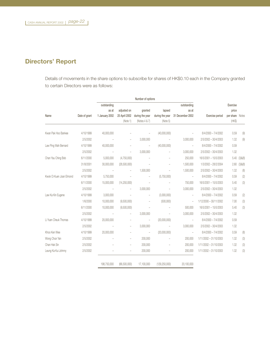Details of movements in the share options to subscribe for shares of HK\$0.10 each in the Company granted to certain Directors were as follows:

|                          |               | Number of options        |                          |                          |                          |                          |                        |                 |         |
|--------------------------|---------------|--------------------------|--------------------------|--------------------------|--------------------------|--------------------------|------------------------|-----------------|---------|
|                          |               | outstanding              |                          |                          |                          | outstanding              |                        | Exercise        |         |
|                          |               | as at                    | adjusted on              | granted                  | lapsed                   | as at                    |                        | price           |         |
| Name                     | Date of grant | 1 January 2002           | 25 April 2002            | during the year          | during the year          | 31 December 2002         | Exercise period        | per share Notes |         |
|                          |               |                          | (Note 1)                 | (Notes 4 & 7)            | (Note 5)                 |                          |                        | (HK\$)          |         |
| Kwan Pak Hoo Bankee      | 4/10/1999     | 40,000,000               |                          |                          | (40,000,000)             |                          | 8/4/2000 - 7/4/2002    | 0.59            | (9)     |
|                          | 2/5/2002      |                          |                          | 3,000,000                |                          | 3,000,000                | $2/5/2002 - 30/4/2003$ | 1.32            | (9)     |
| Law Ping Wah Bernard     | 4/10/1999     | 40,000,000               |                          | $\overline{\phantom{a}}$ | (40,000,000)             | $\bar{ }$                | 8/4/2000 - 7/4/2002    | 0.59            |         |
|                          | 2/5/2002      | $\overline{\phantom{a}}$ | $\overline{\phantom{a}}$ | 3,000,000                |                          | 3,000,000                | $2/5/2002 - 30/4/2003$ | 1.32            |         |
| Chan Yau Ching Bob       | 6/11/2000     | 5,000,000                | (4,750,000)              |                          |                          | 250,000                  | 16/5/2001 - 15/5/2003  | 5.40            | (3)8(8) |
|                          | 31/8/2001     | 30,000,000               | (28,500,000)             |                          |                          | 1,500,000                | 1/3/2002 - 28/2/2004   | 2.60            | (3)8(8) |
|                          | 2/5/2002      | $\overline{\phantom{a}}$ | $\overline{\phantom{a}}$ | 1,500,000                |                          | 1,500,000                | $2/5/2002 - 30/4/2003$ | 1.32            | (8)     |
| Kwok Oi Kuen Joan Elmond | 4/10/1999     | 5,750,000                | $\sim$                   | $\overline{a}$           | (5,750,000)              | $\overline{\phantom{a}}$ | 8/4/2000 - 7/4/2002    | 0.59            | (2)     |
|                          | 6/11/2000     | 15,000,000               | (14, 250, 000)           |                          |                          | 750,000                  | 16/5/2001 - 15/5/2003  | 5.40            | (3)     |
|                          | 2/5/2002      | $\overline{\phantom{a}}$ | ÷,                       | 3,000,000                | $\overline{\phantom{a}}$ | 3,000,000                | $2/5/2002 - 30/4/2003$ | 1.32            |         |
| Law Ka Kin Eugene        | 4/10/1999     | 3,000,000                | ÷,                       | ÷                        | (3,000,000)              | $\overline{\phantom{a}}$ | $8/4/2000 - 7/4/2002$  | 0.59            | (2)     |
|                          | 1/6/2000      | 10,000,000               | (9,500,000)              |                          | (500,000)                | $\overline{\phantom{a}}$ | 1/12/2000 - 30/11/2002 | 7.00            | (3)     |
|                          | 6/11/2000     | 10,000,000               | (9,500,000)              |                          |                          | 500,000                  | 16/5/2001 - 15/5/2003  | 5.40            | (3)     |
|                          | 2/5/2002      | $\overline{\phantom{a}}$ | $\overline{\phantom{0}}$ | 3,000,000                |                          | 3,000,000                | 2/5/2002 - 30/4/2003   | 1.32            |         |
| Li Yuen Cheuk Thomas     | 4/10/1999     | 20,000,000               | $\overline{\phantom{0}}$ | $\overline{\phantom{a}}$ | (20,000,000)             | $\bar{ }$                | 8/4/2000 - 7/4/2002    | 0.59            |         |
|                          | 2/5/2002      |                          | $\overline{a}$           | 3,000,000                |                          | 3,000,000                | 2/5/2002 - 30/4/2003   | 1.32            |         |
| Khoo Ken Wee             | 4/10/1999     | 20,000,000               |                          | $\overline{\phantom{a}}$ | (20,000,000)             |                          | 8/4/2000 - 7/4/2002    | 0.59            | (8)     |
| Wong Chuk Yan            | 2/5/2002      |                          | $\overline{a}$           | 200,000                  |                          | 200,000                  | 1/11/2002 - 31/10/2003 | 1.32            | (3)     |
| Chan Hak Sin             | 2/5/2002      |                          | $\overline{a}$           | 200,000                  |                          | 200,000                  | 1/11/2002 - 31/10/2003 | 1.32            | (3)     |
| Leung Ka Kui Johnny      | 2/5/2002      |                          |                          | 200,000                  |                          | 200,000                  | 1/11/2002 - 31/10/2003 | 1.32            | (3)     |
|                          |               | 198,750,000              | (66,500,000)             | 17,100,000               | (129, 250, 000)          | 20,100,000               |                        |                 |         |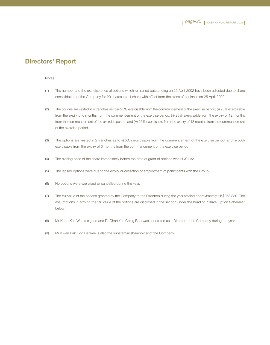#### Notes:

- (1) The number and the exercise price of options which remained outstanding on 25 April 2002 have been adjusted due to share consolidation of the Company for 20 shares into 1 share with effect from the close of business on 25 April 2002.
- (2) The options are vested in 4 tranches as to (i) 25% exercisable from the commencement of the exercise period; (ii) 25% exercisable from the expiry of 6 months from the commencement of the exercise period; (iii) 25% exercisable from the expiry of 12 months from the commencement of the exercise period; and (iv) 25% exercisable from the expiry of 18 months from the commencement of the exercise period.
- (3) The options are vested in 2 tranches as to (i) 50% exercisable from the commencement of the exercise period; and (ii) 50% exercisable from the expiry of 6 months from the commencement of the exercise period.
- (4) The closing price of the share immediately before the date of grant of options was HK\$1.32.
- (5) The lapsed options were due to the expiry or cessation of employment of participants with the Group.
- (6) No options were exercised or cancelled during the year.
- (7) The fair value of the options granted by the Company to the Directors during the year totaled approximately HK\$368,880. The assumptions in arriving the fair value of the options are disclosed in the section under the heading "Share Option Schemes" below.
- (8) Mr Khoo Ken Wee resigned and Dr Chan Yau Ching Bob was appointed as a Director of the Company during the year.
- (9) Mr Kwan Pak Hoo Bankee is also the substantial shareholder of the Company.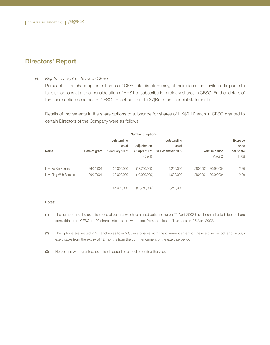#### *B. Rights to acquire shares in CFSG*

Pursuant to the share option schemes of CFSG, its directors may, at their discretion, invite participants to take up options at a total consideration of HK\$1 to subscribe for ordinary shares in CFSG. Further details of the share option schemes of CFSG are set out in note 37(B) to the financial statements.

Details of movements in the share options to subscribe for shares of HK\$0.10 each in CFSG granted to certain Directors of the Company were as follows:

|                      |               |                | Number of options |                  |                         |           |
|----------------------|---------------|----------------|-------------------|------------------|-------------------------|-----------|
|                      |               | outstanding    |                   | outstanding      |                         | Exercise  |
|                      |               | as at          | adjusted on       | as at            |                         | price     |
| Name                 | Date of grant | 1 January 2002 | 25 April 2002     | 31 December 2002 | Exercise period         | per share |
|                      |               |                | (Note 1)          |                  | (Note 2)                | (HK\$)    |
|                      |               |                |                   |                  |                         |           |
| Law Ka Kin Eugene    | 26/3/2001     | 25,000,000     | (23,750,000)      | 1,250,000        | $1/10/2001 - 30/9/2004$ | 2.20      |
| Law Ping Wah Bernard | 26/3/2001     | 20,000,000     | (19,000,000)      | 1,000,000        | $1/10/2001 - 30/9/2004$ | 2.20      |
|                      |               | 45,000,000     | (42,750,000)      | 2,250,000        |                         |           |

Notes:

- (1) The number and the exercise price of options which remained outstanding on 25 April 2002 have been adjusted due to share consolidation of CFSG for 20 shares into 1 share with effect from the close of business on 25 April 2002.
- (2) The options are vested in 2 tranches as to (i) 50% exercisable from the commencement of the exercise period; and (ii) 50% exercisable from the expiry of 12 months from the commencement of the exercise period.

(3) No options were granted, exercised, lapsed or cancelled during the year.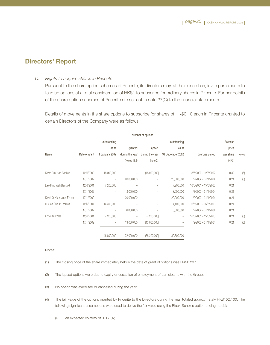#### *C. Rights to acquire shares in Pricerite*

Pursuant to the share option schemes of Pricerite, its directors may, at their discretion, invite participants to take up options at a total consideration of HK\$1 to subscribe for ordinary shares in Pricerite. Further details of the share option schemes of Pricerite are set out in note 37(C) to the financial statements.

Details of movements in the share options to subscribe for shares of HK\$0.10 each in Pricerite granted to certain Directors of the Company were as follows:

|                          |               |                          |                          | Number of options        |                          |                       |           |       |
|--------------------------|---------------|--------------------------|--------------------------|--------------------------|--------------------------|-----------------------|-----------|-------|
|                          |               | outstanding              |                          |                          | outstanding              |                       | Exercise  |       |
|                          |               | as at                    | granted                  | lapsed                   | as at                    |                       | price     |       |
| Name                     | Date of grant | 1 January 2002           | during the year          | during the year          | 31 December 2002         | Exercise period       | per share | Notes |
|                          |               |                          | (Notes 1&4)              | (Note 2)                 |                          |                       | (HK\$)    |       |
| Kwan Pak Hoo Bankee      | 12/6/2000     | 18,000,000               | $\overline{\phantom{a}}$ | (18,000,000)             | $\overline{a}$           | 13/6/2000 - 12/6/2002 | 0.32      | (6)   |
|                          | 17/1/2002     | $\overline{\phantom{m}}$ | 20,000,000               | -                        | 20,000,000               | 1/2/2002 - 31/1/2004  | 0.21      | (6)   |
| Law Ping Wah Bernard     | 12/6/2001     | 7,200,000                | ۰                        | -                        | 7,200,000                | 16/6/2001 - 15/6/2003 | 0.21      |       |
|                          | 17/1/2002     | $\sim$                   | 13,000,000               | $\overline{\phantom{0}}$ | 13,000,000               | 1/2/2002 - 31/1/2004  | 0.21      |       |
| Kwok Oi Kuen Joan Elmond | 17/1/2002     | -                        | 20,000,000               | -                        | 20,000,000               | 1/2/2002 - 31/1/2004  | 0.21      |       |
| Li Yuen Cheuk Thomas     | 12/6/2001     | 14,400,000               | $\overline{\phantom{a}}$ | -                        | 14,400,000               | 16/6/2001 - 15/6/2003 | 0.21      |       |
|                          | 17/1/2002     | $\overline{\phantom{m}}$ | 6,000,000                |                          | 6,000,000                | 1/2/2002 - 31/1/2004  | 0.21      |       |
| Khoo Ken Wee             | 12/6/2001     | 7,200,000                | $\overline{\phantom{a}}$ | (7, 200, 000)            | $\overline{\phantom{a}}$ | 16/6/2001 - 15/6/2003 | 0.21      | (5)   |
|                          | 17/1/2002     | $\overline{\phantom{a}}$ | 13,000,000               | (13,000,000)             | $\overline{a}$           | 1/2/2002 - 31/1/2004  | 0.21      | (5)   |
|                          |               | 46,800,000               | 72,000,000               | (38, 200, 000)           | 80,600,000               |                       |           |       |

Notes:

- (1) The closing price of the share immediately before the date of grant of options was HK\$0.207.
- (2) The lapsed options were due to expiry or cessation of employment of participants with the Group.
- (3) No option was exercised or cancelled during the year.
- (4) The fair value of the options granted by Pricerite to the Directors during the year totaled approximately HK\$152,100. The following significant assumptions were used to derive the fair value using the Black-Scholes option pricing model:
	- (i) an expected volatility of 0.061%;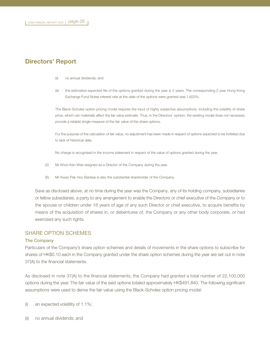- (ii) no annual dividends; and
- (iii) the estimated expected life of the options granted during the year is 2 years. The corresponding 2 year Hong Kong Exchange Fund Notes interest rate at the date of the options were granted was 1.625%.

The Black-Scholes option pricing model requires the input of highly subjective assumptions, including the volatility of share price, which can materially affect the fair value estimate. Thus, in the Directors' opinion, the existing model does not necessary provide a reliable single measure of the fair value of the share options.

For the purpose of the calculation of fair value, no adjustment has been made in respect of options expected to be forfeited due to lack of historical data.

No charge is recognised in the income statement in respect of the value of options granted during the year.

- (5) Mr Khoo Ken Wee resigned as a Director of the Company during the year.
- (6) Mr Kwan Pak Hoo Bankee is also the substantial shareholder of the Company.

Save as disclosed above, at no time during the year was the Company, any of its holding company, subsidiaries or fellow subsidiaries, a party to any arrangement to enable the Directors or chief executive of the Company or to the spouse or children under 18 years of age of any such Director or chief executive, to acquire benefits by means of the acquisition of shares in, or debentures of, the Company or any other body corporate, or had exercised any such rights.

## SHARE OPTION SCHEMES

#### **The Company**

Particulars of the Company's share option schemes and details of movements in the share options to subscribe for shares of HK\$0.10 each in the Company granted under the share option schemes during the year are set out in note 37(A) to the financial statements.

As disclosed in note 37(A) to the financial statements, the Company had granted a total number of 22,100,000 options during the year. The fair value of the said options totaled approximately HK\$491,840. The following significant assumptions were used to derive the fair value using the Black-Scholes option pricing model:

- (i) an expected volatility of 1.1%;
- (ii) no annual dividends; and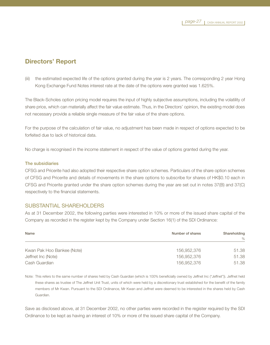(iii) the estimated expected life of the options granted during the year is 2 years. The corresponding 2 year Hong Kong Exchange Fund Notes interest rate at the date of the options were granted was 1.625%.

The Black-Scholes option pricing model requires the input of highly subjective assumptions, including the volatility of share price, which can materially affect the fair value estimate. Thus, in the Directors' opinion, the existing model does not necessary provide a reliable single measure of the fair value of the share options.

For the purpose of the calculation of fair value, no adjustment has been made in respect of options expected to be forfeited due to lack of historical data.

No charge is recognised in the income statement in respect of the value of options granted during the year.

#### **The subsidiaries**

CFSG and Pricerite had also adopted their respective share option schemes. Particulars of the share option schemes of CFSG and Pricerite and details of movements in the share options to subscribe for shares of HK\$0.10 each in CFSG and Pricerite granted under the share option schemes during the year are set out in notes 37(B) and 37(C) respectively to the financial statements.

### SUBSTANTIAL SHAREHOLDERS

As at 31 December 2002, the following parties were interested in 10% or more of the issued share capital of the Company as recorded in the register kept by the Company under Section 16(1) of the SDI Ordinance:

| Name                       | Number of shares | Shareholding |  |
|----------------------------|------------------|--------------|--|
|                            |                  | $\%$         |  |
| Kwan Pak Hoo Bankee (Note) | 156,952,376      | 51.38        |  |
| Jeffnet Inc (Note)         | 156,952,376      | 51.38        |  |
| Cash Guardian              | 156,952,376      | 51.38        |  |

Note: This refers to the same number of shares held by Cash Guardian (which is 100% beneficially owned by Jeffnet Inc ("Jeffnet")). Jeffnet held these shares as trustee of The Jeffnet Unit Trust, units of which were held by a discretionary trust established for the benefit of the family members of Mr Kwan. Pursuant to the SDI Ordinance, Mr Kwan and Jeffnet were deemed to be interested in the shares held by Cash Guardian.

Save as disclosed above, at 31 December 2002, no other parties were recorded in the register required by the SDI Ordinance to be kept as having an interest of 10% or more of the issued share capital of the Company.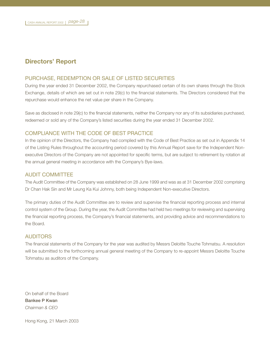## PURCHASE, REDEMPTION OR SALE OF LISTED SECURITIES

During the year ended 31 December 2002, the Company repurchased certain of its own shares through the Stock Exchange, details of which are set out in note 29(c) to the financial statements. The Directors considered that the repurchase would enhance the net value per share in the Company.

Save as disclosed in note 29(c) to the financial statements, neither the Company nor any of its subsidiaries purchased, redeemed or sold any of the Company's listed securities during the year ended 31 December 2002.

## COMPLIANCE WITH THE CODE OF BEST PRACTICE

In the opinion of the Directors, the Company had complied with the Code of Best Practice as set out in Appendix 14 of the Listing Rules throughout the accounting period covered by this Annual Report save for the Independent Nonexecutive Directors of the Company are not appointed for specific terms, but are subject to retirement by rotation at the annual general meeting in accordance with the Company's Bye-laws.

#### AUDIT COMMITTEE

The Audit Committee of the Company was established on 28 June 1999 and was as at 31 December 2002 comprising Dr Chan Hak Sin and Mr Leung Ka Kui Johnny, both being Independent Non-executive Directors.

The primary duties of the Audit Committee are to review and supervise the financial reporting process and internal control system of the Group. During the year, the Audit Committee had held two meetings for reviewing and supervising the financial reporting process, the Company's financial statements, and providing advice and recommendations to the Board.

## AUDITORS

The financial statements of the Company for the year was audited by Messrs Deloitte Touche Tohmatsu. A resolution will be submitted to the forthcoming annual general meeting of the Company to re-appoint Messrs Deloitte Touche Tohmatsu as auditors of the Company.

On behalf of the Board **Bankee P Kwan** *Chairman & CEO*

Hong Kong, 21 March 2003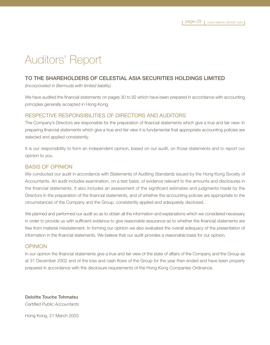## Auditors' Report

### **TO THE SHAREHOLDERS OF CELESTIAL ASIA SECURITIES HOLDINGS LIMITED**

*(Incorporated in Bermuda with limited liability)*

We have audited the financial statements on pages 30 to 92 which have been prepared in accordance with accounting principles generally accepted in Hong Kong.

#### RESPECTIVE RESPONSIBILITIES OF DIRECTORS AND AUDITORS

The Company's Directors are responsible for the preparation of financial statements which give a true and fair view. In preparing financial statements which give a true and fair view it is fundamental that appropriate accounting policies are selected and applied consistently.

It is our responsibility to form an independent opinion, based on our audit, on those statements and to report our opinion to you.

#### BASIS OF OPINION

We conducted our audit in accordance with Statements of Auditing Standards issued by the Hong Kong Society of Accountants. An audit includes examination, on a test basis, of evidence relevant to the amounts and disclosures in the financial statements. It also includes an assessment of the significant estimates and judgments made by the Directors in the preparation of the financial statements, and of whether the accounting policies are appropriate to the circumstances of the Company and the Group, consistently applied and adequately disclosed.

We planned and performed our audit so as to obtain all the information and explanations which we considered necessary in order to provide us with sufficient evidence to give reasonable assurance as to whether the financial statements are free from material misstatement. In forming our opinion we also evaluated the overall adequacy of the presentation of information in the financial statements. We believe that our audit provides a reasonable basis for our opinion.

## **OPINION**

In our opinion the financial statements give a true and fair view of the state of affairs of the Company and the Group as at 31 December 2002 and of the loss and cash flows of the Group for the year then ended and have been properly prepared in accordance with the disclosure requirements of the Hong Kong Companies Ordinance.

**Deloitte Touche Tohmatsu** *Certified Public Accountants*

Hong Kong, 21 March 2003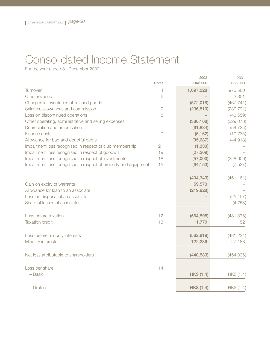## Consolidated Income Statement

For the year ended 31 December 2002

|                                                                 | <b>Notes</b>   | 2002<br><b>HK\$'000</b> | 2001<br>HK\$'000 |
|-----------------------------------------------------------------|----------------|-------------------------|------------------|
| Turnover                                                        | 4              | 1,097,028               | 973,560          |
| Other revenue                                                   | 6              |                         | 2,351            |
| Changes in inventories of finished goods                        |                | (572, 018)              | (467, 741)       |
| Salaries, allowances and commission                             | $\overline{7}$ | (236, 810)              | (239, 791)       |
| Loss on discontinued operations                                 | 8              |                         | (43, 659)        |
| Other operating, administrative and selling expenses            |                | (380, 168)              | (329, 076)       |
| Depreciation and amortisation                                   |                | (61, 834)               | (54, 725)        |
| Finance costs                                                   | $\overline{9}$ | (5, 162)                | (10, 735)        |
| Allowance for bad and doubtful debts                            |                | (95, 687)               | (44, 918)        |
| Impairment loss recognised in respect of club membership        | 21             | (1, 330)                |                  |
| Impairment loss recognised in respect of goodwill               | 19             | (27, 209)               |                  |
| Impairment loss recognised in respect of investments            | 18             | (57,000)                | (228,900)        |
| Impairment loss recognised in respect of property and equipment | 15             | (64, 153)               | (7, 527)         |
|                                                                 |                | (404, 343)              | (451, 161)       |
| Gain on expiry of warrants                                      |                | 59,573                  |                  |
| Allowance for loan to an associate                              |                | (219, 828)              |                  |
| Loss on disposal of an associate                                |                |                         | (25, 457)        |
| Share of losses of associates                                   |                |                         | (4, 758)         |
| Loss before taxation                                            | 12             | (564, 598)              | (481, 376)       |
| <b>Taxation credit</b>                                          | 13             | 1,779                   | 152              |
| Loss before minority interests                                  |                | (562, 819)              | (481, 224)       |
| Minority interests                                              |                | 122,236                 | 27,188           |
| Net loss attributable to shareholders                           |                | (440, 583)              | (454, 036)       |
|                                                                 |                |                         |                  |
| Loss per share<br>- Basic                                       | 14             | HK\$ (1.4)              | HK\$ (1.4)       |
|                                                                 |                |                         |                  |
| - Diluted                                                       |                | <b>HK\$ (1.4)</b>       | HK\$ (1.4)       |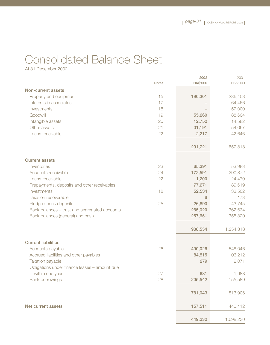## Consolidated Balance Sheet

At 31 December 2002

|                                                   | <b>Notes</b> | 2002<br><b>HK\$'000</b> | 2001<br>HK\$'000 |
|---------------------------------------------------|--------------|-------------------------|------------------|
| Non-current assets                                |              |                         |                  |
|                                                   | 15           | 190,301                 | 236,453          |
| Property and equipment<br>Interests in associates | 17           |                         | 164,466          |
| Investments                                       | 18           |                         | 57,000           |
| Goodwill                                          | 19           | 55,260                  | 88,604           |
| Intangible assets                                 | 20           | 12,752                  | 14,582           |
| Other assets                                      | 21           | 31,191                  | 54,067           |
| Loans receivable                                  | 22           | 2,217                   | 42,646           |
|                                                   |              |                         |                  |
|                                                   |              | 291,721                 | 657,818          |
| <b>Current assets</b>                             |              |                         |                  |
| Inventories                                       | 23           | 65,391                  | 53,983           |
| Accounts receivable                               | 24           | 172,591                 | 290,872          |
| Loans receivable                                  | 22           | 1,200                   | 24,470           |
| Prepayments, deposits and other receivables       |              | 77,271                  | 89,619           |
| Investments                                       | 18           | 52,534                  | 33,502           |
| Taxation recoverable                              |              | 6                       | 173              |
| Pledged bank deposits                             | 25           | 26,890                  | 43,745           |
| Bank balances - trust and segregated accounts     |              | 285,020                 | 362,634          |
| Bank balances (general) and cash                  |              | 257,651                 | 355,320          |
|                                                   |              |                         |                  |
|                                                   |              | 938,554                 | 1,254,318        |
| <b>Current liabilities</b>                        |              |                         |                  |
| Accounts payable                                  | 26           | 490,026                 | 548,046          |
| Accrued liabilities and other payables            |              | 84,515                  | 106,212          |
| Taxation payable                                  |              | 279                     | 2,071            |
| Obligations under finance leases - amount due     |              |                         |                  |
| within one year                                   | 27           | 681                     | 1,988            |
| <b>Bank borrowings</b>                            | 28           | 205,542                 | 155,589          |
|                                                   |              | 781,043                 | 813,906          |
|                                                   |              |                         |                  |
| Net current assets                                |              | 157,511                 | 440,412          |
|                                                   |              | 449,232                 | 1,098,230        |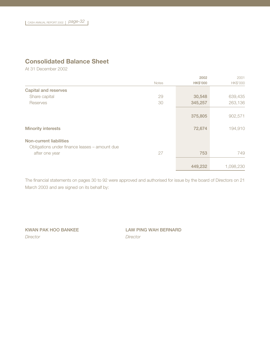## **Consolidated Balance Sheet**

At 31 December 2002

|                                                                                 |              | 2002            | 2001            |
|---------------------------------------------------------------------------------|--------------|-----------------|-----------------|
|                                                                                 | <b>Notes</b> | <b>HK\$'000</b> | <b>HK\$'000</b> |
| <b>Capital and reserves</b>                                                     |              |                 |                 |
| Share capital                                                                   | 29           | 30,548          | 639,435         |
| Reserves                                                                        | 30           | 345,257         | 263,136         |
|                                                                                 |              | 375,805         | 902,571         |
| <b>Minority interests</b>                                                       |              | 72,674          | 194,910         |
| <b>Non-current liabilities</b><br>Obligations under finance leases - amount due |              |                 |                 |
| after one year                                                                  | 27           | 753             | 749             |
|                                                                                 |              |                 |                 |
|                                                                                 |              | 449,232         | 1,098,230       |

The financial statements on pages 30 to 92 were approved and authorised for issue by the board of Directors on 21 March 2003 and are signed on its behalf by:

KWAN PAK HOO BANKEE LAW PING WAH BERNARD *Director Director*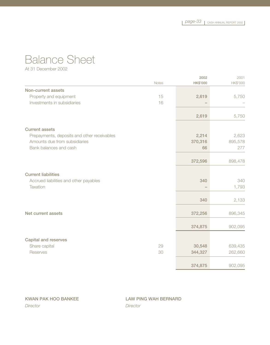## Balance Sheet

At 31 December 2002

|                                                    | Notes | 2002<br><b>HK\$'000</b> | 2001<br>HK\$'000 |
|----------------------------------------------------|-------|-------------------------|------------------|
| Non-current assets                                 |       |                         |                  |
| Property and equipment                             | 15    | 2,619                   | 5,750            |
| Investments in subsidiaries                        | 16    |                         |                  |
|                                                    |       | 2,619                   | 5,750            |
| <b>Current assets</b>                              |       |                         |                  |
| Prepayments, deposits and other receivables        |       | 2,214                   | 2,623            |
| Amounts due from subsidiaries                      |       | 370,316                 | 895,578          |
| Bank balances and cash                             |       | 66                      | 277              |
|                                                    |       | 372,596                 | 898,478          |
|                                                    |       |                         |                  |
| <b>Current liabilities</b>                         |       | 340                     | 340              |
| Accrued liabilities and other payables<br>Taxation |       |                         | 1,793            |
|                                                    |       |                         |                  |
|                                                    |       | 340                     | 2,133            |
| <b>Net current assets</b>                          |       | 372,256                 | 896,345          |
|                                                    |       | 374,875                 | 902,095          |
|                                                    |       |                         |                  |
| <b>Capital and reserves</b><br>Share capital       | 29    | 30,548                  | 639,435          |
| Reserves                                           | 30    | 344,327                 | 262,660          |
|                                                    |       | 374,875                 | 902,095          |

## KWAN PAK HOO BANKEE LAW PING WAH BERNARD

*Director Director*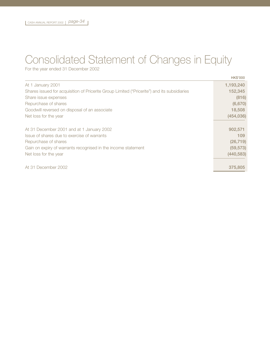# Consolidated Statement of Changes in Equity

For the year ended 31 December 2002

|                                                                                             | <b>HK\$'000</b> |
|---------------------------------------------------------------------------------------------|-----------------|
| At 1 January 2001                                                                           | 1,193,240       |
| Shares issued for acquisition of Pricerite Group Limited ("Pricerite") and its subsidiaries | 152,345         |
| Share issue expenses                                                                        | (816)           |
| Repurchase of shares                                                                        | (6,670)         |
| Goodwill reversed on disposal of an associate                                               | 18,508          |
| Net loss for the year                                                                       | (454, 036)      |
|                                                                                             |                 |
| At 31 December 2001 and at 1 January 2002                                                   | 902,571         |
| Issue of shares due to exercise of warrants                                                 | 109             |
| Repurchase of shares                                                                        | (26, 719)       |
| Gain on expiry of warrants recognised in the income statement                               | (59, 573)       |
| Net loss for the year                                                                       | (440, 583)      |
|                                                                                             |                 |
| At 31 December 2002                                                                         | 375,805         |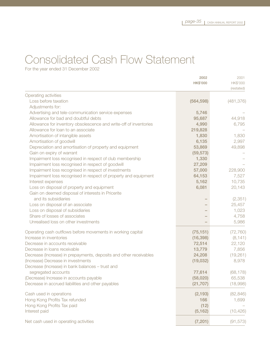## Consolidated Cash Flow Statement

For the year ended 31 December 2002

|                                                                    | 2002<br><b>HK\$'000</b> | 2001<br>HK\$'000<br>(restated) |
|--------------------------------------------------------------------|-------------------------|--------------------------------|
| Operating activities                                               |                         |                                |
| Loss before taxation                                               | (564, 598)              | (481, 376)                     |
| Adjustments for:                                                   |                         |                                |
| Advertising and tele-communication service expenses                | 5,746                   |                                |
| Allowance for bad and doubtful debts                               | 95,687                  | 44,918                         |
| Allowance for inventory obsolescence and write-off of inventories  | 4,990                   | 6,795                          |
| Allowance for loan to an associate                                 | 219,828                 |                                |
| Amortisation of intangible assets                                  | 1,830                   | 1,830                          |
| Amortisation of goodwill                                           | 6,135                   | 2,997                          |
| Depreciation and amortisation of property and equipment            | 53,869                  | 49,898                         |
| Gain on expiry of warrant                                          | (59, 573)               |                                |
| Impairment loss recognised in respect of club membership           | 1,330                   |                                |
| Impairment loss recognised in respect of goodwill                  | 27,209                  |                                |
| Impairment loss recognised in respect of investments               | 57,000                  | 228,900                        |
| Impairment loss recognised in respect of property and equipment    | 64,153                  | 7,527                          |
| Interest expenses                                                  | 5,162                   | 10,735                         |
| Loss on disposal of property and equipment                         | 6,081                   | 20,143                         |
| Gain on deemed disposal of interests in Pricerite                  |                         |                                |
| and its subsidiaries                                               |                         | (2, 351)                       |
| Loss on disposal of an associate                                   |                         | 25,457                         |
| Loss on disposal of subsidiaries                                   |                         | 1,023                          |
| Share of losses of associates                                      |                         | 4,758                          |
| Unrealised loss on other investments                               |                         | 5,986                          |
| Operating cash outflows before movements in working capital        | (75, 151)               | (72, 760)                      |
| Increase in inventories                                            | (16, 398)               | (8, 141)                       |
| Decrease in accounts receivable                                    | 72,514                  | 22,120                         |
| Decrease in loans receivable                                       | 13,779                  | 7,856                          |
| Decrease (Increase) in prepayments, deposits and other receivables | 24,208                  | (19, 261)                      |
| (Increase) Decrease in investments                                 | (19,032)                | 8,978                          |
| Decrease (Increase) in bank balances - trust and                   |                         |                                |
| segregated accounts                                                | 77,614                  | (68, 178)                      |
| (Decrease) Increase in accounts payable                            | (58,020)                | 65,538                         |
| Decrease in accrued liabilities and other payables                 | (21, 707)               | (18,998)                       |
| Cash used in operations                                            | (2, 193)                | (82, 846)                      |
| Hong Kong Profits Tax refunded                                     | 166                     | 1,699                          |
| Hong Kong Profits Tax paid                                         | (12)                    |                                |
| Interest paid                                                      | (5, 162)                | (10, 426)                      |
| Net cash used in operating activities                              | (7, 201)                | (91, 573)                      |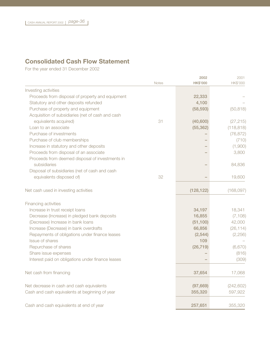# **Consolidated Cash Flow Statement**

For the year ended 31 December 2002

|                                                   |              | 2002<br><b>HK\$'000</b> | 2001<br><b>HK\$'000</b> |
|---------------------------------------------------|--------------|-------------------------|-------------------------|
|                                                   | <b>Notes</b> |                         |                         |
| Investing activities                              |              |                         |                         |
| Proceeds from disposal of property and equipment  |              | 22,333                  |                         |
| Statutory and other deposits refunded             |              | 4,100                   |                         |
| Purchase of property and equipment                |              | (58, 593)               | (50, 818)               |
| Acquisition of subsidiaries (net of cash and cash |              |                         |                         |
| equivalents acquired)                             | 31           | (40, 600)               | (27, 215)               |
| Loan to an associate                              |              | (55, 362)               | (118, 818)              |
| Purchase of investments                           |              |                         | (76, 872)               |
| Purchase of club memberships                      |              |                         | (710)                   |
| Increase in statutory and other deposits          |              |                         | (1,900)                 |
| Proceeds from disposal of an associate            |              |                         | 3,800                   |
| Proceeds from deemed disposal of investments in   |              |                         |                         |
| subsidiaries                                      |              |                         | 84,836                  |
| Disposal of subsidiaries (net of cash and cash    |              |                         |                         |
| equivalents disposed of)                          | 32           |                         | 19,600                  |
| Net cash used in investing activities             |              | (128, 122)              | (168,097)               |
| Financing activities                              |              |                         |                         |
| Increase in trust receipt loans                   |              | 34,197                  | 18,341                  |
| Decrease (Increase) in pledged bank deposits      |              | 16,855                  | (7, 108)                |
| (Decrease) Increase in bank loans                 |              | (51, 100)               | 42,000                  |
| Increase (Decrease) in bank overdrafts            |              | 66,856                  | (26, 114)               |
| Repayments of obligations under finance leases    |              | (2, 544)                | (2, 256)                |
| Issue of shares                                   |              | 109                     |                         |
| Repurchase of shares                              |              | (26, 719)               | (6,670)                 |
| Share issue expenses                              |              |                         | (816)                   |
| Interest paid on obligations under finance leases |              |                         | (309)                   |
|                                                   |              |                         |                         |
| Net cash from financing                           |              | 37,654                  | 17,068                  |
| Net decrease in cash and cash equivalents         |              | (97, 669)               | (242, 602)              |
| Cash and cash equivalents at beginning of year    |              | 355,320                 | 597,922                 |
|                                                   |              |                         |                         |
| Cash and cash equivalents at end of year          |              | 257,651                 | 355,320                 |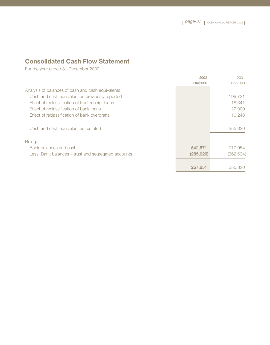# **Consolidated Cash Flow Statement**

For the year ended 31 December 2002

|                                                     | 2002            | 2001            |
|-----------------------------------------------------|-----------------|-----------------|
|                                                     | <b>HK\$'000</b> | <b>HK\$'000</b> |
| Analysis of balances of cash and cash equivalents   |                 |                 |
| Cash and cash equivalent as previously reported     |                 | 199,731         |
| Effect of reclassification of trust receipt loans   |                 | 18,341          |
| Effect of reclassification of bank loans            |                 | 127,000         |
| Effect of reclassification of bank overdrafts       |                 | 10,248          |
| Cash and cash equivalent as restated                |                 | 355,320         |
| Being:                                              |                 |                 |
| Bank balances and cash                              | 542,671         | 717,954         |
| Less: Bank balances – trust and segregated accounts | (285, 020)      | (362, 634)      |
|                                                     | 257,651         | 355,320         |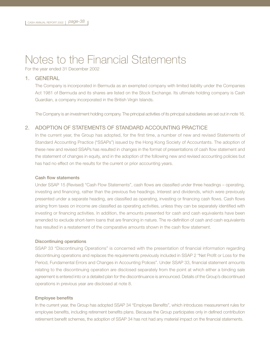For the year ended 31 December 2002

### 1. GENERAL

The Company is incorporated in Bermuda as an exempted company with limited liability under the Companies Act 1981 of Bermuda and its shares are listed on the Stock Exchange. Its ultimate holding company is Cash Guardian, a company incorporated in the British Virgin Islands.

The Company is an investment holding company. The principal activities of its principal subsidiaries are set out in note 16.

### 2. ADOPTION OF STATEMENTS OF STANDARD ACCOUNTING PRACTICE

In the current year, the Group has adopted, for the first time, a number of new and revised Statements of Standard Accounting Practice ("SSAPs") issued by the Hong Kong Society of Accountants. The adoption of these new and revised SSAPs has resulted in changes in the format of presentations of cash flow statement and the statement of changes in equity, and in the adoption of the following new and revised accounting policies but has had no effect on the results for the current or prior accounting years.

#### **Cash flow statements**

Under SSAP 15 (Revised) "Cash Flow Statements", cash flows are classified under three headings – operating, investing and financing, rather than the previous five headings. Interest and dividends, which were previously presented under a separate heading, are classified as operating, investing or financing cash flows. Cash flows arising from taxes on income are classified as operating activities, unless they can be separately identified with investing or financing activities. In addition, the amounts presented for cash and cash equivalents have been amended to exclude short-term loans that are financing in nature. The re-definition of cash and cash equivalents has resulted in a restatement of the comparative amounts shown in the cash flow statement.

#### **Discontinuing operations**

SSAP 33 "Discontinuing Operations" is concerned with the presentation of financial information regarding discontinuing operations and replaces the requirements previously included in SSAP 2 "Net Profit or Loss for the Period, Fundamental Errors and Changes in Accounting Polices". Under SSAP 33, financial statement amounts relating to the discontinuing operation are disclosed separately from the point at which either a binding sale agreement is entered into or a detailed plan for the discontinuance is announced. Details of the Group's discontinued operations in previous year are disclosed at note 8.

#### **Employee benefits**

In the current year, the Group has adopted SSAP 34 "Employee Benefits", which introduces measurement rules for employee benefits, including retirement benefits plans. Because the Group participates only in defined contribution retirement benefit schemes, the adoption of SSAP 34 has not had any material impact on the financial statements.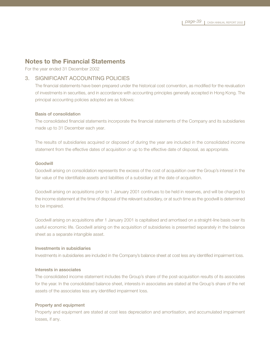For the year ended 31 December 2002

#### 3. SIGNIFICANT ACCOUNTING POLICIES

The financial statements have been prepared under the historical cost convention, as modified for the revaluation of investments in securities, and in accordance with accounting principles generally accepted in Hong Kong. The principal accounting policies adopted are as follows:

#### **Basis of consolidation**

The consolidated financial statements incorporate the financial statements of the Company and its subsidiaries made up to 31 December each year.

The results of subsidiaries acquired or disposed of during the year are included in the consolidated income statement from the effective dates of acquisition or up to the effective date of disposal, as appropriate.

#### **Goodwill**

Goodwill arising on consolidation represents the excess of the cost of acquisition over the Group's interest in the fair value of the identifiable assets and liabilities of a subsidiary at the date of acquisition.

Goodwill arising on acquisitions prior to 1 January 2001 continues to be held in reserves, and will be charged to the income statement at the time of disposal of the relevant subsidiary, or at such time as the goodwill is determined to be impaired.

Goodwill arising on acquisitions after 1 January 2001 is capitalised and amortised on a straight-line basis over its useful economic life. Goodwill arising on the acquisition of subsidiaries is presented separately in the balance sheet as a separate intangible asset.

#### **Investments in subsidiaries**

Investments in subsidiaries are included in the Company's balance sheet at cost less any identified impairment loss.

#### **Interests in associates**

The consolidated income statement includes the Group's share of the post-acquisition results of its associates for the year. In the consolidated balance sheet, interests in associates are stated at the Group's share of the net assets of the associates less any identified impairment loss.

#### **Property and equipment**

Property and equipment are stated at cost less depreciation and amortisation, and accumulated impairment losses, if any.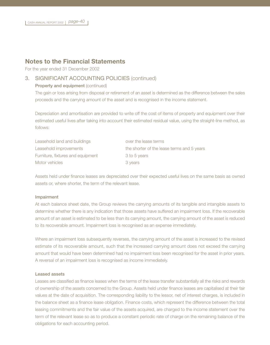For the year ended 31 December 2002

### 3. SIGNIFICANT ACCOUNTING POLICIES (continued)

#### **Property and equipment** (continued)

The gain or loss arising from disposal or retirement of an asset is determined as the difference between the sales proceeds and the carrying amount of the asset and is recognised in the income statement.

Depreciation and amortisation are provided to write off the cost of items of property and equipment over their estimated useful lives after taking into account their estimated residual value, using the straight-line method, as follows:

| Leasehold land and buildings      | over the lease terms                       |
|-----------------------------------|--------------------------------------------|
| Leasehold improvements            | the shorter of the lease terms and 5 years |
| Furniture, fixtures and equipment | 3 to 5 years                               |
| Motor vehicles                    | 3 years                                    |

Assets held under finance leases are depreciated over their expected useful lives on the same basis as owned assets or, where shorter, the term of the relevant lease.

#### **Impairment**

At each balance sheet date, the Group reviews the carrying amounts of its tangible and intangible assets to determine whether there is any indication that those assets have suffered an impairment loss. If the recoverable amount of an asset is estimated to be less than its carrying amount, the carrying amount of the asset is reduced to its recoverable amount. Impairment loss is recognised as an expense immediately.

Where an impairment loss subsequently reverses, the carrying amount of the asset is increased to the revised estimate of its recoverable amount, such that the increased carrying amount does not exceed the carrying amount that would have been determined had no impairment loss been recognised for the asset in prior years. A reversal of an impairment loss is recognised as income immediately.

#### **Leased assets**

Leases are classified as finance leases when the terms of the lease transfer substantially all the risks and rewards of ownership of the assets concerned to the Group. Assets held under finance leases are capitalised at their fair values at the date of acquisition. The corresponding liability to the lessor, net of interest charges, is included in the balance sheet as a finance lease obligation. Finance costs, which represent the difference between the total leasing commitments and the fair value of the assets acquired, are charged to the income statement over the term of the relevant lease so as to produce a constant periodic rate of charge on the remaining balance of the obligations for each accounting period.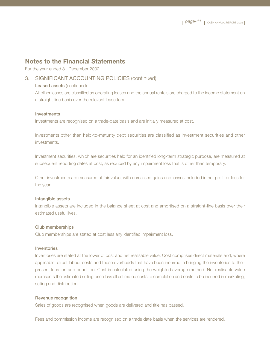For the year ended 31 December 2002

3. SIGNIFICANT ACCOUNTING POLICIES (continued)

#### **Leased assets** (continued)

All other leases are classified as operating leases and the annual rentals are charged to the income statement on a straight-line basis over the relevant lease term.

#### **Investments**

Investments are recognised on a trade-date basis and are initially measured at cost.

Investments other than held-to-maturity debt securities are classified as investment securities and other investments.

Investment securities, which are securities held for an identified long-term strategic purpose, are measured at subsequent reporting dates at cost, as reduced by any impairment loss that is other than temporary.

Other investments are measured at fair value, with unrealised gains and losses included in net profit or loss for the year.

#### **Intangible assets**

Intangible assets are included in the balance sheet at cost and amortised on a straight-line basis over their estimated useful lives.

#### **Club memberships**

Club memberships are stated at cost less any identified impairment loss.

#### **Inventories**

Inventories are stated at the lower of cost and net realisable value. Cost comprises direct materials and, where applicable, direct labour costs and those overheads that have been incurred in bringing the inventories to their present location and condition. Cost is calculated using the weighted average method. Net realisable value represents the estimated selling price less all estimated costs to completion and costs to be incurred in marketing, selling and distribution.

#### **Revenue recognition**

Sales of goods are recognised when goods are delivered and title has passed.

Fees and commission income are recognised on a trade date basis when the services are rendered.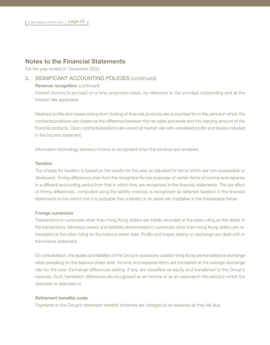For the year ended 31 December 2002

3. SIGNIFICANT ACCOUNTING POLICIES (continued)

#### **Revenue recognition** (continued)

Interest income is accrued on a time proportion basis, by reference to the principal outstanding and at the interest rate applicable.

Realised profits and losses arising from trading of financial products are accounted for in the period in which the contracts/positions are closed as the difference between the net sales proceeds and the carrying amount of the financial products. Open contracts/positions are valued at market rate with unrealised profits and losses included in the income statement.

Information technology advisory income is recognised when the services are rendered.

#### **Taxation**

The charge for taxation is based on the results for the year as adjusted for items which are non-assessable or disallowed. Timing differences arise from the recognition for tax purposes of certain items of income and expense in a different accounting period from that in which they are recognised in the financial statements. The tax effect of timing differences, computed using the liability method, is recognised as deferred taxation in the financial statements to the extent that it is probable that a liability or an asset will crystallise in the foreseeable future.

#### **Foreign currencies**

Transactions in currencies other than Hong Kong dollars are initially recorded at the rates ruling on the dates of the transactions. Monetary assets and liabilities denominated in currencies other than Hong Kong dollars are retranslated at the rates ruling on the balance sheet date. Profits and losses arising on exchange are dealt with in the income statement.

On consolidation, the assets and liabilities of the Group's operations outside Hong Kong are translated at exchange rates prevailing on the balance sheet date. Income and expense items are translated at the average exchange rate for the year. Exchange differences arising, if any, are classified as equity and transferred to the Group's reserves. Such translation differences are recognised as an income or as an expense in the period in which the operation is disposed of.

#### **Retirement benefits costs**

Payments to the Group's retirement benefits schemes are charged as an expense as they fall due.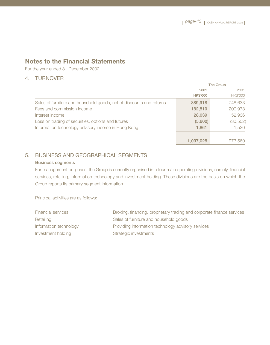For the year ended 31 December 2002

4. TURNOVER

|                                                                      |                 | The Group       |  |  |
|----------------------------------------------------------------------|-----------------|-----------------|--|--|
|                                                                      | 2002            | 2001            |  |  |
|                                                                      | <b>HK\$'000</b> | <b>HK\$'000</b> |  |  |
| Sales of furniture and household goods, net of discounts and returns | 889,918         | 748,633         |  |  |
| Fees and commission income                                           | 182,810         | 200,973         |  |  |
| Interest income                                                      | 28,039          | 52,936          |  |  |
| Loss on trading of securities, options and futures                   | (5,600)         | (30, 502)       |  |  |
| Information technology advisory income in Hong Kong                  | 1,861           | 1,520           |  |  |
|                                                                      | 1,097,028       | 973,560         |  |  |

### 5. BUSINESS AND GEOGRAPHICAL SEGMENTS

#### **Business segments**

For management purposes, the Group is currently organised into four main operating divisions, namely, financial services, retailing, information technology and investment holding. These divisions are the basis on which the Group reports its primary segment information.

Principal activities are as follows:

| <b>Financial services</b> | Broking, financing, proprietary trading and corporate finance services |
|---------------------------|------------------------------------------------------------------------|
| Retailing                 | Sales of furniture and household goods                                 |
| Information technology    | Providing information technology advisory services                     |
| Investment holding        | Strategic investments                                                  |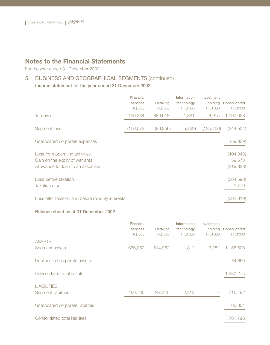For the year ended 31 December 2002

# 5. BUSINESS AND GEOGRAPHICAL SEGMENTS (continued)

### **Income statement for the year ended 31 December 2002**

|                                                                                                        | Financial<br>services<br>HK\$'000 | Retailing<br>HK\$'000 | Information<br>technology<br>HK\$'000 | Investment<br>holding<br>HK\$'000 | Consolidated<br>HK\$'000           |
|--------------------------------------------------------------------------------------------------------|-----------------------------------|-----------------------|---------------------------------------|-----------------------------------|------------------------------------|
| Turnover                                                                                               | 196,334                           | 889,918               | 1,861                                 | 8.915                             | 1,097,028                          |
| Segment loss                                                                                           | (106, 573)                        | (96, 856)             | (5,869)                               | (135, 206)                        | (344, 504)                         |
| Unallocated corporate expenses                                                                         |                                   |                       |                                       |                                   | (59, 839)                          |
| Loss from operating activities<br>Gain on the expiry of warrants<br>Allowance for loan to an associate |                                   |                       |                                       |                                   | (404, 343)<br>59,573<br>(219, 828) |
| Loss before taxation<br><b>Taxation credit</b>                                                         |                                   |                       |                                       |                                   | (564, 598)<br>1,779                |
| Loss after taxation and before minority interests                                                      |                                   |                       |                                       |                                   | (562, 819)                         |

### **Balance sheet as at 31 December 2002**

|                                   | Financial       |           | <b>Information</b> | Investment |              |
|-----------------------------------|-----------------|-----------|--------------------|------------|--------------|
|                                   | services        | Retailing | technology         | holding    | Consolidated |
|                                   | <b>HK\$'000</b> | HK\$'000  | HK\$'000           | HK\$'000   | HK\$'000     |
| <b>ASSETS</b>                     |                 |           |                    |            |              |
| Segment assets                    | 636,050         | 514,962   | 1,312              | 3,282      | 1,155,606    |
| Unallocated corporate assets      |                 |           |                    |            | 74,669       |
| Consolidated total assets         |                 |           |                    |            | 1,230,275    |
| <b>LIABILITIES</b>                |                 |           |                    |            |              |
| Segment liabilities               | 466,735         | 247,445   | 2,312              |            | 716,492      |
| Unallocated corporate liabilities |                 |           |                    |            | 65,304       |
| Consolidated total liabilities    |                 |           |                    |            | 781,796      |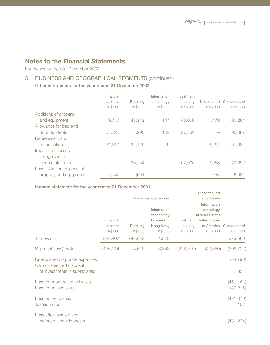For the year ended 31 December 2002

# 5. BUSINESS AND GEOGRAPHICAL SEGMENTS (continued)

### **Other information for the year ended 31 December 2002**

|                            | Financial       |                 | Information     | Investment      |                 |                 |
|----------------------------|-----------------|-----------------|-----------------|-----------------|-----------------|-----------------|
|                            | services        | Retailing       | technology      | holding         | Unallocated     | Consolidated    |
|                            | <b>HK\$'000</b> | <b>HK\$'000</b> | <b>HK\$'000</b> | <b>HK\$'000</b> | <b>HK\$'000</b> | <b>HK\$'000</b> |
| Additions of property      |                 |                 |                 |                 |                 |                 |
| and equipment              | 9.717           | 48,942          | 147             | 40,000          | 1,478           | 100,284         |
| Allowance for bad and      |                 |                 |                 |                 |                 |                 |
| doubtful debts             | 63,726          | 3,990           | 182             | 27,789          |                 | 95,687          |
| Depreciation and           |                 |                 |                 |                 |                 |                 |
| amortisation               | 24,210          | 34,116          | 46              |                 | 3,462           | 61,834          |
| Impairment losses          |                 |                 |                 |                 |                 |                 |
| recognised in              |                 |                 |                 |                 |                 |                 |
| income statement           |                 | 38,734          |                 | 107,000         | 3.958           | 149,692         |
| Loss (Gain) on disposal of |                 |                 |                 |                 |                 |                 |
| property and equipment     | 5.737           | (591)           |                 |                 | 935             | 6,081           |

#### **Income statement for the year ended 31 December 2001**

|                                                                                             | <b>Continuing operations</b>                    |                              |                                                                          |                            | <b>Discontinued</b><br>operations                                                                                |                          |
|---------------------------------------------------------------------------------------------|-------------------------------------------------|------------------------------|--------------------------------------------------------------------------|----------------------------|------------------------------------------------------------------------------------------------------------------|--------------------------|
|                                                                                             | <b>Financial</b><br>services<br><b>HK\$'000</b> | Retailing<br><b>HK\$'000</b> | Information<br>technology<br>business in<br>Hong Kong<br><b>HK\$'000</b> | holding<br><b>HK\$'000</b> | Information<br>technology<br>business in the<br><b>Investment</b> United States<br>of America<br><b>HK\$'000</b> | Consolidated<br>HK\$'000 |
| Turnover                                                                                    | 223,407                                         | 748,633                      | 1,520                                                                    |                            |                                                                                                                  | 973,560                  |
| Segment (loss) profit                                                                       | (136, 914)                                      | 14,616                       | (3,846)                                                                  | (228, 919)                 | (43, 659)                                                                                                        | (398, 722)               |
| Unallocated corporate expenses<br>Gain on deemed disposal<br>of investments in subsidiaries |                                                 |                              |                                                                          |                            |                                                                                                                  | (54, 790)<br>2,351       |
| Loss from operating activities<br>Loss from associates                                      |                                                 |                              |                                                                          |                            |                                                                                                                  | (451, 161)<br>(30, 215)  |
| Loss before taxation<br><b>Taxation credit</b>                                              |                                                 |                              |                                                                          |                            |                                                                                                                  | (481, 376)<br>152        |
| Loss after taxation and<br>before minority interests                                        |                                                 |                              |                                                                          |                            |                                                                                                                  | (481, 224)               |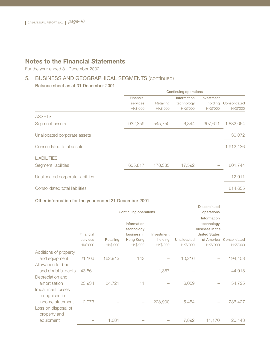For the year ended 31 December 2002

# 5. BUSINESS AND GEOGRAPHICAL SEGMENTS (continued)

### **Balance sheet as at 31 December 2001**

|                                   | <b>Continuing operations</b> |                       |                        |                            |                          |
|-----------------------------------|------------------------------|-----------------------|------------------------|----------------------------|--------------------------|
|                                   | Financial                    |                       | Information            | Investment                 |                          |
|                                   | services<br>HK\$'000         | Retailing<br>HK\$'000 | technology<br>HK\$'000 | holding<br><b>HK\$'000</b> | Consolidated<br>HK\$'000 |
| <b>ASSETS</b>                     |                              |                       |                        |                            |                          |
| Segment assets                    | 932,359                      | 545,750               | 6,344                  | 397,611                    | 1,882,064                |
| Unallocated corporate assets      |                              |                       |                        |                            | 30,072                   |
| Consolidated total assets         |                              |                       |                        |                            | 1,912,136                |
| <b>LIABILITIES</b>                |                              |                       |                        |                            |                          |
| Segment liabilities               | 605,817                      | 178,335               | 17,592                 |                            | 801,744                  |
| Unallocated corporate liabilities |                              |                       |                        |                            | 12,911                   |
| Consolidated total liabilities    |                              |                       |                        |                            | 814,655                  |

#### **Other information for the year ended 31 December 2001**

|                                         | <b>Continuing operations</b> |                 |                                                              |                       |             |                                                                                    |                 |
|-----------------------------------------|------------------------------|-----------------|--------------------------------------------------------------|-----------------------|-------------|------------------------------------------------------------------------------------|-----------------|
|                                         | Financial<br>services        | Retailing       | Information<br>technology<br>business in<br><b>Hong Kong</b> | Investment<br>holding | Unallocated | Information<br>technology<br>business in the<br><b>United States</b><br>of America | Consolidated    |
|                                         | HK\$'000                     | <b>HK\$'000</b> | HK\$'000                                                     | <b>HK\$'000</b>       | HK\$'000    | <b>HK\$'000</b>                                                                    | <b>HK\$'000</b> |
| Additions of property                   |                              |                 |                                                              |                       |             |                                                                                    |                 |
| and equipment<br>Allowance for bad      | 21,106                       | 162,943         | 143                                                          |                       | 10,216      |                                                                                    | 194,408         |
| and doubtful debts<br>Depreciation and  | 43,561                       |                 |                                                              | 1,357                 |             |                                                                                    | 44,918          |
| amortisation                            | 23,934                       | 24,721          | 11                                                           |                       | 6,059       |                                                                                    | 54,725          |
| Impairment losses<br>recognised in      |                              |                 |                                                              |                       |             |                                                                                    |                 |
| income statement<br>Loss on disposal of | 2,073                        |                 |                                                              | 228,900               | 5,454       |                                                                                    | 236,427         |
| property and                            |                              |                 |                                                              |                       |             |                                                                                    |                 |
| equipment                               |                              | 1,081           |                                                              |                       | 7,892       | 11,170                                                                             | 20,143          |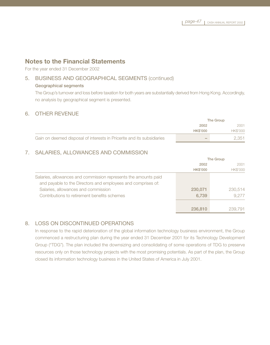For the year ended 31 December 2002

### 5. BUSINESS AND GEOGRAPHICAL SEGMENTS (continued)

#### **Geographical segments**

The Group's turnover and loss before taxation for both years are substantially derived from Hong Kong. Accordingly, no analysis by geographical segment is presented.

### 6. OTHER REVENUE

|                                                                        |                 | The Group       |
|------------------------------------------------------------------------|-----------------|-----------------|
|                                                                        | 2002            | 2001            |
|                                                                        | <b>HK\$'000</b> | <b>HK\$'000</b> |
| Gain on deemed disposal of interests in Pricerite and its subsidiaries | $\sim$          | 2.351           |

### 7. SALARIES, ALLOWANCES AND COMMISSION

|                                                                 | The Group       |                 |  |
|-----------------------------------------------------------------|-----------------|-----------------|--|
|                                                                 | 2002            | 2001            |  |
|                                                                 | <b>HK\$'000</b> | <b>HK\$'000</b> |  |
| Salaries, allowances and commission represents the amounts paid |                 |                 |  |
| and payable to the Directors and employees and comprises of:    |                 |                 |  |
| Salaries, allowances and commission                             | 230,071         | 230,514         |  |
| Contributions to retirement benefits schemes                    | 6,739           | 9,277           |  |
|                                                                 |                 |                 |  |
|                                                                 | 236,810         | 239.791         |  |

### 8. LOSS ON DISCONTINUED OPERATIONS

In response to the rapid deterioration of the global information technology business environment, the Group commenced a restructuring plan during the year ended 31 December 2001 for its Technology Development Group ("TDG"). The plan included the downsizing and consolidating of some operations of TDG to preserve resources only on those technology projects with the most promising potentials. As part of the plan, the Group closed its information technology business in the United States of America in July 2001.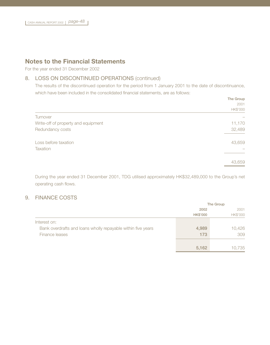For the year ended 31 December 2002

# 8. LOSS ON DISCONTINUED OPERATIONS (continued)

The results of the discontinued operation for the period from 1 January 2001 to the date of discontinuance, which have been included in the consolidated financial statements, are as follows:

|                                     | The Group |
|-------------------------------------|-----------|
|                                     | 2001      |
|                                     | HK\$'000  |
| Turnover                            |           |
| Write-off of property and equipment | 11,170    |
| Redundancy costs                    | 32,489    |
| Loss before taxation                | 43,659    |
| Taxation                            |           |
|                                     | 43,659    |

During the year ended 31 December 2001, TDG utilised approximately HK\$32,489,000 to the Group's net operating cash flows.

# 9. FINANCE COSTS

|                                                              |                 | The Group |  |  |
|--------------------------------------------------------------|-----------------|-----------|--|--|
|                                                              | 2002            | 2001      |  |  |
|                                                              | <b>HK\$'000</b> | HK\$'000  |  |  |
| Interest on:                                                 |                 |           |  |  |
| Bank overdrafts and loans wholly repayable within five years | 4,989           | 10,426    |  |  |
| Finance leases                                               | 173             | 309       |  |  |
|                                                              |                 |           |  |  |
|                                                              | 5.162           | 10.735    |  |  |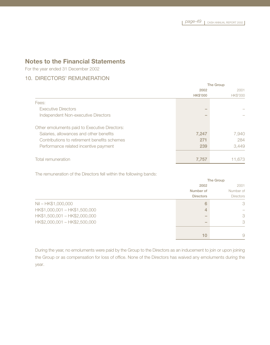For the year ended 31 December 2002

# 10. DIRECTORS' REMUNERATION

|                                               |                 | The Group |  |  |
|-----------------------------------------------|-----------------|-----------|--|--|
|                                               | 2002            | 2001      |  |  |
|                                               | <b>HK\$'000</b> | HK\$'000  |  |  |
| Fees:                                         |                 |           |  |  |
| Executive Directors                           |                 |           |  |  |
| Independent Non-executive Directors           |                 |           |  |  |
| Other emoluments paid to Executive Directors: |                 |           |  |  |
| Salaries, allowances and other benefits       | 7,247           | 7,940     |  |  |
| Contributions to retirement benefits schemes  | 271             | 284       |  |  |
| Performance related incentive payment         | 239             | 3,449     |  |  |
| Total remuneration                            | 7.757           | 11,673    |  |  |

The remuneration of the Directors fell within the following bands:

|                               | The Group        |                  |  |
|-------------------------------|------------------|------------------|--|
|                               | 2002             | 2001             |  |
|                               | Number of        | Number of        |  |
|                               | <b>Directors</b> | <b>Directors</b> |  |
| Nil - HK\$1,000,000           | 6                | 3                |  |
| HK\$1,000,001 - HK\$1,500,000 | 4                |                  |  |
| HK\$1,500,001 - HK\$2,000,000 |                  | 3                |  |
| HK\$2,000,001 - HK\$2,500,000 |                  | 3                |  |
|                               |                  |                  |  |
|                               | 10               | 9                |  |

During the year, no emoluments were paid by the Group to the Directors as an inducement to join or upon joining the Group or as compensation for loss of office. None of the Directors has waived any emoluments during the year.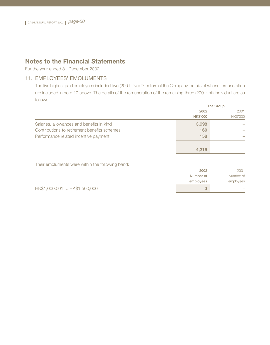For the year ended 31 December 2002

# 11. EMPLOYEES' EMOLUMENTS

The five highest paid employees included two (2001: five) Directors of the Company, details of whose remuneration are included in note 10 above. The details of the remuneration of the remaining three (2001: nil) individual are as follows:

|                                              | The Group       |                 |  |
|----------------------------------------------|-----------------|-----------------|--|
|                                              | 2002            | 2001            |  |
|                                              | <b>HK\$'000</b> | <b>HK\$'000</b> |  |
| Salaries, allowances and benefits in kind    | 3,998           |                 |  |
| Contributions to retirement benefits schemes | 160             |                 |  |
| Performance related incentive payment        | 158             |                 |  |
|                                              |                 |                 |  |
|                                              | 4.316           |                 |  |

Their emoluments were within the following band:

|                                | 2002      | 2001                     |  |
|--------------------------------|-----------|--------------------------|--|
|                                | Number of | Number of                |  |
|                                | employees | employees                |  |
| HK\$1,000,001 to HK\$1,500,000 |           | $\overline{\phantom{a}}$ |  |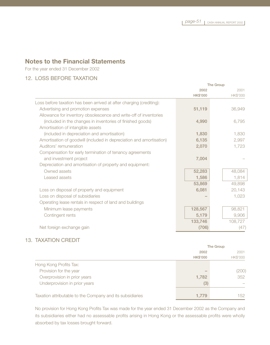For the year ended 31 December 2002

### 12. LOSS BEFORE TAXATION

|                                                                      | The Group       |                 |
|----------------------------------------------------------------------|-----------------|-----------------|
|                                                                      | 2002            | 2001            |
|                                                                      | <b>HK\$'000</b> | <b>HK\$'000</b> |
| Loss before taxation has been arrived at after charging (crediting): |                 |                 |
| Advertising and promotion expenses                                   | 51,119          | 36,949          |
| Allowance for inventory obsolescence and write-off of inventories    |                 |                 |
| (included in the changes in inventories of finished goods)           | 4,990           | 6,795           |
| Amortisation of intangible assets                                    |                 |                 |
| (included in depreciation and amortisation)                          | 1,830           | 1,830           |
| Amortisation of goodwill (included in depreciation and amortisation) | 6,135           | 2,997           |
| Auditors' remuneration                                               | 2,070           | 1,723           |
| Compensation for early termination of tenancy agreements             |                 |                 |
| and investment project                                               | 7,004           |                 |
| Depreciation and amortisation of property and equipment:             |                 |                 |
| Owned assets                                                         | 52,283          | 48,084          |
| Leased assets                                                        | 1,586           | 1,814           |
|                                                                      | 53,869          | 49,898          |
| Loss on disposal of property and equipment                           | 6,081           | 20,143          |
| Loss on disposal of subsidiaries                                     |                 | 1,023           |
| Operating lease rentals in respect of land and buildings             |                 |                 |
| Minimum lease payments                                               | 128,567         | 98,821          |
| Contingent rents                                                     | 5,179           | 9,906           |
|                                                                      | 133,746         | 108,727         |
| Net foreign exchange gain                                            | (706)           | (47)            |

### 13. TAXATION CREDIT

|                                                           |                 | The Group       |  |  |
|-----------------------------------------------------------|-----------------|-----------------|--|--|
|                                                           | 2002            | 2001            |  |  |
|                                                           | <b>HK\$'000</b> | <b>HK\$'000</b> |  |  |
| Hong Kong Profits Tax:                                    |                 |                 |  |  |
| Provision for the year                                    |                 | (200)           |  |  |
| Overprovision in prior years                              | 1,782           | 352             |  |  |
| Underprovision in prior years                             | (3)             |                 |  |  |
|                                                           |                 |                 |  |  |
| Taxation attributable to the Company and its subsidiaries | 1.779           | 152             |  |  |

No provision for Hong Kong Profits Tax was made for the year ended 31 December 2002 as the Company and its subsidiaries either had no assessable profits arising in Hong Kong or the assessable profits were wholly absorbed by tax losses brought forward.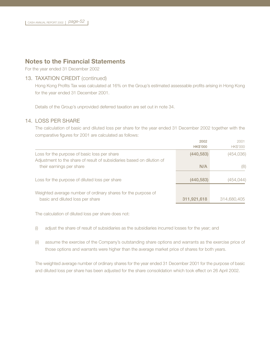For the year ended 31 December 2002

#### 13. TAXATION CREDIT (continued)

Hong Kong Profits Tax was calculated at 16% on the Group's estimated assessable profits arising in Hong Kong for the year ended 31 December 2001.

Details of the Group's unprovided deferred taxation are set out in note 34.

#### 14. LOSS PER SHARE

The calculation of basic and diluted loss per share for the year ended 31 December 2002 together with the comparative figures for 2001 are calculated as follows:

|                                                                                                                        | 2002<br><b>HK\$'000</b> | 2001<br><b>HK\$'000</b> |
|------------------------------------------------------------------------------------------------------------------------|-------------------------|-------------------------|
| Loss for the purpose of basic loss per share<br>Adjustment to the share of result of subsidiaries based on dilution of | (440, 583)              | (454, 036)              |
| their earnings per share                                                                                               | N/A                     | (8)                     |
| Loss for the purpose of diluted loss per share                                                                         | (440, 583)              | (454,044)               |
| Weighted average number of ordinary shares for the purpose of<br>basic and diluted loss per share                      | 311,921,618             | 314,680,405             |

The calculation of diluted loss per share does not:

- (i) adjust the share of result of subsidiaries as the subsidiaries incurred losses for the year; and
- (ii) assume the exercise of the Company's outstanding share options and warrants as the exercise price of those options and warrants were higher than the average market price of shares for both years.

The weighted average number of ordinary shares for the year ended 31 December 2001 for the purpose of basic and diluted loss per share has been adjusted for the share consolidation which took effect on 26 April 2002.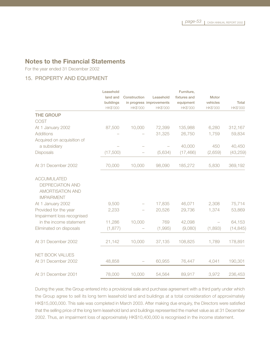For the year ended 31 December 2002

### 15. PROPERTY AND EQUIPMENT

|                                                                                               | Leasehold |                 |                          | Furniture,   |                 |           |
|-----------------------------------------------------------------------------------------------|-----------|-----------------|--------------------------|--------------|-----------------|-----------|
|                                                                                               | land and  | Construction    | Leasehold                | fixtures and | Motor           |           |
|                                                                                               | buildings |                 | in progress improvements | equipment    | vehicles        | Total     |
|                                                                                               | HK\$'000  | <b>HK\$'000</b> | <b>HK\$'000</b>          | HK\$'000     | <b>HK\$'000</b> | HK\$'000  |
| <b>THE GROUP</b>                                                                              |           |                 |                          |              |                 |           |
| <b>COST</b>                                                                                   |           |                 |                          |              |                 |           |
| At 1 January 2002                                                                             | 87,500    | 10,000          | 72,399                   | 135,988      | 6,280           | 312,167   |
| <b>Additions</b>                                                                              |           |                 | 31,325                   | 26,750       | 1,759           | 59,834    |
| Acquired on acquisition of                                                                    |           |                 |                          |              |                 |           |
| a subsidiary                                                                                  |           |                 |                          | 40,000       | 450             | 40,450    |
| <b>Disposals</b>                                                                              | (17,500)  |                 | (5,634)                  | (17, 466)    | (2,659)         | (43, 259) |
| At 31 December 2002                                                                           | 70,000    | 10,000          | 98,090                   | 185,272      | 5,830           | 369,192   |
| <b>ACCUMULATED</b><br><b>DEPRECIATION AND</b><br><b>AMORTISATION AND</b><br><b>IMPAIRMENT</b> |           |                 |                          |              |                 |           |
| At 1 January 2002                                                                             | 9,500     |                 | 17,835                   | 46,071       | 2,308           | 75,714    |
| Provided for the year                                                                         | 2,233     |                 | 20,526                   | 29,736       | 1,374           | 53,869    |
| Impairment loss recognised                                                                    |           |                 |                          |              |                 |           |
| in the income statement                                                                       | 11,286    | 10,000          | 769                      | 42,098       |                 | 64,153    |
| Eliminated on disposals                                                                       | (1, 877)  |                 | (1,995)                  | (9,080)      | (1,893)         | (14, 845) |
| At 31 December 2002                                                                           | 21,142    | 10,000          | 37,135                   | 108,825      | 1,789           | 178,891   |
| NET BOOK VALUES                                                                               |           |                 |                          |              |                 |           |
| At 31 December 2002                                                                           | 48,858    |                 | 60,955                   | 76,447       | 4,041           | 190,301   |
| At 31 December 2001                                                                           | 78,000    | 10,000          | 54,564                   | 89,917       | 3,972           | 236,453   |

During the year, the Group entered into a provisional sale and purchase agreement with a third party under which the Group agree to sell its long term leasehold land and buildings at a total consideration of approximately HK\$15,000,000. This sale was completed in March 2003. After making due enquiry, the Directors were satisfied that the selling price of the long term leasehold land and buildings represented the market value as at 31 December 2002. Thus, an impairment loss of approximately HK\$10,400,000 is recognised in the income statement.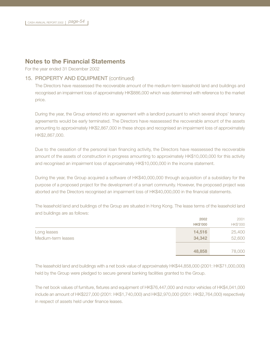For the year ended 31 December 2002

#### 15. PROPERTY AND EQUIPMENT (continued)

The Directors have reassessed the recoverable amount of the medium-term leasehold land and buildings and recognised an impairment loss of approximately HK\$886,000 which was determined with reference to the market price.

During the year, the Group entered into an agreement with a landlord pursuant to which several shops' tenancy agreements would be early terminated. The Directors have reassessed the recoverable amount of the assets amounting to approximately HK\$2,867,000 in these shops and recognised an impairment loss of approximately HK\$2,867,000.

Due to the cessation of the personal loan financing activity, the Directors have reassessed the recoverable amount of the assets of construction in progress amounting to approximately HK\$10,000,000 for this activity and recognised an impairment loss of approximately HK\$10,000,000 in the income statement.

During the year, the Group acquired a software of HK\$40,000,000 through acquisition of a subsidiary for the purpose of a proposed project for the development of a smart community. However, the proposed project was aborted and the Directors recognised an impairment loss of HK\$40,000,000 in the financial statements.

The leasehold land and buildings of the Group are situated in Hong Kong. The lease terms of the leasehold land and buildings are as follows:

|                    | 2002            | 2001     |
|--------------------|-----------------|----------|
|                    | <b>HK\$'000</b> | HK\$'000 |
| Long leases        | 14,516          | 25,400   |
| Medium-term leases | 34,342          | 52,600   |
|                    |                 |          |
|                    | 48,858          | 78,000   |

The leasehold land and buildings with a net book value of approximately HK\$44,858,000 (2001: HK\$71,000,000) held by the Group were pledged to secure general banking facilities granted to the Group.

The net book values of furniture, fixtures and equipment of HK\$76,447,000 and motor vehicles of HK\$4,041,000 include an amount of HK\$227,000 (2001: HK\$1,740,000) and HK\$2,970,000 (2001: HK\$2,764,000) respectively in respect of assets held under finance leases.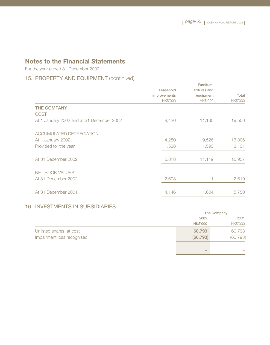For the year ended 31 December 2002

# 15. PROPERTY AND EQUIPMENT (continued)

|                                           |                 | Furniture,      | Total    |
|-------------------------------------------|-----------------|-----------------|----------|
|                                           | Leasehold       | fixtures and    |          |
|                                           | improvements    | equipment       |          |
|                                           | <b>HK\$'000</b> | <b>HK\$'000</b> | HK\$'000 |
| <b>THE COMPANY</b>                        |                 |                 |          |
| <b>COST</b>                               |                 |                 |          |
| At 1 January 2002 and at 31 December 2002 | 8,426           | 11,130          | 19,556   |
| ACCUMULATED DEPRECIATION                  |                 |                 |          |
| At 1 January 2002                         | 4,280           | 9,526           | 13,806   |
| Provided for the year                     | 1,538           | 1,593           | 3,131    |
| At 31 December 2002                       | 5,818           | 11,119          | 16,937   |
| NET BOOK VALUES                           |                 |                 |          |
| At 31 December 2002                       | 2,608           | 11              | 2,619    |
| At 31 December 2001                       | 4,146           | 1,604           | 5,750    |

### 16. INVESTMENTS IN SUBSIDIARIES

|                            |                 | The Company |  |  |
|----------------------------|-----------------|-------------|--|--|
|                            | 2002            | 2001        |  |  |
|                            | <b>HK\$'000</b> | HK\$'000    |  |  |
| Unlisted shares, at cost   | 60,793          | 60,793      |  |  |
| Impairment loss recognised | (60, 793)       | (60, 793)   |  |  |
|                            |                 |             |  |  |
|                            |                 |             |  |  |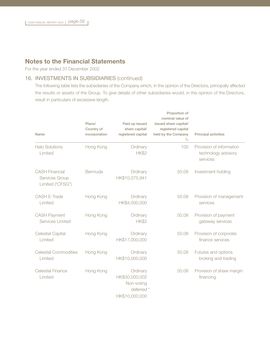For the year ended 31 December 2002

# 16. INVESTMENTS IN SUBSIDIARIES (continued)

The following table lists the subsidiaries of the Company which, in the opinion of the Directors, principally affected the results or assets of the Group. To give details of other subsidiaries would, in the opinion of the Directors, result in particulars of excessive length.

| <b>Name</b>                                                 | Place/<br>Country of<br>incorporation | Paid up issued<br>share capital/<br>registered capital                   | Proportion of<br>nominal value of<br>issued share capital/<br>registered capital<br>held by the Company<br>$\%$ | <b>Principal activities</b>                                 |
|-------------------------------------------------------------|---------------------------------------|--------------------------------------------------------------------------|-----------------------------------------------------------------------------------------------------------------|-------------------------------------------------------------|
| <b>Halo Solutions</b><br>Limited                            | Hong Kong                             | Ordinary<br><b>HK\$2</b>                                                 | 100                                                                                                             | Provision of information<br>technology advisory<br>services |
| <b>CASH Financial</b><br>Services Group<br>Limited ("CFSG") | Bermuda                               | Ordinary<br>HK\$10,075,941                                               | 50.08                                                                                                           | Investment holding                                          |
| <b>CASH E-Trade</b><br>Limited                              | Hong Kong                             | Ordinary<br>HK\$4,000,000                                                | 50.08                                                                                                           | Provision of management<br>services                         |
| <b>CASH Payment</b><br><b>Services Limited</b>              | Hong Kong                             | Ordinary<br><b>HK\$2</b>                                                 | 50.08                                                                                                           | Provision of payment<br>gateway services                    |
| <b>Celestial Capital</b><br>Limited                         | Hong Kong                             | Ordinary<br>HK\$17,000,000                                               | 50.08                                                                                                           | Provision of corporate<br>finance services                  |
| <b>Celestial Commodities</b><br>Limited                     | Hong Kong                             | Ordinary<br>HK\$10,000,000                                               | 50.08                                                                                                           | Futures and options<br>broking and trading                  |
| <b>Celestial Finance</b><br>Limited                         | Hong Kong                             | Ordinary<br>HK\$30,000,002<br>Non-voting<br>deferred *<br>HK\$10,000,000 | 50.08                                                                                                           | Provision of share margin<br>financing                      |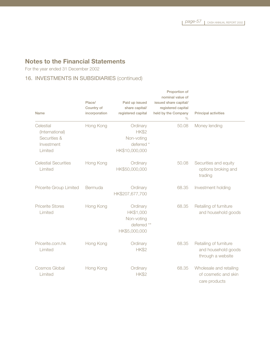For the year ended 31 December 2002

# 16. INVESTMENTS IN SUBSIDIARIES (continued)

| <b>Name</b>                                                           | Place/<br>Country of<br>incorporation | Paid up issued<br>share capital/<br>registered capital                 | Proportion of<br>nominal value of<br>issued share capital/<br>registered capital<br>held by the Company<br>$\%$ | <b>Principal activities</b>                                        |
|-----------------------------------------------------------------------|---------------------------------------|------------------------------------------------------------------------|-----------------------------------------------------------------------------------------------------------------|--------------------------------------------------------------------|
| Celestial<br>(International)<br>Securities &<br>Investment<br>Limited | Hong Kong                             | Ordinary<br><b>HK\$2</b><br>Non-voting<br>deferred *<br>HK\$10,000,000 | 50.08                                                                                                           | Money lending                                                      |
| <b>Celestial Securities</b><br>Limited                                | Hong Kong                             | Ordinary<br>HK\$50,000,000                                             | 50.08                                                                                                           | Securities and equity<br>options broking and<br>trading            |
| <b>Pricerite Group Limited</b>                                        | Bermuda                               | Ordinary<br>HK\$207,677,700                                            | 68.35                                                                                                           | Investment holding                                                 |
| <b>Pricerite Stores</b><br>Limited                                    | Hong Kong                             | Ordinary<br>HK\$1,000<br>Non-voting<br>deferred **<br>HK\$5,000,000    | 68.35                                                                                                           | Retailing of furniture<br>and household goods                      |
| Pricerite.com.hk<br>Limited                                           | Hong Kong                             | Ordinary<br><b>HK\$2</b>                                               | 68.35                                                                                                           | Retailing of furniture<br>and household goods<br>through a website |
| <b>Cosmos Global</b><br>Limited                                       | Hong Kong                             | Ordinary<br><b>HK\$2</b>                                               | 68.35                                                                                                           | Wholesale and retailing<br>of cosmetic and skin<br>care products   |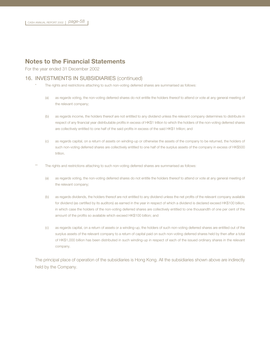For the year ended 31 December 2002

#### 16. INVESTMENTS IN SUBSIDIARIES (continued)

- The rights and restrictions attaching to such non-voting deferred shares are summarised as follows:
	- (a) as regards voting, the non-voting deferred shares do not entitle the holders thereof to attend or vote at any general meeting of the relevant company;
	- (b) as regards income, the holders thereof are not entitled to any dividend unless the relevant company determines to distribute in respect of any financial year distributable profits in excess of HK\$1 trillion to which the holders of the non-voting deferred shares are collectively entitled to one half of the said profits in excess of the said HK\$1 trillion; and
	- (c) as regards capital, on a return of assets on winding-up or otherwise the assets of the company to be returned, the holders of such non-voting deferred shares are collectively entitled to one half of the surplus assets of the company in excess of HK\$500 trillion.
- The rights and restrictions attaching to such non-voting deferred shares are summarised as follows:
	- (a) as regards voting, the non-voting deferred shares do not entitle the holders thereof to attend or vote at any general meeting of the relevant company;
	- (b) as regards dividends, the holders thereof are not entitled to any dividend unless the net profits of the relevant company available for dividend (as certified by its auditors) as earned in the year in respect of which a dividend is declared exceed HK\$100 billion, in which case the holders of the non-voting deferred shares are collectively entitled to one thousandth of one per cent of the amount of the profits so available which exceed HK\$100 billion; and
	- (c) as regards capital, on a return of assets or a winding-up, the holders of such non-voting deferred shares are entitled out of the surplus assets of the relevant company to a return of capital paid on such non-voting deferred shares held by then after a total of HK\$1,000 billion has been distributed in such winding-up in respect of each of the issued ordinary shares in the relevant company.

The principal place of operation of the subsidiaries is Hong Kong. All the subsidiaries shown above are indirectly held by the Company.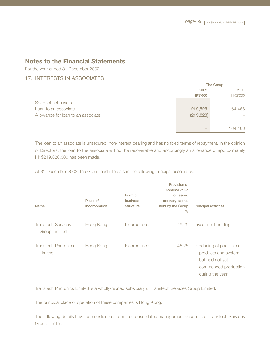For the year ended 31 December 2002

### 17. INTERESTS IN ASSOCIATES

|                                    |                 | The Group |
|------------------------------------|-----------------|-----------|
|                                    | 2002            | 2001      |
|                                    | <b>HK\$'000</b> | HK\$'000  |
| Share of net assets                |                 |           |
| Loan to an associate               | 219,828         | 164,466   |
| Allowance for loan to an associate | (219, 828)      |           |
|                                    |                 |           |
|                                    |                 | 164,466   |

The loan to an associate is unsecured, non-interest bearing and has no fixed terms of repayment. In the opinion of Directors, the loan to the associate will not be recoverable and accordingly an allowance of approximately HK\$219,828,000 has been made.

At 31 December 2002, the Group had interests in the following principal associates:

| <b>Name</b>                                       | Place of<br>incorporation | Form of<br>business<br>structure | Provision of<br>nominal value<br>of issued<br>ordinary capital<br>held by the Group<br>$\%$ | <b>Principal activities</b>                                                                                 |
|---------------------------------------------------|---------------------------|----------------------------------|---------------------------------------------------------------------------------------------|-------------------------------------------------------------------------------------------------------------|
| <b>Transtech Services</b><br><b>Group Limited</b> | Hong Kong                 | Incorporated                     | 46.25                                                                                       | Investment holding                                                                                          |
| <b>Transtech Photonics</b><br>Limited             | Hong Kong                 | Incorporated                     | 46.25                                                                                       | Producing of photonics<br>products and system<br>but had not yet<br>commenced production<br>during the year |

Transtech Photonics Limited is a wholly-owned subsidiary of Transtech Services Group Limited.

The principal place of operation of these companies is Hong Kong.

The following details have been extracted from the consolidated management accounts of Transtech Services Group Limited.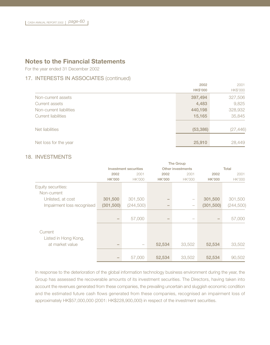For the year ended 31 December 2002

### 17. INTERESTS IN ASSOCIATES (continued)

|                         | 2002            | 2001            |
|-------------------------|-----------------|-----------------|
|                         | <b>HK\$'000</b> | <b>HK\$'000</b> |
| Non-current assets      | 397,494         | 327,506         |
| Current assets          | 4,483           | 9,825           |
| Non-current liabilities | 440,198         | 328,932         |
| Current liabilities     | 15,165          | 35,845          |
| Net liabilities         | (53, 386)       | (27, 446)       |
| Net loss for the year   | 25,910          | 28,449          |

### 18. INVESTMENTS

|                            |                       |                          |               | <b>The Group</b>  |               |               |
|----------------------------|-----------------------|--------------------------|---------------|-------------------|---------------|---------------|
|                            | Investment securities |                          |               | Other investments | Total         |               |
|                            | 2002                  | 2001                     | 2002          | 2001              | 2002          | 2001          |
|                            | <b>HK'000</b>         | <b>HK'000</b>            | <b>HK'000</b> | <b>HK'000</b>     | <b>HK'000</b> | <b>HK'000</b> |
| Equity securities:         |                       |                          |               |                   |               |               |
| Non-current                |                       |                          |               |                   |               |               |
| Unlisted, at cost          | 301,500               | 301,500                  |               | -                 | 301,500       | 301,500       |
| Impairment loss recognised | (301, 500)            | (244, 500)               |               | -                 | (301, 500)    | (244, 500)    |
|                            |                       |                          |               |                   |               |               |
|                            |                       | 57,000                   |               |                   |               | 57,000        |
|                            |                       |                          |               |                   |               |               |
| Current                    |                       |                          |               |                   |               |               |
| Listed in Hong Kong,       |                       |                          |               |                   |               |               |
| at market value            |                       | $\overline{\phantom{0}}$ | 52,534        | 33,502            | 52,534        | 33,502        |
|                            |                       |                          |               |                   |               |               |
|                            |                       | 57,000                   | 52,534        | 33,502            | 52,534        | 90,502        |

In response to the deterioration of the global information technology business environment during the year, the Group has assessed the recoverable amounts of its investment securities. The Directors, having taken into account the revenues generated from these companies, the prevailing uncertain and sluggish economic condition and the estimated future cash flows generated from these companies, recognised an impairment loss of approximately HK\$57,000,000 (2001: HK\$228,900,000) in respect of the investment securities.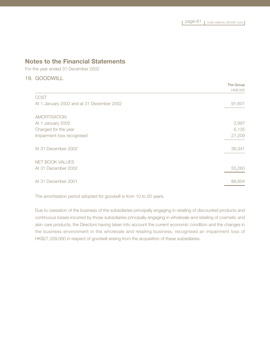For the year ended 31 December 2002

### 19. GOODWILL

|                                           | The Group<br>HK\$'000 |
|-------------------------------------------|-----------------------|
| <b>COST</b>                               |                       |
| At 1 January 2002 and at 31 December 2002 | 91,601                |
| <b>AMORTISATION</b>                       |                       |
| At 1 January 2002                         | 2,997                 |
| Charged for the year                      | 6,135                 |
| Impairment loss recognised                | 27,209                |
| At 31 December 2002                       | 36,341                |
| NET BOOK VALUES                           |                       |
| At 31 December 2002                       | 55,260                |
| At 31 December 2001                       | 88,604                |

The amortisation period adopted for goodwill is from 10 to 20 years.

Due to cessation of the business of the subsidiaries principally engaging in retailing of discounted products and continuous losses incurred by those subsidiaries principally engaging in wholesale and retailing of cosmetic and skin care products, the Directors having taken into account the current economic condition and the changes in the business environment in the wholesale and retailing business, recognised an impairment loss of HK\$27,209,000 in respect of goodwill arising from the acquisition of these subsidiaries.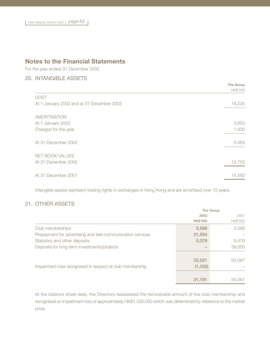For the year ended 31 December 2002

### 20. INTANGIBLE ASSETS

|                                           | The Group<br>HK\$'000 |
|-------------------------------------------|-----------------------|
| <b>COST</b>                               |                       |
| At 1 January 2002 and at 31 December 2002 | 18,235                |
| <b>AMORTISATION</b>                       |                       |
| At 1 January 2002                         | 3,653                 |
| Charged for the year                      | 1,830                 |
| At 31 December 2002                       | 5,483                 |
| NET BOOK VALUES                           |                       |
| At 31 December 2002                       | 12,752                |
| At 31 December 2001                       | 14,582                |

Intangible assets represent trading rights in exchanges in Hong Kong and are amortised over 10 years.

# 21. OTHER ASSETS

|                                                            | The Group       |                 |
|------------------------------------------------------------|-----------------|-----------------|
|                                                            | 2002            | 2001            |
|                                                            | <b>HK\$'000</b> | <b>HK\$'000</b> |
| Club memberships                                           | 5,588           | 5,588           |
| Prepayment for advertising and tele-communication services | 21,554          |                 |
| Statutory and other deposits                               | 5,379           | 9,479           |
| Deposits for long term investments/projects                |                 | 39,000          |
|                                                            | 32,521          | 54.067          |
| Impairment loss recognised in respect of club membership   | (1, 330)        |                 |
|                                                            |                 |                 |
|                                                            | 31,191          | 54.067          |

At the balance sheet date, the Directors reassessed the recoverable amount of the club membership and recognised an impairment loss of approximately HK\$1,330,000 which was determined by reference to the market price.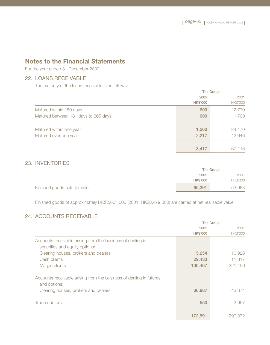For the year ended 31 December 2002

# 22. LOANS RECEIVABLE

The maturity of the loans receivable is as follows:

|                                      | The Group       |                         |
|--------------------------------------|-----------------|-------------------------|
|                                      | 2002            | 2001<br><b>HK\$'000</b> |
|                                      | <b>HK\$'000</b> |                         |
| Matured within 180 days              | 600             | 22,770                  |
| Matured between 181 days to 365 days | 600             | 1,700                   |
| Matured within one year              | 1,200           | 24,470                  |
| Matured over one year                | 2,217           | 42,646                  |
|                                      | 3,417           | 67.116                  |

### 23. INVENTORIES

|                              | The Group       |          |  |
|------------------------------|-----------------|----------|--|
|                              | 2002            |          |  |
|                              | <b>HK\$'000</b> | HK\$'000 |  |
| Finished goods held for sale | 65,391          | 53,983   |  |

Finished goods of approximately HK\$2,607,000 (2001: HK\$8,479,000) are carried at net realisable value.

# 24. ACCOUNTS RECEIVABLE

|                                                                                     | <b>The Group</b> |                 |
|-------------------------------------------------------------------------------------|------------------|-----------------|
|                                                                                     | 2002             | 2001            |
|                                                                                     | <b>HK\$'000</b>  | <b>HK\$'000</b> |
| Accounts receivable arising from the business of dealing in                         |                  |                 |
| securities and equity options:                                                      |                  |                 |
| Clearing houses, brokers and dealers                                                | 5,254            | 10,928          |
| Cash clients                                                                        | 29,433           | 11,817          |
| Margin clients                                                                      | 100,467          | 221,456         |
| Accounts receivable arising from the business of dealing in futures<br>and options: |                  |                 |
| Clearing houses, brokers and dealers                                                | 36,887           | 43,674          |
| Trade debtors                                                                       | 550              | 2,997           |
|                                                                                     |                  |                 |
|                                                                                     | 172,591          | 290,872         |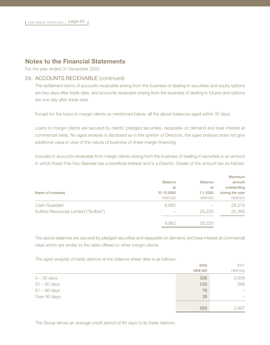For the year ended 31 December 2002

#### 24. ACCOUNTS RECEIVABLE (continued)

The settlement terms of accounts receivable arising from the business of dealing in securities and equity options are two days after trade date, and accounts receivable arising from the business of dealing in futures and options are one day after trade date.

Except for the loans to margin clients as mentioned below, all the above balances aged within 30 days.

Loans to margin clients are secured by clients' pledged securities, repayable on demand and bear interest at commercial rates. No aged analysis is disclosed as in the opinion of Directors, the aged analysis does not give additional value in view of the nature of business of share margin financing.

Included in accounts receivable from margin clients arising from the business of dealing in securities is an amount in which Kwan Pak Hoo Bankee has a beneficial interest and is a Director. Details of the amount are as follows:

|                                       |                 |                 | <b>Maximum</b>  |
|---------------------------------------|-----------------|-----------------|-----------------|
|                                       | <b>Balance</b>  | <b>Balance</b>  | amount          |
|                                       | at              | at              | outstanding     |
| Name of company                       | 31.12.2002      | 1.1.2002        | during the year |
|                                       | <b>HK\$'000</b> | <b>HK\$'000</b> | <b>HK\$'000</b> |
| Cash Guardian                         | 8,862           |                 | 28,575          |
| Suffold Resources Limited ("Suffold") |                 | 25,220          | 25,385          |
|                                       | 8,862           | 25,220          |                 |
|                                       |                 |                 |                 |

The above balances are secured by pledged securities and repayable on demand, and bear interest at commercial rates which are similar to the rates offered to other margin clients.

The aged analysis of trade debtors at the balance sheet date is as follows:

|                | 2002            | 2001                     |
|----------------|-----------------|--------------------------|
|                | <b>HK\$'000</b> | HK\$'000                 |
| $0 - 30$ days  | 326             | 2,609                    |
| $31 - 60$ days | 120             | 388                      |
| $61 - 90$ days | 76              | $\overline{\phantom{a}}$ |
| Over 90 days   | 28              | $\overline{\phantom{0}}$ |
|                |                 |                          |
|                | 550             | 2,997                    |

The Group allows an average credit period of 60 days to its trade debtors.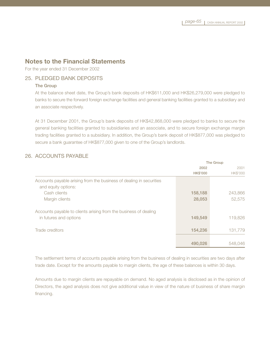For the year ended 31 December 2002

### 25. PLEDGED BANK DEPOSITS

#### **The Group**

At the balance sheet date, the Group's bank deposits of HK\$611,000 and HK\$26,279,000 were pledged to banks to secure the forward foreign exchange facilities and general banking facilities granted to a subsidiary and an associate respectively.

At 31 December 2001, the Group's bank deposits of HK\$42,868,000 were pledged to banks to secure the general banking facilities granted to subsidiaries and an associate, and to secure foreign exchange margin trading facilities granted to a subsidiary. In addition, the Group's bank deposit of HK\$877,000 was pledged to secure a bank guarantee of HK\$877,000 given to one of the Group's landlords.

### 26. ACCOUNTS PAYABLE

|                                                                     |                 | The Group       |
|---------------------------------------------------------------------|-----------------|-----------------|
|                                                                     | 2002            | 2001            |
|                                                                     | <b>HK\$'000</b> | <b>HK\$'000</b> |
| Accounts payable arising from the business of dealing in securities |                 |                 |
| and equity options:                                                 |                 |                 |
| Cash clients                                                        | 158,188         | 243,866         |
| Margin clients                                                      | 28,053          | 52,575          |
| Accounts payable to clients arising from the business of dealing    |                 |                 |
| in futures and options                                              | 149,549         | 119,826         |
| Trade creditors                                                     | 154,236         | 131,779         |
|                                                                     |                 |                 |
|                                                                     | 490,026         | 548.046         |

The settlement terms of accounts payable arising from the business of dealing in securities are two days after trade date. Except for the amounts payable to margin clients, the age of these balances is within 30 days.

Amounts due to margin clients are repayable on demand. No aged analysis is disclosed as in the opinion of Directors, the aged analysis does not give additional value in view of the nature of business of share margin financing.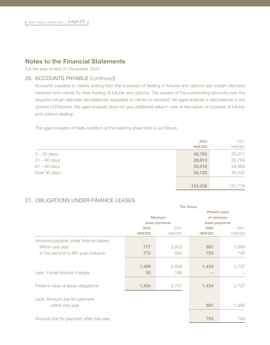For the year ended 31 December 2002

### 26. ACCOUNTS PAYABLE (continued)

Accounts payable to clients arising from the business of dealing in futures and options are margin deposits received from clients for their trading of futures and options. The excess of the outstanding amounts over the required margin deposits stipulated are repayable to clients on demand. No aged analysis is disclosed as in the opinion of Directors, the aged analysis does not give additional value in view of the nature of business of futures and options dealing.

The aged analysis of trade creditors at the balance sheet date is as follows:

|                | 2002            | 2001     |
|----------------|-----------------|----------|
|                | <b>HK\$'000</b> | HK\$'000 |
| $0 - 30$ days  | 40,785          | 35,671   |
| $31 - 60$ days | 29,813          | 30,784   |
| $61 - 90$ days | 33,516          | 24,989   |
| Over 90 days   | 50,122          | 40,335   |
|                |                 |          |
|                | 154,236         | 131,779  |

#### 27. OBLIGATIONS UNDER FINANCE LEASES

|                                       |                 |                | The Group            |                 |
|---------------------------------------|-----------------|----------------|----------------------|-----------------|
|                                       |                 |                | <b>Present value</b> |                 |
|                                       |                 | Minimum        | of minimum           |                 |
|                                       |                 | lease payments | lease payments       |                 |
|                                       | 2002            | 2001           | 2002                 | 2001            |
|                                       | <b>HK\$'000</b> | HK\$'000       | <b>HK\$'000</b>      | <b>HK\$'000</b> |
| Amounts payable under finance leases: |                 |                |                      |                 |
| Within one year                       | 717             | 2,033          | 681                  | 1,988           |
| In the second to fifth year inclusive | 772             | 893            | 753                  | 749             |
|                                       |                 |                |                      |                 |
|                                       | 1,489           | 2,926          | 1,434                | 2,737           |
| Less: Future finance charges          | 55              | 189            |                      |                 |
|                                       |                 |                |                      |                 |
| Present value of lease obligations    | 1,434           | 2,737          | 1,434                | 2,737           |
|                                       |                 |                |                      |                 |
| Less: Amount due for payment          |                 |                |                      |                 |
| within one year                       |                 |                | 681                  | 1,988           |
|                                       |                 |                |                      |                 |
| Amount due for payment after one year |                 |                | 753                  | 749             |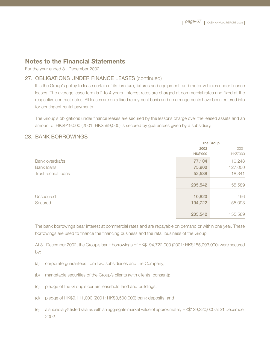For the year ended 31 December 2002

### 27. OBLIGATIONS UNDER FINANCE LEASES (continued)

It is the Group's policy to lease certain of its furniture, fixtures and equipment, and motor vehicles under finance leases. The average lease term is 2 to 4 years. Interest rates are charged at commercial rates and fixed at the respective contract dates. All leases are on a fixed repayment basis and no arrangements have been entered into for contingent rental payments.

The Group's obligations under finance leases are secured by the lessor's charge over the leased assets and an amount of HK\$919,000 (2001: HK\$599,000) is secured by guarantees given by a subsidiary.

### 28. BANK BORROWINGS

|                        |                 | The Group |
|------------------------|-----------------|-----------|
|                        | 2002            | 2001      |
|                        | <b>HK\$'000</b> | HK\$'000  |
| <b>Bank overdrafts</b> | 77,104          | 10,248    |
| <b>Bank loans</b>      | 75,900          | 127,000   |
| Trust receipt loans    | 52,538          | 18,341    |
|                        | 205,542         | 155,589   |
| Unsecured              | 10,820          | 496       |
| Secured                | 194,722         | 155,093   |
|                        | 205,542         | 155,589   |

The bank borrowings bear interest at commercial rates and are repayable on demand or within one year. These borrowings are used to finance the financing business and the retail business of the Group.

At 31 December 2002, the Group's bank borrowings of HK\$194,722,000 (2001: HK\$155,093,000) were secured by:

- (a) corporate guarantees from two subsidiaries and the Company;
- (b) marketable securities of the Group's clients (with clients' consent);
- (c) pledge of the Group's certain leasehold land and buildings;
- (d) pledge of HK\$9,111,000 (2001: HK\$8,500,000) bank deposits; and
- (e) a subsidiary's listed shares with an aggregate market value of approximately HK\$129,320,000 at 31 December 2002.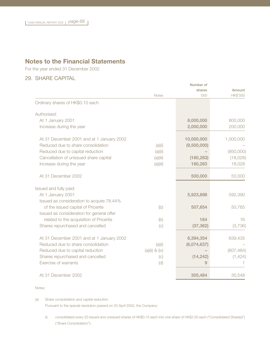For the year ended 31 December 2002

# 29. SHARE CAPITAL

|                                           |                        | Number of      |                    |
|-------------------------------------------|------------------------|----------------|--------------------|
|                                           | <b>Notes</b>           | shares<br>000' | Amount<br>HK\$'000 |
| Ordinary shares of HK\$0.10 each          |                        |                |                    |
| Authorised:                               |                        |                |                    |
| At 1 January 2001                         |                        | 8,000,000      | 800,000            |
| Increase during the year                  |                        | 2,000,000      | 200,000            |
| At 31 December 2001 and at 1 January 2002 |                        | 10,000,000     | 1,000,000          |
| Reduced due to share consolidation        | (a)(i)                 | (9,500,000)    |                    |
| Reduced due to capital reduction          | (a)(ii)                |                | (950,000)          |
| Cancellation of unissued share capital    | (a)(iii)               | (180, 283)     | (18,028)           |
| Increase during the year                  | (a)(iii)               | 180,283        | 18,028             |
| At 31 December 2002                       |                        | 500,000        | 50,000             |
| Issued and fully paid:                    |                        |                |                    |
| At 1 January 2001                         |                        | 5,923,898      | 592,390            |
| Issued as consideration to acquire 78.44% |                        |                |                    |
| of the issued capital of Pricerite        | (b)                    | 507,654        | 50,765             |
| Issued as consideration for general offer |                        |                |                    |
| related to the acquisition of Pricerite   | (b)                    | 164            | 16                 |
| Shares repurchased and cancelled          | (C)                    | (37, 362)      | (3,736)            |
| At 31 December 2001 and at 1 January 2002 |                        | 6,394,354      | 639,435            |
| Reduced due to share consolidation        | (a)(i)                 | (6,074,637)    |                    |
| Reduced due to capital reduction          | (a)(ii) 8 (iv)         |                | (607, 464)         |
| Shares repurchased and cancelled          | $\left( \circ \right)$ | (14, 242)      | (1, 424)           |
| Exercise of warrants                      | (d)                    | 9              |                    |
| At 31 December 2002                       |                        | 305,484        | 30,548             |

#### Notes:

- (a) Share consolidation and capital reduction Pursuant to the special resolution passed on 25 April 2002, the Company:
	- (i) consolidated every 20 issued and unissued shares of HK\$0.10 each into one share of HK\$2.00 each ("Consolidated Share(s)") ("Share Consolidation");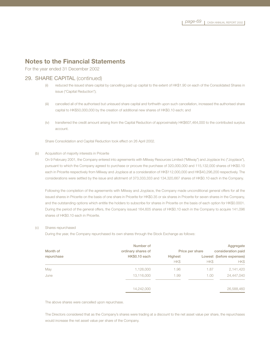For the year ended 31 December 2002

#### 29. SHARE CAPITAL (continued)

- (ii) reduced the issued share capital by cancelling paid up capital to the extent of HK\$1.90 on each of the Consolidated Shares in issue ("Capital Reduction");
- (iii) cancelled all of the authorised but unissued share capital and forthwith upon such cancellation, increased the authorised share capital to HK\$50,000,000 by the creation of additional new shares of HK\$0.10 each; and
- (iv) transferred the credit amount arising from the Capital Reduction of approximately HK\$607,464,000 to the contributed surplus account.

Share Consolidation and Capital Reduction took effect on 26 April 2002.

#### (b) Acquisition of majority interests in Pricerite

On 9 February 2001, the Company entered into agreements with Miliway Resources Limited ("Miliway") and Joyplace Inc ("Joyplace"), pursuant to which the Company agreed to purchase or procure the purchase of 320,000,000 and 115,132,000 shares of HK\$0.10 each in Pricerite respectively from Miliway and Joyplace at a consideration of HK\$112,000,000 and HK\$40,296,200 respectively. The considerations were settled by the issue and allotment of 373,333,333 and 134,320,667 shares of HK\$0.10 each in the Company.

Following the completion of the agreements with Miliway and Joyplace, the Company made unconditional general offers for all the issued shares in Pricerite on the basis of one share in Pricerite for HK\$0.35 or six shares in Pricerite for seven shares in the Company, and the outstanding options which entitle the holders to subscribe for shares in Pricerite on the basis of each option for HK\$0.0001. During the period of the general offers, the Company issued 164,605 shares of HK\$0.10 each in the Company to acquire 141,096 shares of HK\$0.10 each in Pricerite.

#### (c) Shares repurchased

During the year, the Company repurchased its own shares through the Stock Exchange as follows:

|            | Number of            |         |                 | Aggregate                |  |
|------------|----------------------|---------|-----------------|--------------------------|--|
| Month of   | ordinary shares of   |         | Price per share | consideration paid       |  |
| repurchase | <b>HK\$0.10 each</b> | Highest |                 | Lowest (before expenses) |  |
|            |                      | HK\$    | HK\$            | HK\$                     |  |
| May        | 1,126,000            | 1.96    | 1.87            | 2,141,420                |  |
| June       | 13,116,000           | 1.99    | 1.00            | 24,447,040               |  |
|            | 14,242,000           |         |                 | 26,588,460               |  |

The above shares were cancelled upon repurchase.

The Directors considered that as the Company's shares were trading at a discount to the net asset value per share, the repurchases would increase the net asset value per share of the Company.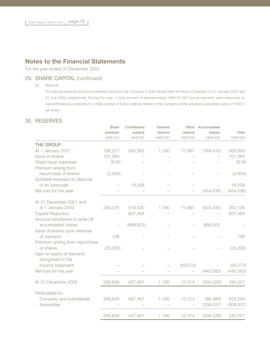For the year ended 31 December 2002

### 29. SHARE CAPITAL (continued)

(d) Warrants

The placing warrants and bonus warrants issued by the Company in 2000 lapsed after the close of business on 31 January 2002 and 31 July 2002 respectively. During the year, a total amount of approximately HK\$109,000 bonus warrants were exercised by warrantholders to subscribe for a total number of 8,422 ordinary shares in the Company at the adjusted subscription price of HK\$13 per share.

### 30. RESERVES

|                                 | <b>Share</b><br>premium | Contributed<br>surplus | General<br>reserve | Other<br>reserve | Accumulated<br>losses | <b>Total</b>    |
|---------------------------------|-------------------------|------------------------|--------------------|------------------|-----------------------|-----------------|
|                                 | <b>HK\$'000</b>         | HK\$'000               | <b>HK\$'000</b>    | <b>HK\$'000</b>  | <b>HK\$'000</b>       | <b>HK\$'000</b> |
| <b>THE GROUP</b>                |                         |                        |                    |                  |                       |                 |
| At 1 January 2001               | 196,221                 | 500,992                | 1,160              | 71,887           | (169, 410)            | 600,850         |
| Issue of shares                 | 101,564                 |                        |                    |                  |                       | 101,564         |
| Share issue expenses            | (816)                   |                        |                    |                  |                       | (816)           |
| Premium arising from            |                         |                        |                    |                  |                       |                 |
| repurchase of shares            | (2,934)                 |                        |                    |                  |                       | (2,934)         |
| Goodwill reversed on disposal   |                         |                        |                    |                  |                       |                 |
| of an associate                 |                         | 18,508                 |                    |                  |                       | 18,508          |
| Net loss for the year           |                         |                        |                    |                  | (454, 036)            | (454, 036)      |
| At 31 December 2001 and         |                         |                        |                    |                  |                       |                 |
| at 1 January 2002               | 294,035                 | 519,500                | 1,160              | 71,887           | (623, 446)            | 263,136         |
| <b>Capital Reduction</b>        |                         | 607,464                |                    |                  |                       | 607,464         |
| Amount transferred to write off |                         |                        |                    |                  |                       |                 |
| accumulated losses              |                         | (669, 503)             |                    |                  | 669,503               |                 |
| Issue of shares upon exercise   |                         |                        |                    |                  |                       |                 |
| of warrants                     | 108                     |                        |                    |                  |                       | 108             |
| Premium arising from repurchase |                         |                        |                    |                  |                       |                 |
| of shares                       | (25, 295)               |                        |                    |                  |                       | (25, 295)       |
| Gain on expiry of warrants      |                         |                        |                    |                  |                       |                 |
| recognised in the               |                         |                        |                    |                  |                       |                 |
| income statement                |                         |                        |                    | (59, 573)        |                       | (59, 573)       |
| Net loss for the year           |                         |                        |                    |                  | (440, 583)            | (440, 583)      |
| At 31 December 2002             | 268,848                 | 457,461                | 1,160              | 12,314           | (394, 526)            | 345,257         |
| Attributable to:                |                         |                        |                    |                  |                       |                 |
| Company and subsidiaries        | 268,848                 | 457,461                | 1,160              | 12,314           | (86, 489)             | 653,294         |
| Associates                      |                         |                        |                    |                  | (308, 037)            | (308, 037)      |
|                                 |                         |                        |                    |                  |                       |                 |
|                                 | 268,848                 | 457,461                | 1,160              | 12,314           | (394, 526)            | 345,257         |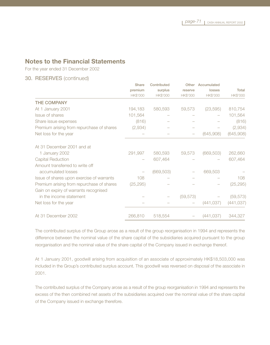For the year ended 31 December 2002

### 30. RESERVES (continued)

|                                           | <b>Share</b>    | Contributed     | Other     | Accumulated |                 |
|-------------------------------------------|-----------------|-----------------|-----------|-------------|-----------------|
|                                           | premium         | surplus         | reserve   | losses      | Total           |
|                                           | <b>HK\$'000</b> | <b>HK\$'000</b> | HK\$'000  | HK\$'000    | <b>HK\$'000</b> |
| <b>THE COMPANY</b>                        |                 |                 |           |             |                 |
| At 1 January 2001                         | 194,183         | 580,593         | 59,573    | (23, 595)   | 810,754         |
| Issue of shares                           | 101,564         |                 |           |             | 101,564         |
| Share issue expenses                      | (816)           |                 |           |             | (816)           |
| Premium arising from repurchase of shares | (2,934)         |                 |           |             | (2,934)         |
| Net loss for the year                     |                 |                 |           | (645,908)   | (645,908)       |
| At 31 December 2001 and at                |                 |                 |           |             |                 |
| 1 January 2002                            | 291,997         | 580,593         | 59,573    | (669, 503)  | 262,660         |
| <b>Capital Reduction</b>                  |                 | 607,464         |           |             | 607,464         |
| Amount transferred to write off           |                 |                 |           |             |                 |
| accumulated losses                        |                 | (669, 503)      |           | 669,503     |                 |
| Issue of shares upon exercise of warrants | 108             |                 |           |             | 108             |
| Premium arising from repurchase of shares | (25, 295)       |                 |           |             | (25, 295)       |
| Gain on expiry of warrants recognised     |                 |                 |           |             |                 |
| in the income statement                   |                 |                 | (59, 573) |             | (59, 573)       |
| Net loss for the year                     |                 |                 |           | (441, 037)  | (441, 037)      |
| At 31 December 2002                       | 266,810         | 518,554         |           | (441, 037)  | 344,327         |

The contributed surplus of the Group arose as a result of the group reorganisation in 1994 and represents the difference between the nominal value of the share capital of the subsidiaries acquired pursuant to the group reorganisation and the nominal value of the share capital of the Company issued in exchange thereof.

At 1 January 2001, goodwill arising from acquisition of an associate of approximately HK\$18,503,000 was included in the Group's contributed surplus account. This goodwill was reversed on disposal of the associate in 2001.

The contributed surplus of the Company arose as a result of the group reorganisation in 1994 and represents the excess of the then combined net assets of the subsidiaries acquired over the nominal value of the share capital of the Company issued in exchange therefore.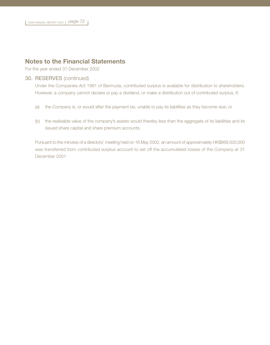For the year ended 31 December 2002

#### 30. RESERVES (continued)

Under the Companies Act 1981 of Bermuda, contributed surplus is available for distribution to shareholders. However, a company cannot declare or pay a dividend, or make a distribution out of contributed surplus, if:

- (a) the Company is, or would after the payment be, unable to pay its liabilities as they become due; or
- (b) the realisable value of the company's assets would thereby less than the aggregate of its liabilities and its issued share capital and share premium accounts.

Pursuant to the minutes of a directors' meeting held on 16 May 2002, an amount of approximately HK\$669,503,000 was transferred from contributed surplus account to set off the accumulated losses of the Company at 31 December 2001.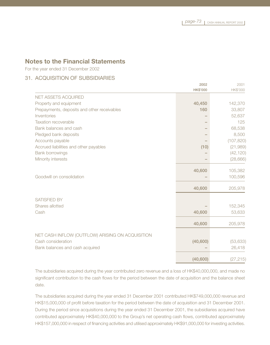For the year ended 31 December 2002

## 31. ACQUISITION OF SUBSIDIARIES

|                                                  | 2002            | 2001       |
|--------------------------------------------------|-----------------|------------|
|                                                  | <b>HK\$'000</b> | HK\$'000   |
| <b>NET ASSETS ACQUIRED</b>                       |                 |            |
| Property and equipment                           | 40,450          | 142,370    |
| Prepayments, deposits and other receivables      | 160             | 33,807     |
| Inventories                                      |                 | 52,637     |
| <b>Taxation recoverable</b>                      |                 | 125        |
| Bank balances and cash                           |                 | 68,538     |
| Pledged bank deposits                            |                 | 8,500      |
| Accounts payable                                 |                 | (107, 820) |
| Accrued liabilities and other payables           | (10)            | (21, 989)  |
| <b>Bank borrowings</b>                           |                 | (42, 120)  |
| Minority interests                               |                 | (28, 666)  |
|                                                  | 40,600          | 105,382    |
| Goodwill on consolidation                        |                 | 100,596    |
|                                                  | 40,600          | 205,978    |
| <b>SATISFIED BY</b>                              |                 |            |
| Shares allotted                                  |                 | 152,345    |
| Cash                                             | 40,600          | 53,633     |
|                                                  | 40,600          | 205,978    |
| NET CASH INFLOW (OUTFLOW) ARISING ON ACQUISITION |                 |            |
| Cash consideration                               | (40, 600)       | (53, 633)  |
| Bank balances and cash acquired                  |                 | 26,418     |
|                                                  | (40, 600)       | (27, 215)  |

The subsidiaries acquired during the year contributed zero revenue and a loss of HK\$40,000,000, and made no significant contribution to the cash flows for the period between the date of acquisition and the balance sheet date.

The subsidiaries acquired during the year ended 31 December 2001 contributed HK\$749,000,000 revenue and HK\$15,000,000 of profit before taxation for the period between the date of acquisition and 31 December 2001. During the period since acquisitions during the year ended 31 December 2001, the subsidiaries acquired have contributed approximately HK\$40,000,000 to the Group's net operating cash flows, contributed approximately HK\$157,000,000 in respect of financing activities and utilised approximately HK\$91,000,000 for investing activities.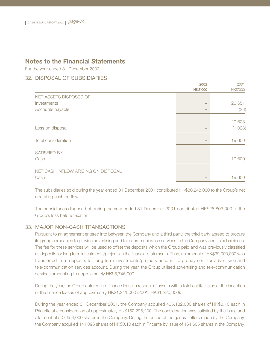For the year ended 31 December 2002

## 32. DISPOSAL OF SUBSIDIARIES

|                                             | 2002<br><b>HK\$'000</b> | 2001<br>HK\$'000 |
|---------------------------------------------|-------------------------|------------------|
| NET ASSETS DISPOSED OF                      |                         |                  |
| Investments                                 |                         | 20,651           |
| Accounts payable                            |                         | (28)             |
|                                             |                         | 20,623           |
| Loss on disposal                            |                         | (1,023)          |
| Total consideration                         |                         | 19,600           |
| <b>SATISFIED BY</b><br>Cash                 |                         | 19,600           |
| NET CASH INFLOW ARISING ON DISPOSAL<br>Cash |                         | 19,600           |

The subsidiaries sold during the year ended 31 December 2001 contributed HK\$30,248,000 to the Group's net operating cash outflow.

The subsidiaries disposed of during the year ended 31 December 2001 contributed HK\$28,803,000 to the Group's loss before taxation.

#### 33. MAJOR NON-CASH TRANSACTIONS

Pursuant to an agreement entered into between the Company and a third party, the third party agreed to procure its group companies to provide advertising and tele-communication services to the Company and its subsidiaries. The fee for these services will be used to offset the deposits which the Group paid and was previously classified as deposits for long term investments/projects in the financial statements. Thus, an amount of HK\$39,000,000 was transferred from deposits for long term investments/projects account to prepayment for advertising and tele-communication services account. During the year, the Group utilised advertising and tele-communication services amounting to approximately HK\$5,746,000.

During the year, the Group entered into finance lease in respect of assets with a total capital value at the inception of the finance leases of approximately HK\$1,241,000 (2001: HK\$1,220,000).

During the year ended 31 December 2001, the Company acquired 435,132,000 shares of HK\$0.10 each in Pricerite at a consideration of approximately HK\$152,296,200. The consideration was satisfied by the issue and allotment of 507,654,000 shares in the Company. During the period of the general offers made by the Company, the Company acquired 141,096 shares of HK\$0.10 each in Pricerite by issue of 164,605 shares in the Company.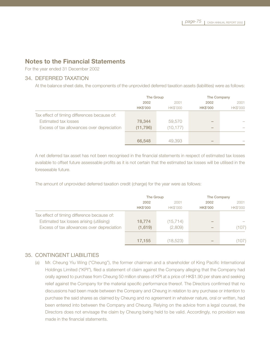For the year ended 31 December 2002

#### 34. DEFERRED TAXATION

At the balance sheet date, the components of the unprovided deferred taxation assets (liabilities) were as follows:

|                                              | The Group       |                 | The Company     |          |  |
|----------------------------------------------|-----------------|-----------------|-----------------|----------|--|
|                                              | 2002            | 2001            |                 | 2001     |  |
|                                              | <b>HK\$'000</b> | <b>HK\$'000</b> | <b>HK\$'000</b> | HK\$'000 |  |
| Tax effect of timing differences because of: |                 |                 |                 |          |  |
| Estimated tax losses                         | 78,344          | 59,570          |                 |          |  |
| Excess of tax allowances over depreciation   | (11, 796)       | (10, 177)       |                 |          |  |
|                                              |                 |                 |                 |          |  |
|                                              | 66,548          | 49,393          | $\sim$          |          |  |

A net deferred tax asset has not been recognised in the financial statements in respect of estimated tax losses available to offset future assessable profits as it is not certain that the estimated tax losses will be utilised in the foreseeable future.

The amount of unprovided deferred taxation credit (charge) for the year were as follows:

|                                             | The Group       |                 | The Company     |          |  |
|---------------------------------------------|-----------------|-----------------|-----------------|----------|--|
|                                             | 2002            | 2001            | 2002            | 2001     |  |
|                                             | <b>HK\$'000</b> | <b>HK\$'000</b> | <b>HK\$'000</b> | HK\$'000 |  |
| Tax effect of timing difference because of: |                 |                 |                 |          |  |
| Estimated tax losses arising (utilising)    | 18,774          | (15, 714)       |                 |          |  |
| Excess of tax allowances over depreciation  | (1,619)         | (2,809)         |                 | 107)     |  |
|                                             |                 |                 |                 |          |  |
|                                             | 17.155          | (18, 523)       |                 |          |  |

## 35. CONTINGENT LIABILITIES

(a) Mr. Cheung Yiu Wing ("Cheung"), the former chairman and a shareholder of King Pacific International Holdings Limited ("KPI"), filed a statement of claim against the Company alleging that the Company had orally agreed to purchase from Cheung 50 million shares of KPI at a price of HK\$1.90 per share and seeking relief against the Company for the material specific performance thereof. The Directors confirmed that no discussions had been made between the Company and Cheung in relation to any purchase or intention to purchase the said shares as claimed by Cheung and no agreement in whatever nature, oral or written, had been entered into between the Company and Cheung. Relying on the advice from a legal counsel, the Directors does not envisage the claim by Cheung being held to be valid. Accordingly, no provision was made in the financial statements.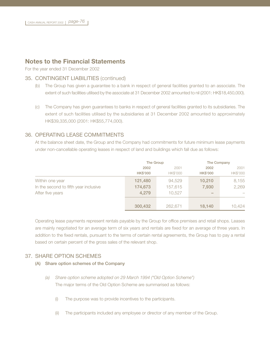For the year ended 31 December 2002

#### 35. CONTINGENT LIABILITIES (continued)

- (b) The Group has given a guarantee to a bank in respect of general facilities granted to an associate. The extent of such facilities utilised by the associate at 31 December 2002 amounted to nil (2001: HK\$18,450,000).
- (c) The Company has given guarantees to banks in respect of general facilities granted to its subsidiaries. The extent of such facilities utilised by the subsidiaries at 31 December 2002 amounted to approximately HK\$39,335,000 (2001: HK\$55,774,000).

### 36. OPERATING LEASE COMMITMENTS

At the balance sheet date, the Group and the Company had commitments for future minimum lease payments under non-cancellable operating leases in respect of land and buildings which fall due as follows:

|                                       | The Group       |                 | The Company     |                 |  |
|---------------------------------------|-----------------|-----------------|-----------------|-----------------|--|
|                                       | 2002            | 2001            | 2002            | 2001            |  |
|                                       | <b>HK\$'000</b> | <b>HK\$'000</b> | <b>HK\$'000</b> | <b>HK\$'000</b> |  |
| Within one year                       | 121,480         | 94,529          | 10,210          | 8,155           |  |
| In the second to fifth year inclusive | 174,673         | 157,615         | 7,930           | 2,269           |  |
| After five years                      | 4,279           | 10,527          |                 |                 |  |
|                                       |                 |                 |                 |                 |  |
|                                       | 300,432         | 262,671         | 18.140          | 10,424          |  |

Operating lease payments represent rentals payable by the Group for office premises and retail shops. Leases are mainly negotiated for an average term of six years and rentals are fixed for an average of three years. In addition to the fixed rentals, pursuant to the terms of certain rental agreements, the Group has to pay a rental based on certain percent of the gross sales of the relevant shop.

## 37. SHARE OPTION SCHEMES

- **(A) Share option schemes of the Company**
	- *(a) Share option scheme adopted on 29 March 1994 ("Old Option Scheme")* The major terms of the Old Option Scheme are summarised as follows:
		- (i) The purpose was to provide incentives to the participants.
		- (ii) The participants included any employee or director of any member of the Group.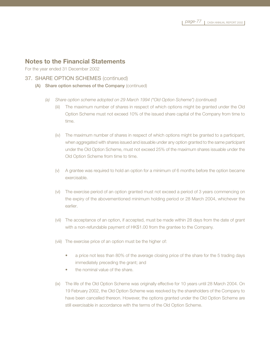For the year ended 31 December 2002

- 37. SHARE OPTION SCHEMES (continued)
	- **(A) Share option schemes of the Company** (continued)
		- *(a) Share option scheme adopted on 29 March 1994 ("Old Option Scheme") (continued)*
			- (iii) The maximum number of shares in respect of which options might be granted under the Old Option Scheme must not exceed 10% of the issued share capital of the Company from time to time.
			- (iv) The maximum number of shares in respect of which options might be granted to a participant, when aggregated with shares issued and issuable under any option granted to the same participant under the Old Option Scheme, must not exceed 25% of the maximum shares issuable under the Old Option Scheme from time to time.
			- (v) A grantee was required to hold an option for a minimum of 6 months before the option became exercisable.
			- (vi) The exercise period of an option granted must not exceed a period of 3 years commencing on the expiry of the abovementioned minimum holding period or 28 March 2004, whichever the earlier.
			- (vii) The acceptance of an option, if accepted, must be made within 28 days from the date of grant with a non-refundable payment of HK\$1.00 from the grantee to the Company.
			- (viii) The exercise price of an option must be the higher of:
				- a price not less than 80% of the average closing price of the share for the 5 trading days immediately preceding the grant; and
				- the nominal value of the share.
			- (ix) The life of the Old Option Scheme was originally effective for 10 years until 28 March 2004. On 19 February 2002, the Old Option Scheme was resolved by the shareholders of the Company to have been cancelled thereon. However, the options granted under the Old Option Scheme are still exercisable in accordance with the terms of the Old Option Scheme.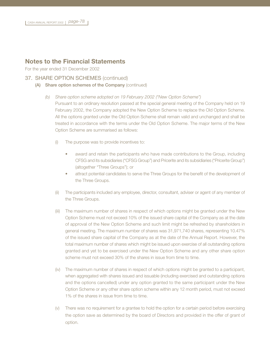For the year ended 31 December 2002

#### 37. SHARE OPTION SCHEMES (continued)

**(A) Share option schemes of the Company** (continued)

#### *(b) Share option scheme adopted on 19 February 2002 ("New Option Scheme")*

Pursuant to an ordinary resolution passed at the special general meeting of the Company held on 19 February 2002, the Company adopted the New Option Scheme to replace the Old Option Scheme. All the options granted under the Old Option Scheme shall remain valid and unchanged and shall be treated in accordance with the terms under the Old Option Scheme. The major terms of the New Option Scheme are summarised as follows:

- (i) The purpose was to provide incentives to:
	- award and retain the participants who have made contributions to the Group, including CFSG and its subsidiaries ("CFSG Group") and Pricerite and its subsidiaries ("Pricerite Group") (altogether "Three Groups"); or
	- attract potential candidates to serve the Three Groups for the benefit of the development of the Three Groups.
- (ii) The participants included any employee, director, consultant, adviser or agent of any member of the Three Groups.
- (iii) The maximum number of shares in respect of which options might be granted under the New Option Scheme must not exceed 10% of the issued share capital of the Company as at the date of approval of the New Option Scheme and such limit might be refreshed by shareholders in general meeting. The maximum number of shares was 31,971,740 shares, representing 10.47% of the issued share capital of the Company as at the date of the Annual Report. However, the total maximum number of shares which might be issued upon exercise of all outstanding options granted and yet to be exercised under the New Option Scheme and any other share option scheme must not exceed 30% of the shares in issue from time to time.
- (iv) The maximum number of shares in respect of which options might be granted to a participant, when aggregated with shares issued and issuable (including exercised and outstanding options and the options cancelled) under any option granted to the same participant under the New Option Scheme or any other share option scheme within any 12 month period, must not exceed 1% of the shares in issue from time to time.
- (v) There was no requirement for a grantee to hold the option for a certain period before exercising the option save as determined by the board of Directors and provided in the offer of grant of option.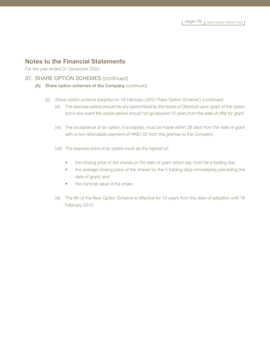For the year ended 31 December 2002

- 37. SHARE OPTION SCHEMES (continued)
	- **(A) Share option schemes of the Company** (continued)
		- *(b) Share option scheme adopted on 19 February 2002 ("New Option Scheme") (continued)*
			- (vi) The exercise period should be any period fixed by the board of Directors upon grant of the option but in any event the option period should not go beyond 10 years from the date of offer for grant.
			- (vii) The acceptance of an option, if accepted, must be made within 28 days from the date of grant with a non-refundable payment of HK\$1.00 from the grantee to the Company.
			- (viii) The exercise price of an option must be the highest of:
				- the closing price of the shares on the date of grant which day must be a trading day;
				- the average closing price of the shares for the 5 trading days immediately preceding the date of grant; and
				- the nominal value of the share.
			- (ix) The life of the New Option Scheme is effective for 10 years from the date of adoption until 18 February 2012.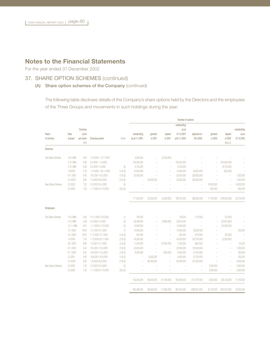For the year ended 31 December 2002

#### 37. SHARE OPTION SCHEMES (continued)

**(A) Share option schemes of the Company** (continued)

The following table discloses details of the Company's share options held by the Directors and the employees of the Three Groups and movements in such holdings during the year:

|                   |            |                 |                        |               |                |            |                          | Number of options |                 |            |                          |             |
|-------------------|------------|-----------------|------------------------|---------------|----------------|------------|--------------------------|-------------------|-----------------|------------|--------------------------|-------------|
|                   |            |                 |                        |               |                |            |                          | outstanding       |                 |            |                          |             |
|                   |            | <b>Exercise</b> |                        |               |                |            |                          | as at             |                 |            |                          | outstanding |
| Name              | Date       | price           |                        |               | outstanding    | granted    | lapsed                   | 31.12.2001        | adjusted on     | granted    | lapsed                   | as at       |
| of scheme         | of grant   | per share       | Exercise period        | <b>Notes</b>  | as at 1.1.2001 | in 2001    | in 2001                  | and 1.1.2002      | 25.4.2002       | in 2002    | in 2002                  | 31.12.2002  |
|                   |            | <b>HK\$</b>     |                        |               |                |            |                          |                   |                 |            | (Note 6)                 |             |
| <b>Directors</b>  |            |                 |                        |               |                |            |                          |                   |                 |            |                          |             |
| Old Option Scheme | 13.5.1999  | 0.23            | 13.5.2000 - 12.11.2001 |               | 2,500,000      |            | (2,500,000)              |                   |                 |            |                          |             |
|                   | 4.10.1999  | 0.59            | $8.4.2000 - 7.4.2002$  |               | 120,000,000    |            | ٠                        | 120,000,000       |                 |            | (120,000,000)            |             |
|                   | 4.10.1999  | 0.59            | 8.4.2000-7.4.2002      | (2)           | 8,750,000      |            | ä,                       | 8,750,000         |                 |            | (8,750,000)              |             |
|                   | 1.6.2000   | 7.00            | 1.12.2000 - 30.11.2002 | $(1)$ & $(3)$ | 10,000,000     |            | ٠                        | 10,000,000        | (9,500,000)     |            | (500,000)                | ÷           |
|                   | 6.11.2000  | 5.40            | 16.5.2001-15.5.2003    | $(1)$ & $(3)$ | 30,000,000     |            | $\sim$                   | 30,000,000        | (28,500,000)    |            | ÷                        | 1,500,000   |
|                   | 31.8.2001  | 2.60            | 1.3.2002-28.2.2004     | $(1)$ & $(3)$ | í.             | 30,000,000 | i.                       | 30,000,000        | (28,500,000)    |            | $\sim$                   | 1,500,000   |
| New Option Scheme | 2.5.2002   | 1.32            | 2.5.2002-30.4.2003     | (5)           |                |            |                          |                   | ÷,              | 16,500,000 | í.                       | 16,500,000  |
|                   | 2.5.2002   | 1.32            | 1.11.2002-31.10.2003   | $(3)$ & $(5)$ |                |            |                          |                   |                 | 600,000    |                          | 600,000     |
|                   |            |                 |                        |               | 171,250,000    | 30,000,000 | (2,500,000)              | 198,750,000       | (66, 500, 000)  | 17,100,000 | (129, 250, 000)          | 20,100,000  |
| <b>Employees</b>  |            |                 |                        |               |                |            |                          |                   |                 |            |                          |             |
| Old Option Scheme | 13.5.1999  | 4.60            | 13.11.2000-12.5.2002   | (1)           | 750,000        |            | $\overline{\phantom{a}}$ | 750,000           | (712,500)       | ÷          | (37,500)                 |             |
|                   | 4.10.1999  | 0.59            | 8.4.2000-7.4.2002      | (2)           | 28,490,000     |            | (4,680,000)              | 23,810,000        |                 |            | (23, 810, 000)           |             |
|                   | 15.11.1999 | 0.61            | 1.11.2000-31.10.2002   | (4)           | 10,000,000     |            | i.                       | 10,000,000        | i.              |            | (10,000,000)             |             |
|                   | 10.1.2000  | 16.00           | 10.1.2001-9.1.2003     | (1)           | 10,000,000     |            | ٠                        | 10,000,000        | (9,500,000)     |            | ÷                        | 500,000     |
|                   | 10.1.2000  | 16.00           | 11.7.2000-10.7.2002    | $(1)$ & $(2)$ | 500,000        |            |                          | 500,000           | (475,000)       |            | (25,000)                 |             |
|                   | 1.6.2000   | 7.00            | 1.12.2000-30.11.2002   | $(1)$ & $(3)$ | 45,000,000     |            | ÷,                       | 45,000,000        | (42, 750, 000)  |            | (2,250,000)              | i.          |
|                   | 28.7.2000  | 9.80            | 1.2.2001-31.1.2003     | $(1)$ & $(2)$ | 11,000,000     |            | (10,000,000)             | 1,000,000         | (950,000)       |            | $\overline{\phantom{a}}$ | 50,000      |
|                   | 6.11.2000  | 5.40            | 16.5.2001-15.5.2003    | $(1)$ & $(3)$ | 20,000,000     |            | $\overline{\phantom{a}}$ | 20,000,000        | (19,000,000)    |            | $\overline{\phantom{a}}$ | 1,000,000   |
|                   | 6.11.2000  | 5.40            | 16.5.2001-15.5.2003    | $(1)$ & $(2)$ | 6,500,000      |            | (500,000)                | 6,000,000         | (5,700,000)     |            | $\sim$                   | 300,000     |
|                   | 2.2.2001   | 4.80            | 16.8.2001-15.8.2003    | $(1)$ & $(2)$ | í.             | 6,000,000  | ٠                        | 6,000,000         | (5,700,000)     |            |                          | 300,000     |
|                   | 31.8.2001  | 2.60            | 1.3.2002-28.2.2004     | $(1)$ & $(3)$ | ٠              | 60,000,000 | i.                       | 60,000,000        | (57,000,000)    |            | í.                       | 3,000,000   |
| New Option Scheme | 2.5.2002   | 1.32            | 2.5.2002-30.4.2003     | (5)           |                |            |                          |                   | ÷,              | 3.000.000  | í.                       | 3,000,000   |
|                   | 2.5.2002   | 1.32            | 1.11.2002-31.10.2003   | $(3)$ & $(5)$ |                |            |                          |                   | i.              | 2,000,000  | i.                       | 2,000,000   |
|                   |            |                 |                        |               | 132,240,000    | 66,000,000 | (15, 180, 000)           | 183,060,000       | (141, 787, 500) | 5,000,000  | (36, 122, 500)           | 10,150,000  |
|                   |            |                 |                        |               | 303.490.000    | 96.000.000 | (17,680,000)             | 381,810,000       | (208, 287, 500) | 22,100,000 | (165, 372, 500)          | 30,250,000  |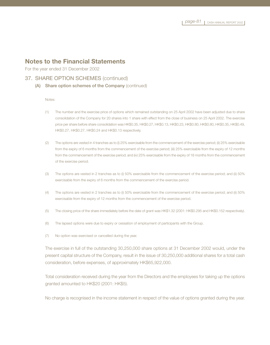For the year ended 31 December 2002

#### 37. SHARE OPTION SCHEMES (continued)

**(A) Share option schemes of the Company** (continued)

#### Notes:

- (1) The number and the exercise price of options which remained outstanding on 25 April 2002 have been adjusted due to share consolidation of the Company for 20 shares into 1 share with effect from the close of business on 25 April 2002. The exercise price per share before share consolidation was HK\$0.35, HK\$0.27, HK\$0.13, HK\$0.23, HK\$0.80, HK\$0.80, HK\$0.35, HK\$0.49, HK\$0.27, HK\$0.27, HK\$0.24 and HK\$0.13 respectively.
- (2) The options are vested in 4 tranches as to (i) 25% exercisable from the commencement of the exercise period; (ii) 25% exercisable from the expiry of 6 months from the commencement of the exercise period; (iii) 25% exercisable from the expiry of 12 months from the commencement of the exercise period; and (iv) 25% exercisable from the expiry of 18 months from the commencement of the exercise period.
- (3) The options are vested in 2 tranches as to (i) 50% exercisable from the commencement of the exercise period; and (ii) 50% exercisable from the expiry of 6 months from the commencement of the exercise period.
- (4) The options are vested in 2 tranches as to (i) 50% exercisable from the commencement of the exercise period; and (ii) 50% exercisable from the expiry of 12 months from the commencement of the exercise period.
- (5) The closing price of the share immediately before the date of grant was HK\$1.32 (2001: HK\$0.295 and HK\$0.152 respectively).
- (6) The lapsed options were due to expiry or cessation of employment of participants with the Group.
- (7) No option was exercised or cancelled during the year.

The exercise in full of the outstanding 30,250,000 share options at 31 December 2002 would, under the present capital structure of the Company, result in the issue of 30,250,000 additional shares for a total cash consideration, before expenses, of approximately HK\$65,922,000.

Total consideration received during the year from the Directors and the employees for taking up the options granted amounted to HK\$20 (2001: HK\$5).

No charge is recognised in the income statement in respect of the value of options granted during the year.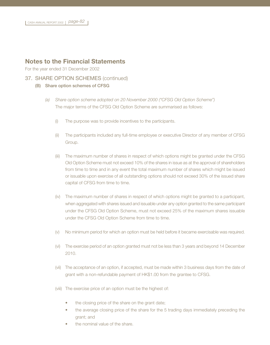For the year ended 31 December 2002

#### 37. SHARE OPTION SCHEMES (continued)

- **(B) Share option schemes of CFSG**
	- *(a) Share option scheme adopted on 20 November 2000 ("CFSG Old Option Scheme")* The major terms of the CFSG Old Option Scheme are summarised as follows:
		- (i) The purpose was to provide incentives to the participants.
		- (ii) The participants included any full-time employee or executive Director of any member of CFSG Group.
		- (iii) The maximum number of shares in respect of which options might be granted under the CFSG Old Option Scheme must not exceed 10% of the shares in issue as at the approval of shareholders from time to time and in any event the total maximum number of shares which might be issued or issuable upon exercise of all outstanding options should not exceed 30% of the issued share capital of CFSG from time to time.
		- (iv) The maximum number of shares in respect of which options might be granted to a participant, when aggregated with shares issued and issuable under any option granted to the same participant under the CFSG Old Option Scheme, must not exceed 25% of the maximum shares issuable under the CFSG Old Option Scheme from time to time.
		- (v) No minimum period for which an option must be held before it became exercisable was required.
		- (vi) The exercise period of an option granted must not be less than 3 years and beyond 14 December 2010.
		- (vii) The acceptance of an option, if accepted, must be made within 3 business days from the date of grant with a non-refundable payment of HK\$1.00 from the grantee to CFSG.
		- (viii) The exercise price of an option must be the highest of:
			- the closing price of the share on the grant date;
			- the average closing price of the share for the 5 trading days immediately preceding the grant; and
			- the nominal value of the share.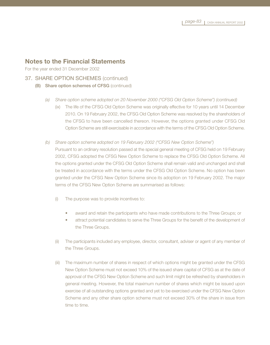For the year ended 31 December 2002

- 37. SHARE OPTION SCHEMES (continued)
	- **(B) Share option schemes of CFSG** (continued)
		- *(a) Share option scheme adopted on 20 November 2000 ("CFSG Old Option Scheme") (continued)*
			- (ix) The life of the CFSG Old Option Scheme was originally effective for 10 years until 14 December 2010. On 19 February 2002, the CFSG Old Option Scheme was resolved by the shareholders of the CFSG to have been cancelled thereon. However, the options granted under CFSG Old Option Scheme are still exercisable in accordance with the terms of the CFSG Old Option Scheme.
		- *(b) Share option scheme adopted on 19 February 2002 ("CFSG New Option Scheme")* Pursuant to an ordinary resolution passed at the special general meeting of CFSG held on 19 February 2002, CFSG adopted the CFSG New Option Scheme to replace the CFSG Old Option Scheme. All the options granted under the CFSG Old Option Scheme shall remain valid and unchanged and shall be treated in accordance with the terms under the CFSG Old Option Scheme. No option has been granted under the CFSG New Option Scheme since its adoption on 19 February 2002. The major terms of the CFSG New Option Scheme are summarised as follows:
			- (i) The purpose was to provide incentives to:
				- award and retain the participants who have made contributions to the Three Groups; or
				- attract potential candidates to serve the Three Groups for the benefit of the development of the Three Groups.
			- (ii) The participants included any employee, director, consultant, adviser or agent of any member of the Three Groups.
			- (iii) The maximum number of shares in respect of which options might be granted under the CFSG New Option Scheme must not exceed 10% of the issued share capital of CFSG as at the date of approval of the CFSG New Option Scheme and such limit might be refreshed by shareholders in general meeting. However, the total maximum number of shares which might be issued upon exercise of all outstanding options granted and yet to be exercised under the CFSG New Option Scheme and any other share option scheme must not exceed 30% of the share in issue from time to time.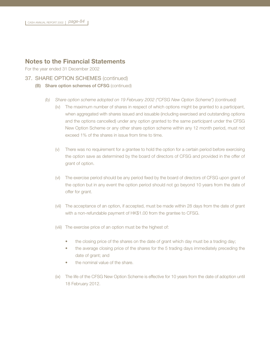For the year ended 31 December 2002

#### 37. SHARE OPTION SCHEMES (continued)

- **(B) Share option schemes of CFSG** (continued)
	- *(b) Share option scheme adopted on 19 February 2002 ("CFSG New Option Scheme") (continued)*
		- (iv) The maximum number of shares in respect of which options might be granted to a participant, when aggregated with shares issued and issuable (including exercised and outstanding options and the options cancelled) under any option granted to the same participant under the CFSG New Option Scheme or any other share option scheme within any 12 month period, must not exceed 1% of the shares in issue from time to time.
		- (v) There was no requirement for a grantee to hold the option for a certain period before exercising the option save as determined by the board of directors of CFSG and provided in the offer of grant of option.
		- (vi) The exercise period should be any period fixed by the board of directors of CFSG upon grant of the option but in any event the option period should not go beyond 10 years from the date of offer for grant.
		- (vii) The acceptance of an option, if accepted, must be made within 28 days from the date of grant with a non-refundable payment of HK\$1.00 from the grantee to CFSG.
		- (viii) The exercise price of an option must be the highest of:
			- the closing price of the shares on the date of grant which day must be a trading day;
			- the average closing price of the shares for the 5 trading days immediately preceding the date of grant; and
			- the nominal value of the share.
		- (ix) The life of the CFSG New Option Scheme is effective for 10 years from the date of adoption until 18 February 2012.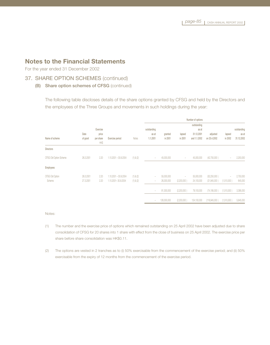For the year ended 31 December 2002

#### 37. SHARE OPTION SCHEMES (continued)

**(B) Share option schemes of CFSG** (continued)

The following table discloses details of the share options granted by CFSG and held by the Directors and the employees of the Three Groups and movements in such holdings during the year:

| Date<br>of grant       | <b>Exercise</b><br>price<br>per share<br><b>HK\$</b> | Exercise period                                | Notes                          | outstanding<br>as at<br>1.1.2001 | granted<br>in 2001       | lapsed<br>in 2001 | outstanding<br>as at<br>31.12.2001<br>and 1.1.2002 | adjusted<br>on 25.4.2002         | lapsed<br>in 2002 | outstanding<br>as at<br>31.12.2002 |
|------------------------|------------------------------------------------------|------------------------------------------------|--------------------------------|----------------------------------|--------------------------|-------------------|----------------------------------------------------|----------------------------------|-------------------|------------------------------------|
|                        |                                                      |                                                |                                |                                  |                          |                   |                                                    |                                  |                   |                                    |
| 26.3.2001              | 2.20                                                 | $1.10.2001 - 30.9.2004$                        | $(1)$ & $(2)$                  | $\sim$                           | 45,000,000               | ۰                 | 45,000,000                                         | (42,750,000)                     |                   | 2,250,000                          |
|                        |                                                      |                                                |                                |                                  |                          |                   |                                                    |                                  |                   |                                    |
| 26.3.2001<br>27.3.2001 | 2.20<br>2.20                                         | $1.10.2001 - 30.9.2004$<br>1.10.2001-30.9.2004 | $(1)$ & $(2)$<br>$(1)$ & $(2)$ | $\sim$                           | 55,000,000<br>26,300,000 | ٠<br>(2,200,000)  | 55,000,000<br>24,100,000                           | (52, 250, 000)<br>(21, 945, 000) | ٠<br>(1,510,000)  | 2,750,000<br>645,000               |
|                        |                                                      |                                                |                                |                                  | 81,300,000               | (2,200,000)       | 79,100,000                                         | (74, 195, 000)                   | (1,510,000)       | 3,395,000                          |
|                        |                                                      |                                                |                                |                                  | 126,300,000              | (2,200,000)       | 124,100,000                                        | (116,945,000)                    | (1,510,000)       | 5,645,000                          |
|                        |                                                      |                                                |                                |                                  |                          |                   |                                                    | Number of options                |                   |                                    |

Notes:

- (1) The number and the exercise price of options which remained outstanding on 25 April 2002 have been adjusted due to share consolidation of CFSG for 20 shares into 1 share with effect from the close of business on 25 April 2002. The exercise price per share before share consolidation was HK\$0.11.
- (2) The options are vested in 2 tranches as to (i) 50% exercisable from the commencement of the exercise period; and (ii) 50% exercisable from the expiry of 12 months from the commencement of the exercise period.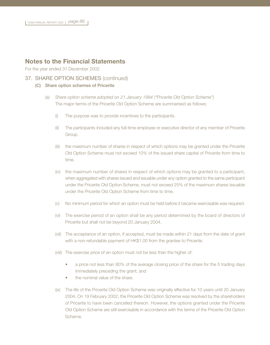For the year ended 31 December 2002

#### 37. SHARE OPTION SCHEMES (continued)

- **(C) Share option schemes of Pricerite**
	- *(a) Share option scheme adopted on 21 January 1994 ("Pricerite Old Option Scheme")* The major terms of the Pricerite Old Option Scheme are summarised as follows:
		- (i) The purpose was to provide incentives to the participants.
		- (ii) The participants included any full-time employee or executive director of any member of Pricerite Group.
		- (iii) the maximum number of shares in respect of which options may be granted under the Pricerite Old Option Scheme must not exceed 10% of the issued share capital of Pricerite from time to time.
		- (iv) the maximum number of shares in respect of which options may be granted to a participant, when aggregated with shares issued and issuable under any option granted to the same participant under the Pricerite Old Option Scheme, must not exceed 25% of the maximum shares issuable under the Pricerite Old Option Scheme from time to time.
		- (v) No minimum period for which an option must be held before it became exercisable was required.
		- (vi) The exercise period of an option shall be any period determined by the board of directors of Pricerite but shall not be beyond 20 January 2004.
		- (vii) The acceptance of an option, if accepted, must be made within 21 days from the date of grant with a non-refundable payment of HK\$1.00 from the grantee to Pricerite.
		- (viii) The exercise price of an option must not be less than the higher of:
			- a price not less than 80% of the average closing price of the share for the 5 trading days immediately preceding the grant; and
			- the nominal value of the share.
		- (ix) The life of the Pricerite Old Option Scheme was originally effective for 10 years until 20 January 2004. On 19 February 2002, the Pricerite Old Option Scheme was resolved by the shareholders of Pricerite to have been cancelled thereon. However, the options granted under the Pricerite Old Option Scheme are still exercisable in accordance with the terms of the Pricerite Old Option Scheme.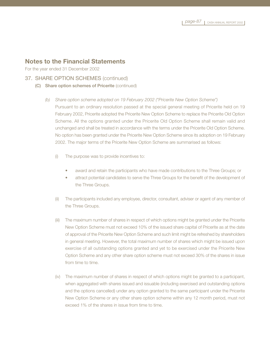For the year ended 31 December 2002

#### 37. SHARE OPTION SCHEMES (continued)

- **(C) Share option schemes of Pricerite** (continued)
	- *(b) Share option scheme adopted on 19 February 2002 ("Pricerite New Option Scheme")* Pursuant to an ordinary resolution passed at the special general meeting of Pricerite held on 19 February 2002, Pricerite adopted the Pricerite New Option Scheme to replace the Pricerite Old Option Scheme. All the options granted under the Pricerite Old Option Scheme shall remain valid and unchanged and shall be treated in accordance with the terms under the Pricerite Old Option Scheme. No option has been granted under the Pricerite New Option Scheme since its adoption on 19 February 2002. The major terms of the Pricerite New Option Scheme are summarised as follows:
		- (i) The purpose was to provide incentives to:
			- award and retain the participants who have made contributions to the Three Groups; or
			- attract potential candidates to serve the Three Groups for the benefit of the development of the Three Groups.
		- (ii) The participants included any employee, director, consultant, adviser or agent of any member of the Three Groups.
		- (iii) The maximum number of shares in respect of which options might be granted under the Pricerite New Option Scheme must not exceed 10% of the issued share capital of Pricerite as at the date of approval of the Pricerite New Option Scheme and such limit might be refreshed by shareholders in general meeting. However, the total maximum number of shares which might be issued upon exercise of all outstanding options granted and yet to be exercised under the Pricerite New Option Scheme and any other share option scheme must not exceed 30% of the shares in issue from time to time.
		- (iv) The maximum number of shares in respect of which options might be granted to a participant, when aggregated with shares issued and issuable (including exercised and outstanding options and the options cancelled) under any option granted to the same participant under the Pricerite New Option Scheme or any other share option scheme within any 12 month period, must not exceed 1% of the shares in issue from time to time.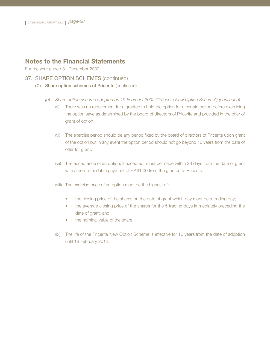For the year ended 31 December 2002

- 37. SHARE OPTION SCHEMES (continued)
	- **(C) Share option schemes of Pricerite** (continued)
		- *(b) Share option scheme adopted on 19 February 2002 ("Pricerite New Option Scheme") (continued)*
			- (v) There was no requirement for a grantee to hold the option for a certain period before exercising the option save as determined by the board of directors of Pricerite and provided in the offer of grant of option.
			- (vi) The exercise period should be any period fixed by the board of directors of Pricerite upon grant of the option but in any event the option period should not go beyond 10 years from the date of offer for grant.
			- (vii) The acceptance of an option, if accepted, must be made within 28 days from the date of grant with a non-refundable payment of HK\$1.00 from the grantee to Pricerite.
			- (viii) The exercise price of an option must be the highest of:
				- the closing price of the shares on the date of grant which day must be a trading day;
				- the average closing price of the shares for the 5 trading days immediately preceding the date of grant; and
				- the nominal value of the share.
			- (ix) The life of the Pricerite New Option Scheme is effective for 10 years from the date of adoption until 18 February 2012.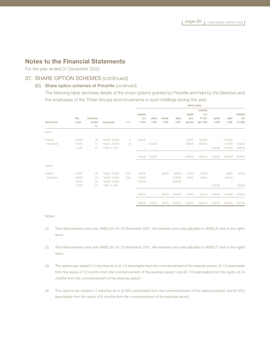For the year ended 31 December 2002

## 37. SHARE OPTION SCHEMES (continued)

#### **(C) Share option schemes of Pricerite** (continued)

The following table discloses details of the share options granted by Pricerite and held by the Directors and the employees of the Three Groups and movements in such holdings during the year: **Number of options**

|                  |           |                |                       |               |             |            |           |              |             | outstanding  |             |                |             |
|------------------|-----------|----------------|-----------------------|---------------|-------------|------------|-----------|--------------|-------------|--------------|-------------|----------------|-------------|
|                  |           |                |                       |               | outstanding |            |           |              | adjusted    | as at        |             |                | outstanding |
|                  | Date      | Exercise price |                       |               | as at       | granted    | exercised | lapsed       | due to      | 31.12.201    | granted     | lapsed         | as at       |
| Name of scheme   | of grant  | per share      | Exercise period       | Notes         | 1.1.2001    | in 2001    | in 2001   | in 2001      | right issue | and 1.1.2002 | in 2002     | in 2002        | 31.12.2002  |
|                  |           | <b>HK\$</b>    |                       |               |             |            |           |              |             |              |             |                |             |
| <b>Directors</b> |           |                |                       |               |             |            |           |              |             |              |             |                |             |
| Pricerite Old    | 12.6.2000 | 0.32           | 13.6.2000 - 12.6.2002 | (1)           | 10,000,000  |            |           | ۰            | 8,000,000   | 18,000,000   | $\sim$      | (18,000,000)   |             |
| Option Scheme    | 12.6.2001 | 0.21           | 16.6.2001 - 15.6.2003 | (2)           | $\sim$      | 16,000,000 |           | ۰            | 12,800,000  | 28,800,000   | $\sim$      | (7,200,000)    | 21,600,000  |
|                  | 17.1.2002 | 0.21           | 1.2.2002 - 31.1.2004  |               |             |            |           | ۰            | ٠           | $\sim$       | 72,000,000  | (13,000,000)   | 59,000,000  |
|                  |           |                |                       |               | 10,000,000  | 16,000,000 | $\sim$    | ÷            | 20,800,000  | 46,800,000   | 72,000,000  | (38, 200, 000) | 80,600,000  |
| Employees        |           |                |                       |               |             |            |           |              |             |              |             |                |             |
| Pricerite Old    | 12.6.2000 | 0.32           | 13.6.2000 - 12.6.2003 | $(1)$ & $(3)$ | 4,495,000   | $\sim$     | (590,000) | (1,608,000)  | 2,140,000   | 4,437,000    | ٠           | (918,000)      | 3,519,000   |
| Option Scheme    | 12.6.2000 | 0.32           | 13.6.2000 - 12.6.2002 | $(1)$ & $(4)$ | 4,000,000   | ٠          |           | (2,000,000)  | 1,600,000   | 3,600,000    | ۰           | (3,600,000)    | ٠           |
|                  | 12.6.2000 | 0.32           | 13.6.2000 - 12.6.2002 |               | 10,000,000  | ٠          |           | (10,000,000) | ٠           |              |             |                | $\sim$      |
|                  | 17.1.2002 | 0.21           | 1.2.2002 - 31.1.2004  |               |             |            |           |              | ٠           | $\sim$       | 42,500,000  |                | 42,500,000  |
|                  |           |                |                       |               | 18,495,000  | $\sim$     | (590,000) | (13,608,000) | 3,740,000   | 8,037,000    | 42,500,000  | (4,518,000)    | 46,019,000  |
|                  |           |                |                       |               | 28,495,000  | 16,000,000 | (590,000) | (13,608,000) | 24,540,000  | 54,837,000   | 114,500,000 | (42, 718, 000) | 126,619,000 |

#### Notes:

- (1) The initial exercise price was HK\$0.58. On 23 November 2001, the exercise price was adjusted to HK\$0.32 due to the rights issue.
- (2) The initial exercise price was HK\$0.39. On 23 November 2001, the exercise price was adjusted to HK\$0.21 due to the rights issue.
- (3) The options are vested in 3 tranches as to (i) 1/3 exercisable from the commencement of the exercise period; (ii) 1/3 exercisable from the expiry of 12 months from the commencement of the exercise period; and (iii) 1/3 exercisable from the expiry of 24 months from the commencement of the exercise period.
- (4) The options are vested in 2 tranches as to (i) 50% exercisable from the commencement of the exercise period; and (ii) 50% exercisable from the expiry of 6 months from the commencement of the exercise period.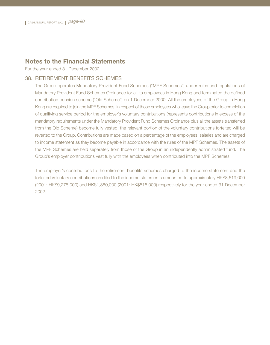For the year ended 31 December 2002

#### 38. RETIREMENT BENEFITS SCHEMES

The Group operates Mandatory Provident Fund Schemes ("MPF Schemes") under rules and regulations of Mandatory Provident Fund Schemes Ordinance for all its employees in Hong Kong and terminated the defined contribution pension scheme ("Old Scheme") on 1 December 2000. All the employees of the Group in Hong Kong are required to join the MPF Schemes. In respect of those employees who leave the Group prior to completion of qualifying service period for the employer's voluntary contributions (represents contributions in excess of the mandatory requirements under the Mandatory Provident Fund Schemes Ordinance plus all the assets transferred from the Old Scheme) become fully vested, the relevant portion of the voluntary contributions forfeited will be reverted to the Group. Contributions are made based on a percentage of the employees' salaries and are charged to income statement as they become payable in accordance with the rules of the MPF Schemes. The assets of the MPF Schemes are held separately from those of the Group in an independently administrated fund. The Group's employer contributions vest fully with the employees when contributed into the MPF Schemes.

The employer's contributions to the retirement benefits schemes charged to the income statement and the forfeited voluntary contributions credited to the income statements amounted to approximately HK\$8,619,000 (2001: HK\$9,278,000) and HK\$1,880,000 (2001: HK\$515,000) respectively for the year ended 31 December 2002.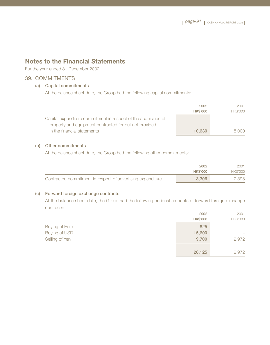For the year ended 31 December 2002

## 39. COMMITMENTS

#### **(a) Capital commitments**

At the balance sheet date, the Group had the following capital commitments:

|                                                                 | 2002            | 2001            |
|-----------------------------------------------------------------|-----------------|-----------------|
|                                                                 | <b>HK\$'000</b> | <b>HK\$'000</b> |
| Capital expenditure commitment in respect of the acquisition of |                 |                 |
| property and equipment contracted for but not provided          |                 |                 |
| in the financial statements                                     | 10,630          | 8.000           |

#### **(b) Other commitments**

At the balance sheet date, the Group had the following other commitments:

|                                                             | 2002            | 2001            |
|-------------------------------------------------------------|-----------------|-----------------|
|                                                             | <b>HK\$'000</b> | <b>HK\$'000</b> |
| Contracted commitment in respect of advertising expenditure | 3,306           | 7.398           |

#### **(c) Forward foreign exchange contracts**

At the balance sheet date, the Group had the following notional amounts of forward foreign exchange contracts:

|                | 2002            | 2001                     |
|----------------|-----------------|--------------------------|
|                | <b>HK\$'000</b> | HK\$'000                 |
| Buying of Euro | 825             | $\overline{\phantom{a}}$ |
| Buying of USD  | 15,600          |                          |
| Selling of Yen | 9,700           | 2,972                    |
|                |                 |                          |
|                | 26,125          | 2,972                    |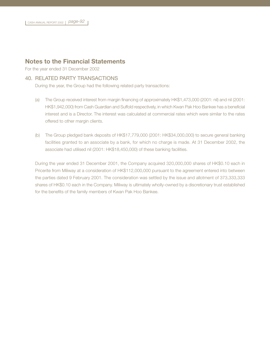For the year ended 31 December 2002

#### 40. RELATED PARTY TRANSACTIONS

During the year, the Group had the following related party transactions:

- (a) The Group received interest from margin financing of approximately HK\$1,473,000 (2001: nil) and nil (2001: HK\$1,942,000) from Cash Guardian and Suffold respectively, in which Kwan Pak Hoo Bankee has a beneficial interest and is a Director. The interest was calculated at commercial rates which were similar to the rates offered to other margin clients.
- (b) The Group pledged bank deposits of HK\$17,779,000 (2001: HK\$34,000,000) to secure general banking facilities granted to an associate by a bank, for which no charge is made. At 31 December 2002, the associate had utilised nil (2001: HK\$18,450,000) of these banking facilities.

During the year ended 31 December 2001, the Company acquired 320,000,000 shares of HK\$0.10 each in Pricerite from Miliway at a consideration of HK\$112,000,000 pursuant to the agreement entered into between the parties dated 9 February 2001. The consideration was settled by the issue and allotment of 373,333,333 shares of HK\$0.10 each in the Company. Miliway is ultimately wholly-owned by a discretionary trust established for the benefits of the family members of Kwan Pak Hoo Bankee.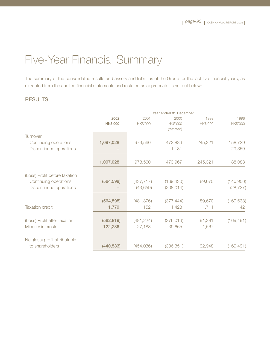# Five-Year Financial Summary

The summary of the consolidated results and assets and liabilities of the Group for the last five financial years, as extracted from the audited financial statements and restated as appropriate, is set out below:

## **RESULTS**

|                                |                 |            | Year ended 31 December |                 |                 |
|--------------------------------|-----------------|------------|------------------------|-----------------|-----------------|
|                                | 2002            | 2001       | 2000                   | 1999            | 1998            |
|                                | <b>HK\$'000</b> | HK\$'000   | <b>HK\$'000</b>        | <b>HK\$'000</b> | <b>HK\$'000</b> |
|                                |                 |            | (restated)             |                 |                 |
| Turnover                       |                 |            |                        |                 |                 |
| Continuing operations          | 1,097,028       | 973,560    | 472,836                | 245,321         | 158,729         |
| Discontinued operations        |                 |            | 1,131                  |                 | 29,359          |
|                                |                 |            |                        |                 |                 |
|                                | 1,097,028       | 973,560    | 473,967                | 245,321         | 188,088         |
|                                |                 |            |                        |                 |                 |
| (Loss) Profit before taxation  |                 |            |                        |                 |                 |
| Continuing operations          | (564, 598)      | (437, 717) | (169, 430)             | 89,670          | (140,906)       |
| Discontinued operations        |                 | (43, 659)  | (208, 014)             |                 | (28, 727)       |
|                                |                 |            |                        |                 |                 |
|                                | (564, 598)      | (481, 376) | (377, 444)             | 89,670          | (169, 633)      |
| <b>Taxation credit</b>         | 1,779           | 152        | 1,428                  | 1,711           | 142             |
|                                |                 |            |                        |                 |                 |
| (Loss) Profit after taxation   | (562, 819)      | (481, 224) | (376, 016)             | 91,381          | (169, 491)      |
| Minority interests             | 122,236         | 27,188     | 39,665                 | 1,567           |                 |
| Net (loss) profit attributable |                 |            |                        |                 |                 |
| to shareholders                | (440, 583)      | (454, 036) | (336, 351)             | 92,948          | (169, 491)      |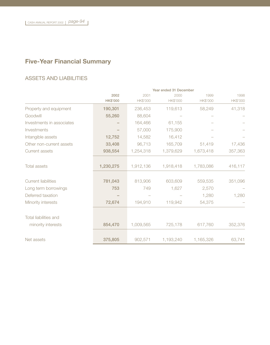# **Five-Year Financial Summary**

## ASSETS AND LIABILITIES

|                            | Year ended 31 December |           |                 |                 |          |
|----------------------------|------------------------|-----------|-----------------|-----------------|----------|
|                            | 2002                   | 2001      | 2000            | 1999            | 1998     |
|                            | <b>HK\$'000</b>        | HK\$'000  | <b>HK\$'000</b> | <b>HK\$'000</b> | HK\$'000 |
| Property and equipment     | 190,301                | 236,453   | 119,613         | 58,249          | 41,318   |
| Goodwill                   | 55,260                 | 88,604    |                 |                 |          |
| Investments in associates  |                        | 164,466   | 61,155          |                 |          |
| Investments                |                        | 57,000    | 175,900         |                 |          |
| Intangible assets          | 12,752                 | 14,582    | 16,412          |                 |          |
| Other non-current assets   | 33,408                 | 96,713    | 165,709         | 51,419          | 17,436   |
| <b>Current assets</b>      | 938,554                | 1,254,318 | 1,379,629       | 1,673,418       | 357,363  |
|                            |                        |           |                 |                 |          |
| <b>Total assets</b>        | 1,230,275              | 1,912,136 | 1,918,418       | 1,783,086       | 416,117  |
|                            |                        |           |                 |                 |          |
| <b>Current liabilities</b> | 781,043                | 813,906   | 603,609         | 559,535         | 351,096  |
| Long term borrowings       | 753                    | 749       | 1,627           | 2,570           |          |
| Deferred taxation          |                        |           |                 | 1,280           | 1,280    |
| Minority interests         | 72,674                 | 194,910   | 119,942         | 54,375          |          |
|                            |                        |           |                 |                 |          |
| Total liabilities and      |                        |           |                 |                 |          |
| minority interests         | 854,470                | 1,009,565 | 725,178         | 617,760         | 352,376  |
|                            |                        |           |                 |                 |          |
| Net assets                 | 375,805                | 902,571   | 1,193,240       | 1,165,326       | 63,741   |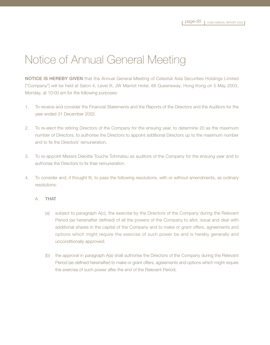**NOTICE IS HEREBY GIVEN** that the Annual General Meeting of Celestial Asia Securities Holdings Limited ("Company") will be held at Salon 4, Level III, JW Marriot Hotel, 88 Queensway, Hong Kong on 5 May 2003, Monday, at 10:00 am for the following purposes:

- 1. To receive and consider the Financial Statements and the Reports of the Directors and the Auditors for the year ended 31 December 2002.
- 2. To re-elect the retiring Directors of the Company for the ensuing year, to determine 20 as the maximum number of Directors, to authorise the Directors to appoint additional Directors up to the maximum number and to fix the Directors' remuneration.
- 3. To re-appoint Messrs Deloitte Touche Tohmatsu as auditors of the Company for the ensuing year and to authorise the Directors to fix their remuneration.
- 4. To consider and, if thought fit, to pass the following resolutions, with or without amendments, as ordinary resolutions:

#### A. **THAT**

- (a) subject to paragraph A(c), the exercise by the Directors of the Company during the Relevant Period (as hereinafter defined) of all the powers of the Company to allot, issue and deal with additional shares in the capital of the Company and to make or grant offers, agreements and options which might require the exercise of such power be and is hereby generally and unconditionally approved;
- (b) the approval in paragraph A(a) shall authorise the Directors of the Company during the Relevant Period (as defined hereinafter) to make or grant offers, agreements and options which might require the exercise of such power after the end of the Relevant Period;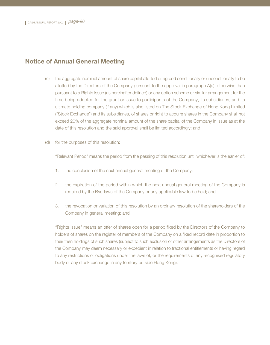- (c) the aggregate nominal amount of share capital allotted or agreed conditionally or unconditionally to be allotted by the Directors of the Company pursuant to the approval in paragraph A(a), otherwise than pursuant to a Rights Issue (as hereinafter defined) or any option scheme or similar arrangement for the time being adopted for the grant or issue to participants of the Company, its subsidiaries, and its ultimate holding company (if any) which is also listed on The Stock Exchange of Hong Kong Limited ("Stock Exchange") and its subsidiaries, of shares or right to acquire shares in the Company shall not exceed 20% of the aggregate nominal amount of the share capital of the Company in issue as at the date of this resolution and the said approval shall be limited accordingly; and
- (d) for the purposes of this resolution:

"Relevant Period" means the period from the passing of this resolution until whichever is the earlier of:

- 1. the conclusion of the next annual general meeting of the Company;
- 2. the expiration of the period within which the next annual general meeting of the Company is required by the Bye-laws of the Company or any applicable law to be held; and
- 3. the revocation or variation of this resolution by an ordinary resolution of the shareholders of the Company in general meeting; and

"Rights Issue" means an offer of shares open for a period fixed by the Directors of the Company to holders of shares on the register of members of the Company on a fixed record date in proportion to their then holdings of such shares (subject to such exclusion or other arrangements as the Directors of the Company may deem necessary or expedient in relation to fractional entitlements or having regard to any restrictions or obligations under the laws of, or the requirements of any recognised regulatory body or any stock exchange in any territory outside Hong Kong).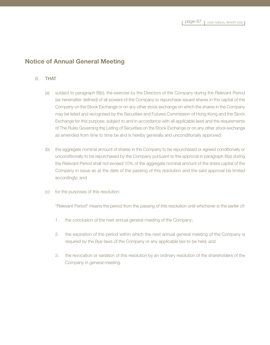#### B. **THAT**

- (a) subject to paragraph B(b), the exercise by the Directors of the Company during the Relevant Period (as hereinafter defined) of all powers of the Company to repurchase issued shares in the capital of the Company on the Stock Exchange or on any other stock exchange on which the shares in the Company may be listed and recognised by the Securities and Futures Commission of Hong Kong and the Stock Exchange for this purpose, subject to and in accordance with all applicable laws and the requirements of The Rules Governing the Listing of Securities on the Stock Exchange or on any other stock exchange as amended from time to time be and is hereby generally and unconditionally approved;
- (b) the aggregate nominal amount of shares in the Company to be repurchased or agreed conditionally or unconditionally to be repurchased by the Company pursuant to the approval in paragraph B(a) during the Relevant Period shall not exceed 10% of the aggregate nominal amount of the share capital of the Company in issue as at the date of the passing of this resolution and the said approval be limited accordingly; and
- (c) for the purposes of this resolution:

"Relevant Period" means the period from the passing of this resolution until whichever is the earlier of:

- 1. the conclusion of the next annual general meeting of the Company;
- 2. the expiration of the period within which the next annual general meeting of the Company is required by the Bye-laws of the Company or any applicable law to be held; and
- 3. the revocation or variation of this resolution by an ordinary resolution of the shareholders of the Company in general meeting.